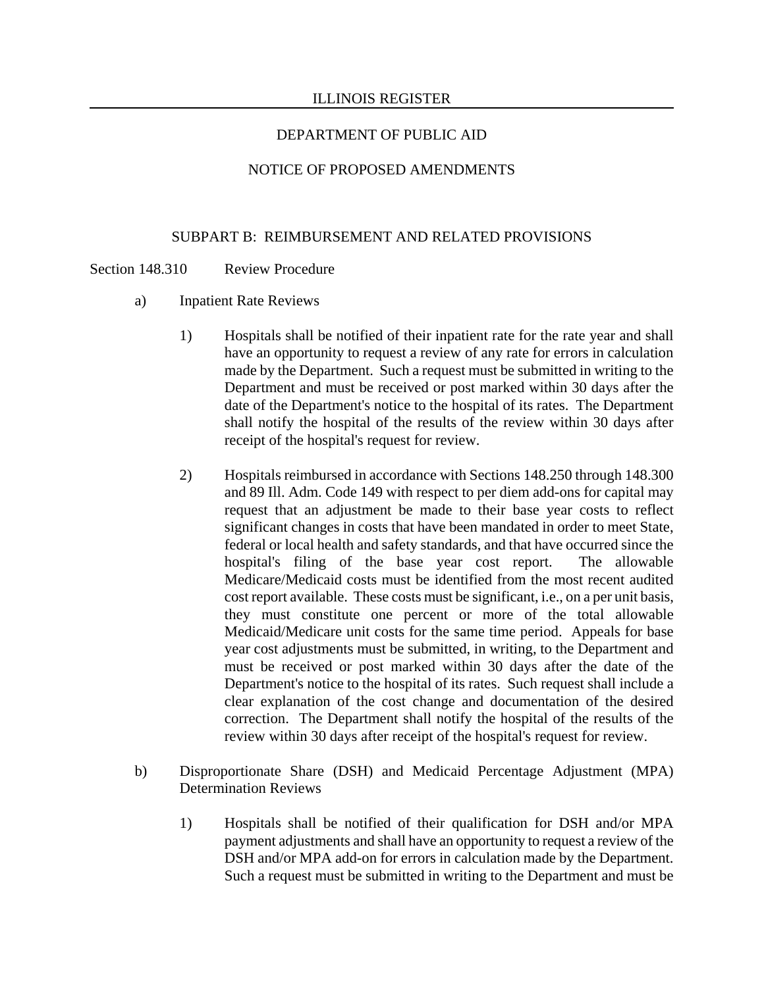## NOTICE OF PROPOSED AMENDMENTS

### SUBPART B: REIMBURSEMENT AND RELATED PROVISIONS

### Section 148.310 Review Procedure

- a) Inpatient Rate Reviews
	- 1) Hospitals shall be notified of their inpatient rate for the rate year and shall have an opportunity to request a review of any rate for errors in calculation made by the Department. Such a request must be submitted in writing to the Department and must be received or post marked within 30 days after the date of the Department's notice to the hospital of its rates. The Department shall notify the hospital of the results of the review within 30 days after receipt of the hospital's request for review.
	- 2) Hospitals reimbursed in accordance with Sections 148.250 through 148.300 and 89 Ill. Adm. Code 149 with respect to per diem add-ons for capital may request that an adjustment be made to their base year costs to reflect significant changes in costs that have been mandated in order to meet State, federal or local health and safety standards, and that have occurred since the hospital's filing of the base year cost report. The allowable Medicare/Medicaid costs must be identified from the most recent audited cost report available. These costs must be significant, i.e., on a per unit basis, they must constitute one percent or more of the total allowable Medicaid/Medicare unit costs for the same time period. Appeals for base year cost adjustments must be submitted, in writing, to the Department and must be received or post marked within 30 days after the date of the Department's notice to the hospital of its rates. Such request shall include a clear explanation of the cost change and documentation of the desired correction. The Department shall notify the hospital of the results of the review within 30 days after receipt of the hospital's request for review.
- b) Disproportionate Share (DSH) and Medicaid Percentage Adjustment (MPA) Determination Reviews
	- 1) Hospitals shall be notified of their qualification for DSH and/or MPA payment adjustments and shall have an opportunity to request a review of the DSH and/or MPA add-on for errors in calculation made by the Department. Such a request must be submitted in writing to the Department and must be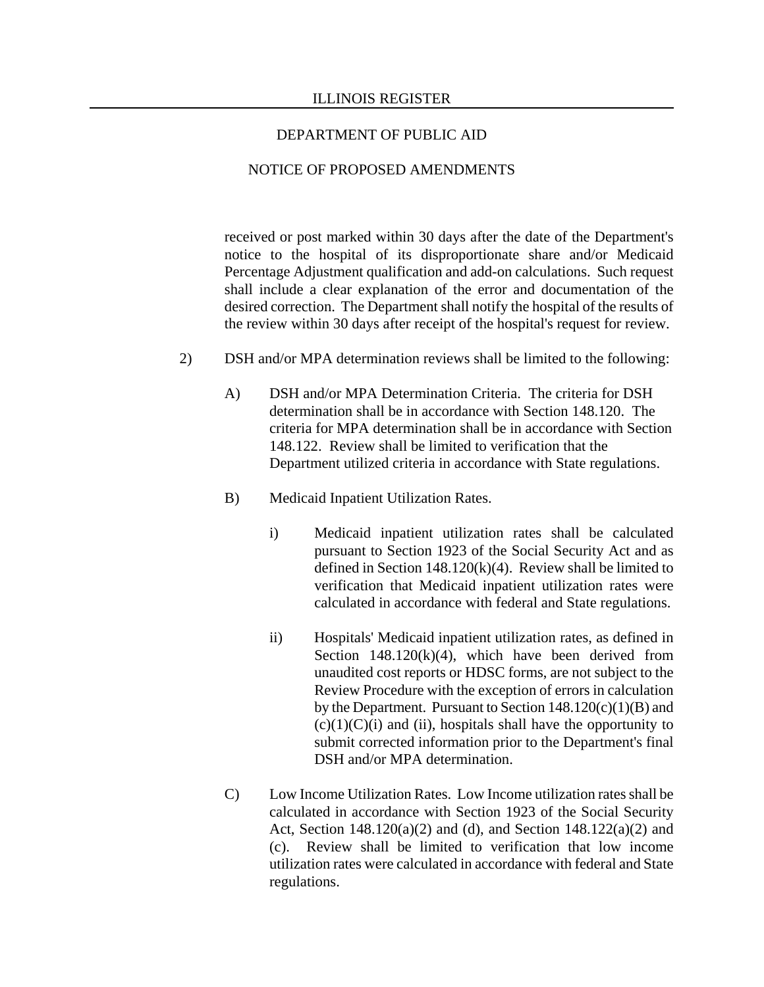### NOTICE OF PROPOSED AMENDMENTS

received or post marked within 30 days after the date of the Department's notice to the hospital of its disproportionate share and/or Medicaid Percentage Adjustment qualification and add-on calculations. Such request shall include a clear explanation of the error and documentation of the desired correction. The Department shall notify the hospital of the results of the review within 30 days after receipt of the hospital's request for review.

- 2) DSH and/or MPA determination reviews shall be limited to the following:
	- A) DSH and/or MPA Determination Criteria. The criteria for DSH determination shall be in accordance with Section 148.120. The criteria for MPA determination shall be in accordance with Section 148.122. Review shall be limited to verification that the Department utilized criteria in accordance with State regulations.
	- B) Medicaid Inpatient Utilization Rates.
		- i) Medicaid inpatient utilization rates shall be calculated pursuant to Section 1923 of the Social Security Act and as defined in Section 148.120(k)(4). Review shall be limited to verification that Medicaid inpatient utilization rates were calculated in accordance with federal and State regulations.
		- ii) Hospitals' Medicaid inpatient utilization rates, as defined in Section  $148.120(k)(4)$ , which have been derived from unaudited cost reports or HDSC forms, are not subject to the Review Procedure with the exception of errors in calculation by the Department. Pursuant to Section  $148.120(c)(1)(B)$  and  $(c)(1)(C)(i)$  and (ii), hospitals shall have the opportunity to submit corrected information prior to the Department's final DSH and/or MPA determination.
	- C) Low Income Utilization Rates. Low Income utilization rates shall be calculated in accordance with Section 1923 of the Social Security Act, Section 148.120(a)(2) and (d), and Section 148.122(a)(2) and (c). Review shall be limited to verification that low income utilization rates were calculated in accordance with federal and State regulations.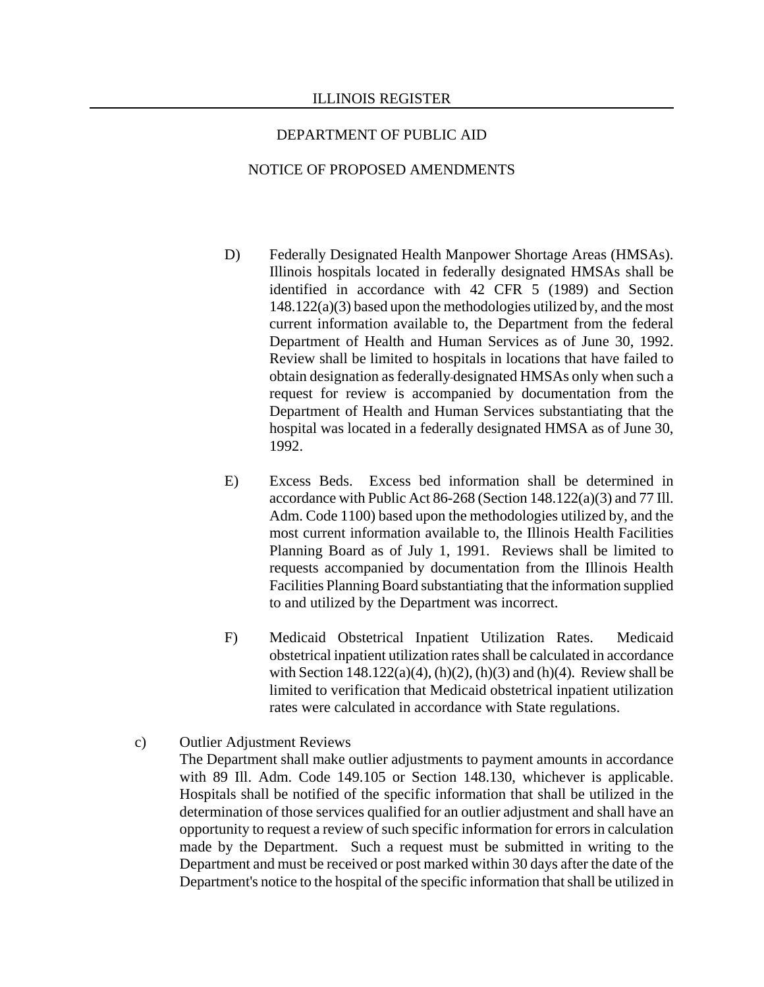#### NOTICE OF PROPOSED AMENDMENTS

- D) Federally Designated Health Manpower Shortage Areas (HMSAs). Illinois hospitals located in federally designated HMSAs shall be identified in accordance with 42 CFR 5 (1989) and Section 148.122(a)(3) based upon the methodologies utilized by, and the most current information available to, the Department from the federal Department of Health and Human Services as of June 30, 1992. Review shall be limited to hospitals in locations that have failed to obtain designation as federally designated HMSAs only when such a request for review is accompanied by documentation from the Department of Health and Human Services substantiating that the hospital was located in a federally designated HMSA as of June 30, 1992.
- E) Excess Beds. Excess bed information shall be determined in accordance with Public Act 86-268 (Section 148.122(a)(3) and 77 Ill. Adm. Code 1100) based upon the methodologies utilized by, and the most current information available to, the Illinois Health Facilities Planning Board as of July 1, 1991. Reviews shall be limited to requests accompanied by documentation from the Illinois Health Facilities Planning Board substantiating that the information supplied to and utilized by the Department was incorrect.
- F) Medicaid Obstetrical Inpatient Utilization Rates. Medicaid obstetrical inpatient utilization rates shall be calculated in accordance with Section  $148.122(a)(4)$ , (h)(2), (h)(3) and (h)(4). Review shall be limited to verification that Medicaid obstetrical inpatient utilization rates were calculated in accordance with State regulations.
- c) Outlier Adjustment Reviews

The Department shall make outlier adjustments to payment amounts in accordance with 89 Ill. Adm. Code 149.105 or Section 148.130, whichever is applicable. Hospitals shall be notified of the specific information that shall be utilized in the determination of those services qualified for an outlier adjustment and shall have an opportunity to request a review of such specific information for errors in calculation made by the Department. Such a request must be submitted in writing to the Department and must be received or post marked within 30 days after the date of the Department's notice to the hospital of the specific information that shall be utilized in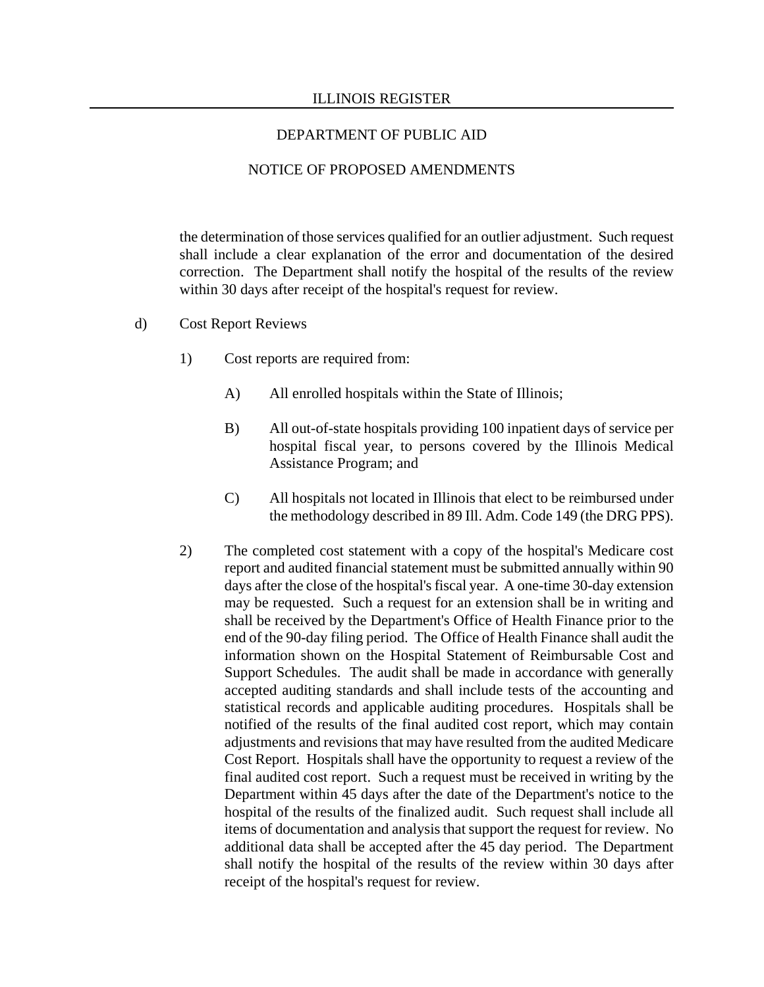### NOTICE OF PROPOSED AMENDMENTS

the determination of those services qualified for an outlier adjustment. Such request shall include a clear explanation of the error and documentation of the desired correction. The Department shall notify the hospital of the results of the review within 30 days after receipt of the hospital's request for review.

- d) Cost Report Reviews
	- 1) Cost reports are required from:
		- A) All enrolled hospitals within the State of Illinois;
		- B) All out-of-state hospitals providing 100 inpatient days of service per hospital fiscal year, to persons covered by the Illinois Medical Assistance Program; and
		- C) All hospitals not located in Illinois that elect to be reimbursed under the methodology described in 89 Ill. Adm. Code 149 (the DRG PPS).
	- 2) The completed cost statement with a copy of the hospital's Medicare cost report and audited financial statement must be submitted annually within 90 days after the close of the hospital's fiscal year. A one-time 30-day extension may be requested. Such a request for an extension shall be in writing and shall be received by the Department's Office of Health Finance prior to the end of the 90-day filing period. The Office of Health Finance shall audit the information shown on the Hospital Statement of Reimbursable Cost and Support Schedules. The audit shall be made in accordance with generally accepted auditing standards and shall include tests of the accounting and statistical records and applicable auditing procedures. Hospitals shall be notified of the results of the final audited cost report, which may contain adjustments and revisions that may have resulted from the audited Medicare Cost Report. Hospitals shall have the opportunity to request a review of the final audited cost report. Such a request must be received in writing by the Department within 45 days after the date of the Department's notice to the hospital of the results of the finalized audit. Such request shall include all items of documentation and analysis that support the request for review. No additional data shall be accepted after the 45 day period. The Department shall notify the hospital of the results of the review within 30 days after receipt of the hospital's request for review.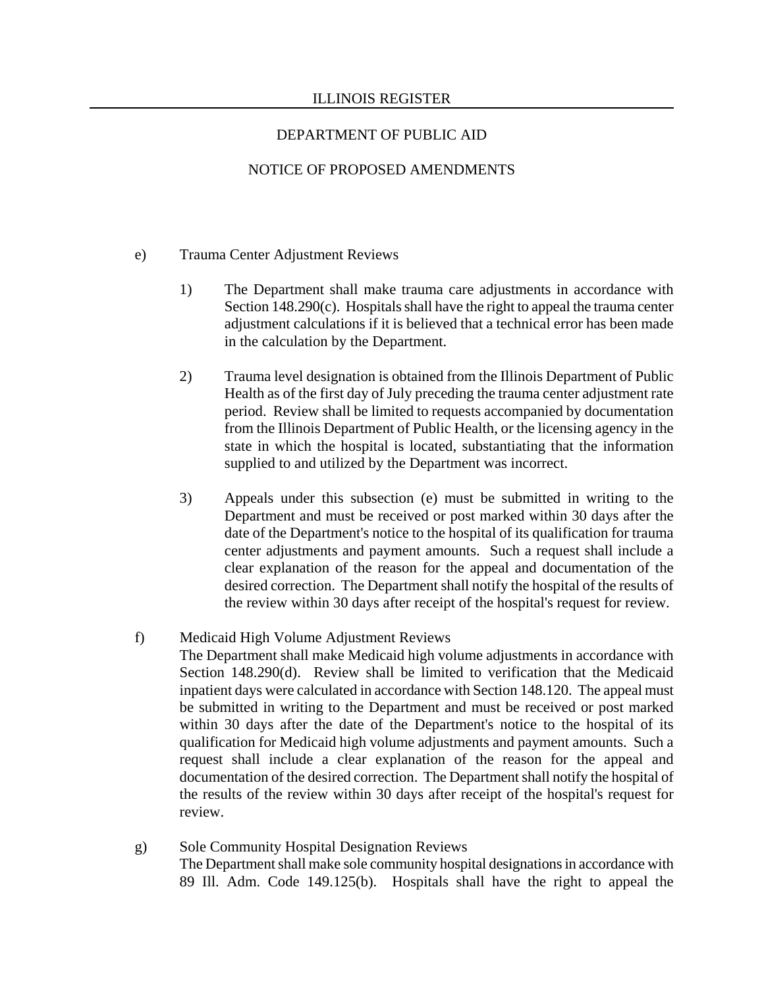# NOTICE OF PROPOSED AMENDMENTS

### e) Trauma Center Adjustment Reviews

- 1) The Department shall make trauma care adjustments in accordance with Section 148.290(c). Hospitals shall have the right to appeal the trauma center adjustment calculations if it is believed that a technical error has been made in the calculation by the Department.
- 2) Trauma level designation is obtained from the Illinois Department of Public Health as of the first day of July preceding the trauma center adjustment rate period. Review shall be limited to requests accompanied by documentation from the Illinois Department of Public Health, or the licensing agency in the state in which the hospital is located, substantiating that the information supplied to and utilized by the Department was incorrect.
- 3) Appeals under this subsection (e) must be submitted in writing to the Department and must be received or post marked within 30 days after the date of the Department's notice to the hospital of its qualification for trauma center adjustments and payment amounts. Such a request shall include a clear explanation of the reason for the appeal and documentation of the desired correction. The Department shall notify the hospital of the results of the review within 30 days after receipt of the hospital's request for review.

### f) Medicaid High Volume Adjustment Reviews

The Department shall make Medicaid high volume adjustments in accordance with Section 148.290(d). Review shall be limited to verification that the Medicaid inpatient days were calculated in accordance with Section 148.120. The appeal must be submitted in writing to the Department and must be received or post marked within 30 days after the date of the Department's notice to the hospital of its qualification for Medicaid high volume adjustments and payment amounts. Such a request shall include a clear explanation of the reason for the appeal and documentation of the desired correction. The Department shall notify the hospital of the results of the review within 30 days after receipt of the hospital's request for review.

 g) Sole Community Hospital Designation Reviews The Department shall make sole community hospital designations in accordance with 89 Ill. Adm. Code 149.125(b). Hospitals shall have the right to appeal the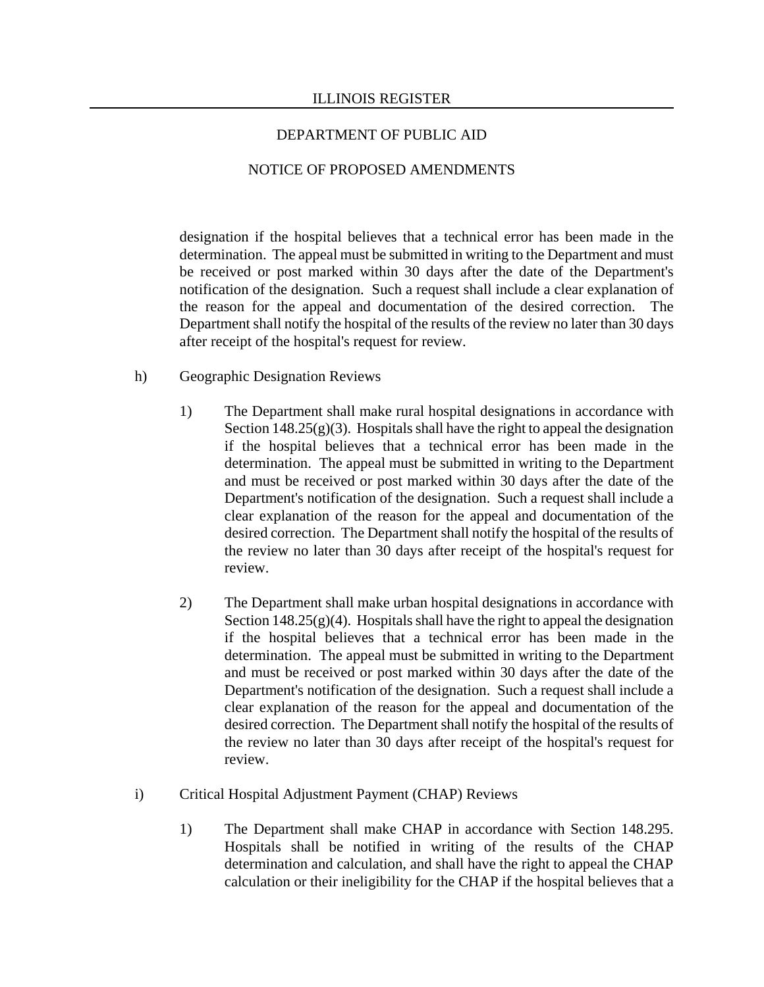## NOTICE OF PROPOSED AMENDMENTS

designation if the hospital believes that a technical error has been made in the determination. The appeal must be submitted in writing to the Department and must be received or post marked within 30 days after the date of the Department's notification of the designation. Such a request shall include a clear explanation of the reason for the appeal and documentation of the desired correction. The Department shall notify the hospital of the results of the review no later than 30 days after receipt of the hospital's request for review.

- h) Geographic Designation Reviews
	- 1) The Department shall make rural hospital designations in accordance with Section  $148.25(g)(3)$ . Hospitals shall have the right to appeal the designation if the hospital believes that a technical error has been made in the determination. The appeal must be submitted in writing to the Department and must be received or post marked within 30 days after the date of the Department's notification of the designation. Such a request shall include a clear explanation of the reason for the appeal and documentation of the desired correction. The Department shall notify the hospital of the results of the review no later than 30 days after receipt of the hospital's request for review.
	- 2) The Department shall make urban hospital designations in accordance with Section  $148.25(g)(4)$ . Hospitals shall have the right to appeal the designation if the hospital believes that a technical error has been made in the determination. The appeal must be submitted in writing to the Department and must be received or post marked within 30 days after the date of the Department's notification of the designation. Such a request shall include a clear explanation of the reason for the appeal and documentation of the desired correction. The Department shall notify the hospital of the results of the review no later than 30 days after receipt of the hospital's request for review.
- i) Critical Hospital Adjustment Payment (CHAP) Reviews
	- 1) The Department shall make CHAP in accordance with Section 148.295. Hospitals shall be notified in writing of the results of the CHAP determination and calculation, and shall have the right to appeal the CHAP calculation or their ineligibility for the CHAP if the hospital believes that a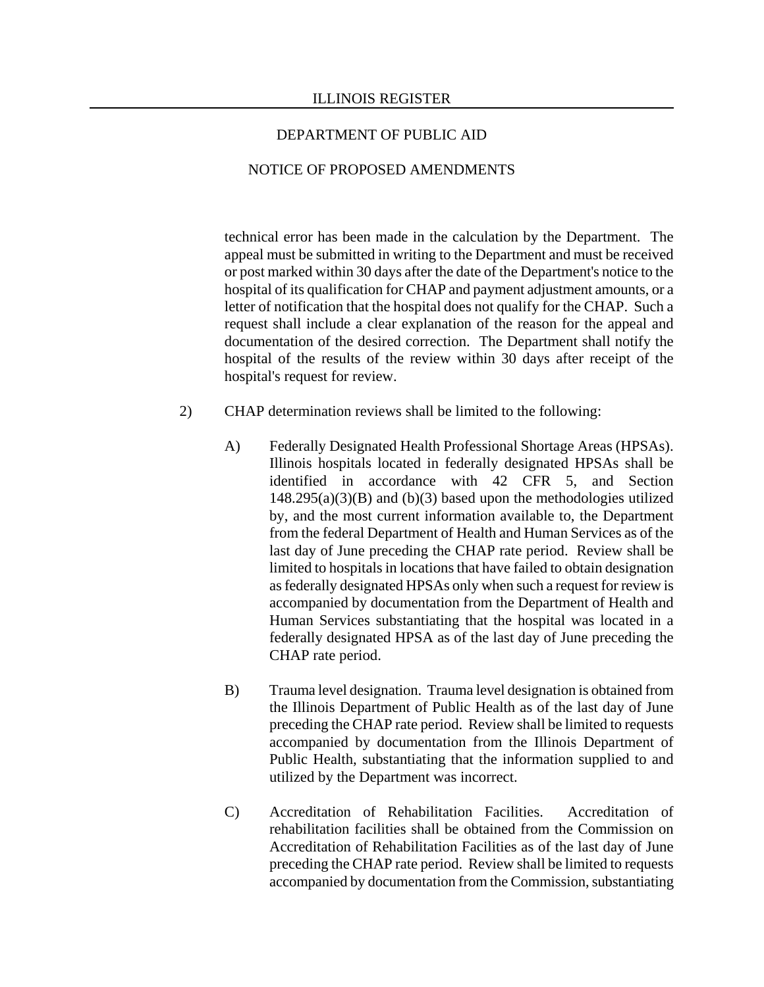### NOTICE OF PROPOSED AMENDMENTS

technical error has been made in the calculation by the Department. The appeal must be submitted in writing to the Department and must be received or post marked within 30 days after the date of the Department's notice to the hospital of its qualification for CHAP and payment adjustment amounts, or a letter of notification that the hospital does not qualify for the CHAP. Such a request shall include a clear explanation of the reason for the appeal and documentation of the desired correction. The Department shall notify the hospital of the results of the review within 30 days after receipt of the hospital's request for review.

- 2) CHAP determination reviews shall be limited to the following:
	- A) Federally Designated Health Professional Shortage Areas (HPSAs). Illinois hospitals located in federally designated HPSAs shall be identified in accordance with 42 CFR 5, and Section  $148.295(a)(3)(B)$  and (b)(3) based upon the methodologies utilized by, and the most current information available to, the Department from the federal Department of Health and Human Services as of the last day of June preceding the CHAP rate period. Review shall be limited to hospitals in locations that have failed to obtain designation as federally designated HPSAs only when such a request for review is accompanied by documentation from the Department of Health and Human Services substantiating that the hospital was located in a federally designated HPSA as of the last day of June preceding the CHAP rate period.
	- B) Trauma level designation. Trauma level designation is obtained from the Illinois Department of Public Health as of the last day of June preceding the CHAP rate period. Review shall be limited to requests accompanied by documentation from the Illinois Department of Public Health, substantiating that the information supplied to and utilized by the Department was incorrect.
	- C) Accreditation of Rehabilitation Facilities. Accreditation of rehabilitation facilities shall be obtained from the Commission on Accreditation of Rehabilitation Facilities as of the last day of June preceding the CHAP rate period. Review shall be limited to requests accompanied by documentation from the Commission, substantiating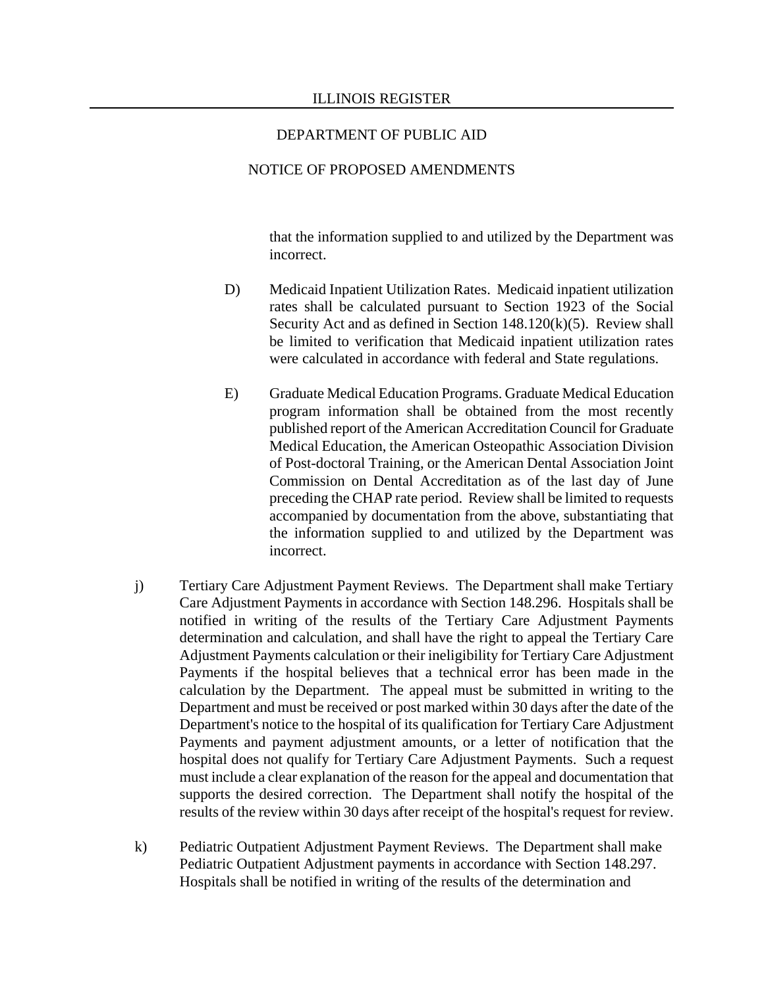### NOTICE OF PROPOSED AMENDMENTS

that the information supplied to and utilized by the Department was incorrect.

- D) Medicaid Inpatient Utilization Rates. Medicaid inpatient utilization rates shall be calculated pursuant to Section 1923 of the Social Security Act and as defined in Section 148.120(k)(5). Review shall be limited to verification that Medicaid inpatient utilization rates were calculated in accordance with federal and State regulations.
- E) Graduate Medical Education Programs. Graduate Medical Education program information shall be obtained from the most recently published report of the American Accreditation Council for Graduate Medical Education, the American Osteopathic Association Division of Post-doctoral Training, or the American Dental Association Joint Commission on Dental Accreditation as of the last day of June preceding the CHAP rate period. Review shall be limited to requests accompanied by documentation from the above, substantiating that the information supplied to and utilized by the Department was incorrect.
- j) Tertiary Care Adjustment Payment Reviews. The Department shall make Tertiary Care Adjustment Payments in accordance with Section 148.296. Hospitals shall be notified in writing of the results of the Tertiary Care Adjustment Payments determination and calculation, and shall have the right to appeal the Tertiary Care Adjustment Payments calculation or their ineligibility for Tertiary Care Adjustment Payments if the hospital believes that a technical error has been made in the calculation by the Department. The appeal must be submitted in writing to the Department and must be received or post marked within 30 days after the date of the Department's notice to the hospital of its qualification for Tertiary Care Adjustment Payments and payment adjustment amounts, or a letter of notification that the hospital does not qualify for Tertiary Care Adjustment Payments. Such a request must include a clear explanation of the reason for the appeal and documentation that supports the desired correction. The Department shall notify the hospital of the results of the review within 30 days after receipt of the hospital's request for review.
- k) Pediatric Outpatient Adjustment Payment Reviews. The Department shall make Pediatric Outpatient Adjustment payments in accordance with Section 148.297. Hospitals shall be notified in writing of the results of the determination and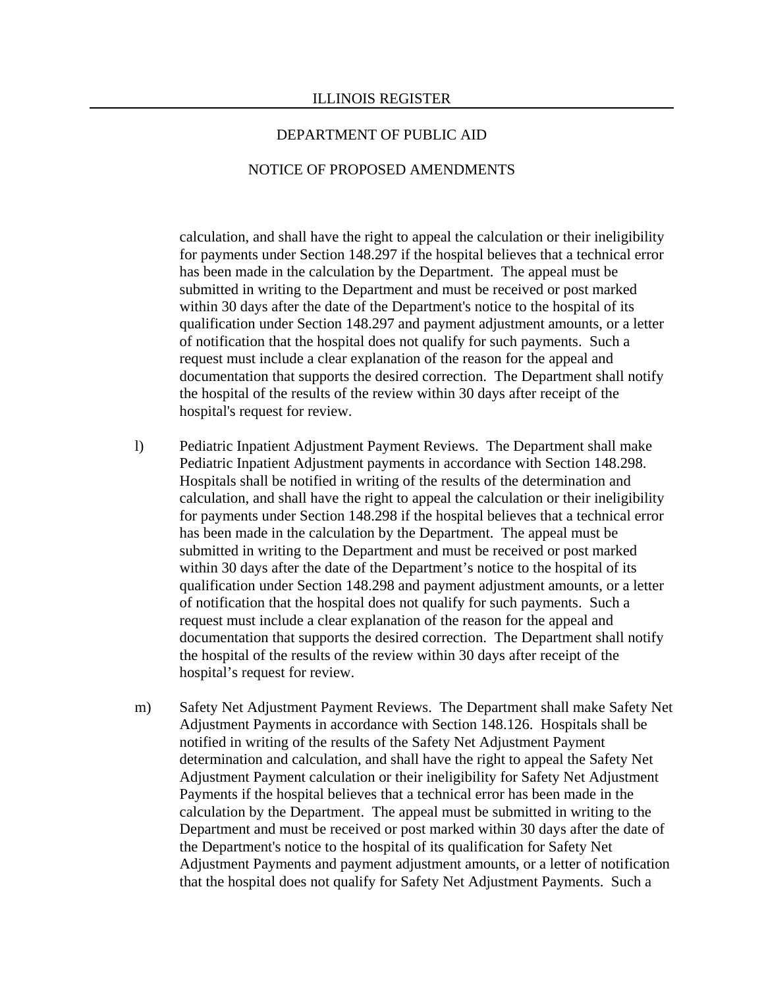#### NOTICE OF PROPOSED AMENDMENTS

calculation, and shall have the right to appeal the calculation or their ineligibility for payments under Section 148.297 if the hospital believes that a technical error has been made in the calculation by the Department. The appeal must be submitted in writing to the Department and must be received or post marked within 30 days after the date of the Department's notice to the hospital of its qualification under Section 148.297 and payment adjustment amounts, or a letter of notification that the hospital does not qualify for such payments. Such a request must include a clear explanation of the reason for the appeal and documentation that supports the desired correction. The Department shall notify the hospital of the results of the review within 30 days after receipt of the hospital's request for review.

- l) Pediatric Inpatient Adjustment Payment Reviews. The Department shall make Pediatric Inpatient Adjustment payments in accordance with Section 148.298. Hospitals shall be notified in writing of the results of the determination and calculation, and shall have the right to appeal the calculation or their ineligibility for payments under Section 148.298 if the hospital believes that a technical error has been made in the calculation by the Department. The appeal must be submitted in writing to the Department and must be received or post marked within 30 days after the date of the Department's notice to the hospital of its qualification under Section 148.298 and payment adjustment amounts, or a letter of notification that the hospital does not qualify for such payments. Such a request must include a clear explanation of the reason for the appeal and documentation that supports the desired correction. The Department shall notify the hospital of the results of the review within 30 days after receipt of the hospital's request for review.
- m) Safety Net Adjustment Payment Reviews. The Department shall make Safety Net Adjustment Payments in accordance with Section 148.126. Hospitals shall be notified in writing of the results of the Safety Net Adjustment Payment determination and calculation, and shall have the right to appeal the Safety Net Adjustment Payment calculation or their ineligibility for Safety Net Adjustment Payments if the hospital believes that a technical error has been made in the calculation by the Department. The appeal must be submitted in writing to the Department and must be received or post marked within 30 days after the date of the Department's notice to the hospital of its qualification for Safety Net Adjustment Payments and payment adjustment amounts, or a letter of notification that the hospital does not qualify for Safety Net Adjustment Payments. Such a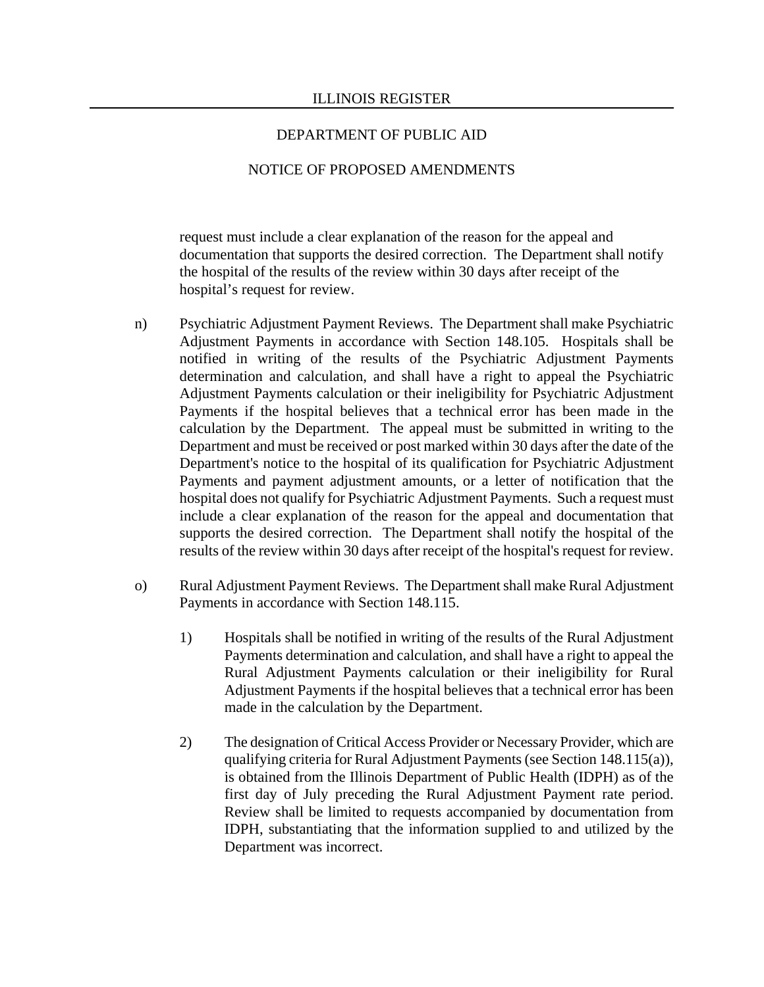## NOTICE OF PROPOSED AMENDMENTS

request must include a clear explanation of the reason for the appeal and documentation that supports the desired correction. The Department shall notify the hospital of the results of the review within 30 days after receipt of the hospital's request for review.

- n) Psychiatric Adjustment Payment Reviews. The Department shall make Psychiatric Adjustment Payments in accordance with Section 148.105. Hospitals shall be notified in writing of the results of the Psychiatric Adjustment Payments determination and calculation, and shall have a right to appeal the Psychiatric Adjustment Payments calculation or their ineligibility for Psychiatric Adjustment Payments if the hospital believes that a technical error has been made in the calculation by the Department. The appeal must be submitted in writing to the Department and must be received or post marked within 30 days after the date of the Department's notice to the hospital of its qualification for Psychiatric Adjustment Payments and payment adjustment amounts, or a letter of notification that the hospital does not qualify for Psychiatric Adjustment Payments. Such a request must include a clear explanation of the reason for the appeal and documentation that supports the desired correction. The Department shall notify the hospital of the results of the review within 30 days after receipt of the hospital's request for review.
- o) Rural Adjustment Payment Reviews. The Department shall make Rural Adjustment Payments in accordance with Section 148.115.
	- 1) Hospitals shall be notified in writing of the results of the Rural Adjustment Payments determination and calculation, and shall have a right to appeal the Rural Adjustment Payments calculation or their ineligibility for Rural Adjustment Payments if the hospital believes that a technical error has been made in the calculation by the Department.
	- 2) The designation of Critical Access Provider or Necessary Provider, which are qualifying criteria for Rural Adjustment Payments (see Section 148.115(a)), is obtained from the Illinois Department of Public Health (IDPH) as of the first day of July preceding the Rural Adjustment Payment rate period. Review shall be limited to requests accompanied by documentation from IDPH, substantiating that the information supplied to and utilized by the Department was incorrect.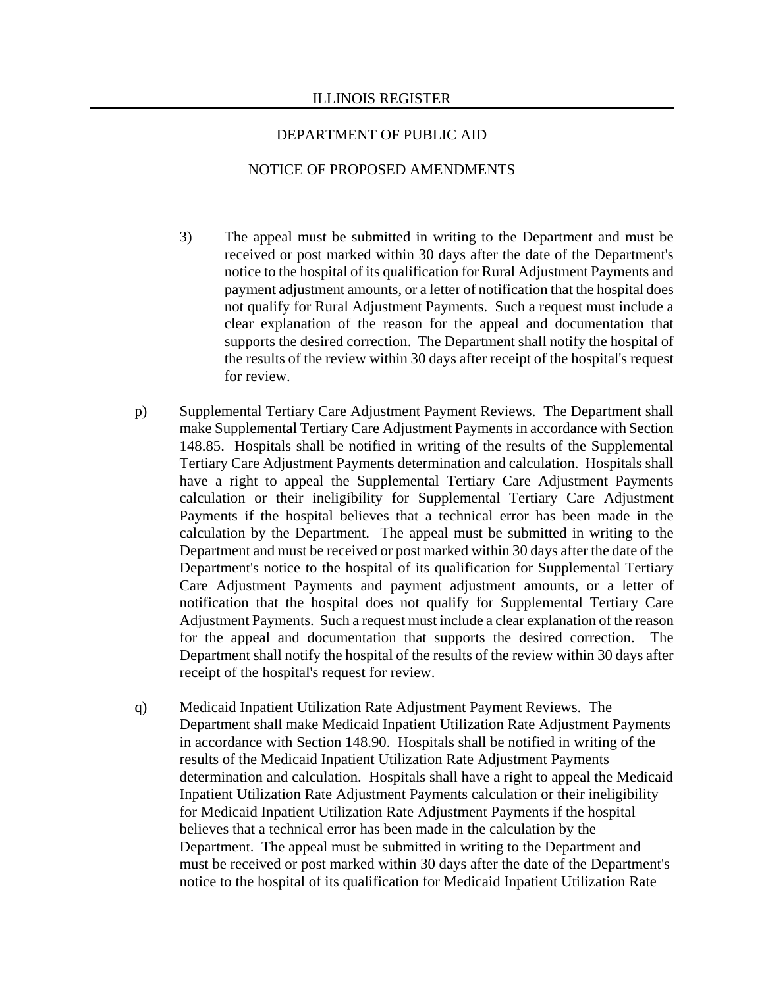#### NOTICE OF PROPOSED AMENDMENTS

- 3) The appeal must be submitted in writing to the Department and must be received or post marked within 30 days after the date of the Department's notice to the hospital of its qualification for Rural Adjustment Payments and payment adjustment amounts, or a letter of notification that the hospital does not qualify for Rural Adjustment Payments. Such a request must include a clear explanation of the reason for the appeal and documentation that supports the desired correction. The Department shall notify the hospital of the results of the review within 30 days after receipt of the hospital's request for review.
- p) Supplemental Tertiary Care Adjustment Payment Reviews. The Department shall make Supplemental Tertiary Care Adjustment Payments in accordance with Section 148.85. Hospitals shall be notified in writing of the results of the Supplemental Tertiary Care Adjustment Payments determination and calculation. Hospitals shall have a right to appeal the Supplemental Tertiary Care Adjustment Payments calculation or their ineligibility for Supplemental Tertiary Care Adjustment Payments if the hospital believes that a technical error has been made in the calculation by the Department. The appeal must be submitted in writing to the Department and must be received or post marked within 30 days after the date of the Department's notice to the hospital of its qualification for Supplemental Tertiary Care Adjustment Payments and payment adjustment amounts, or a letter of notification that the hospital does not qualify for Supplemental Tertiary Care Adjustment Payments. Such a request must include a clear explanation of the reason for the appeal and documentation that supports the desired correction. The Department shall notify the hospital of the results of the review within 30 days after receipt of the hospital's request for review.
- q) Medicaid Inpatient Utilization Rate Adjustment Payment Reviews. The Department shall make Medicaid Inpatient Utilization Rate Adjustment Payments in accordance with Section 148.90. Hospitals shall be notified in writing of the results of the Medicaid Inpatient Utilization Rate Adjustment Payments determination and calculation. Hospitals shall have a right to appeal the Medicaid Inpatient Utilization Rate Adjustment Payments calculation or their ineligibility for Medicaid Inpatient Utilization Rate Adjustment Payments if the hospital believes that a technical error has been made in the calculation by the Department. The appeal must be submitted in writing to the Department and must be received or post marked within 30 days after the date of the Department's notice to the hospital of its qualification for Medicaid Inpatient Utilization Rate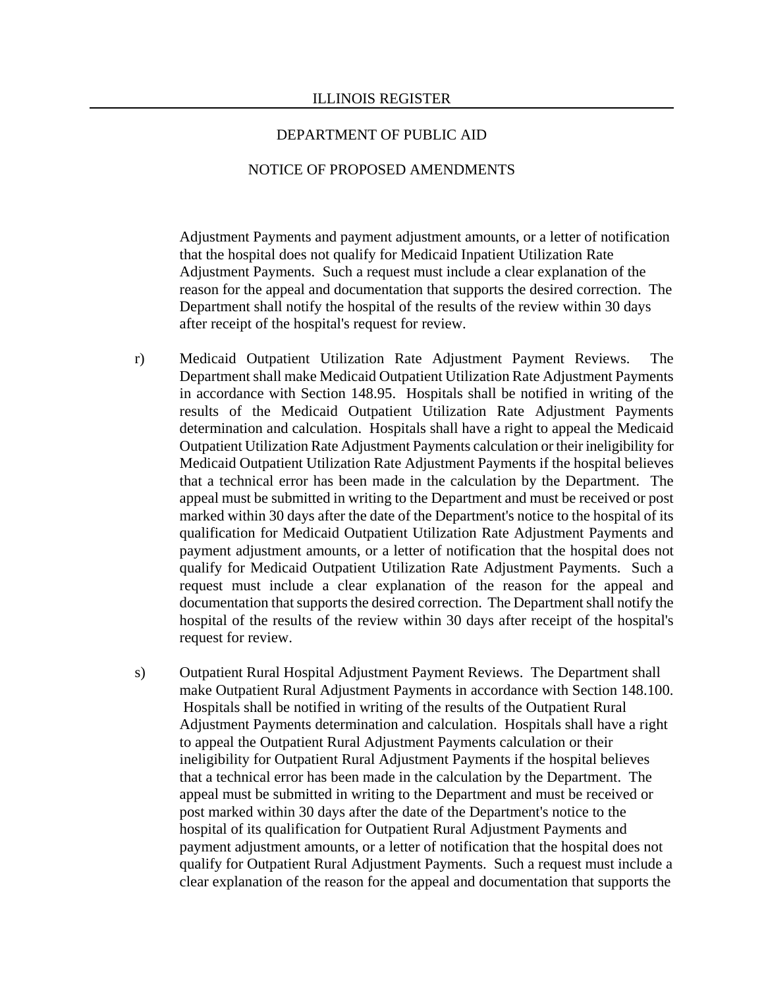#### NOTICE OF PROPOSED AMENDMENTS

Adjustment Payments and payment adjustment amounts, or a letter of notification that the hospital does not qualify for Medicaid Inpatient Utilization Rate Adjustment Payments. Such a request must include a clear explanation of the reason for the appeal and documentation that supports the desired correction. The Department shall notify the hospital of the results of the review within 30 days after receipt of the hospital's request for review.

- r) Medicaid Outpatient Utilization Rate Adjustment Payment Reviews. The Department shall make Medicaid Outpatient Utilization Rate Adjustment Payments in accordance with Section 148.95. Hospitals shall be notified in writing of the results of the Medicaid Outpatient Utilization Rate Adjustment Payments determination and calculation. Hospitals shall have a right to appeal the Medicaid Outpatient Utilization Rate Adjustment Payments calculation or their ineligibility for Medicaid Outpatient Utilization Rate Adjustment Payments if the hospital believes that a technical error has been made in the calculation by the Department. The appeal must be submitted in writing to the Department and must be received or post marked within 30 days after the date of the Department's notice to the hospital of its qualification for Medicaid Outpatient Utilization Rate Adjustment Payments and payment adjustment amounts, or a letter of notification that the hospital does not qualify for Medicaid Outpatient Utilization Rate Adjustment Payments. Such a request must include a clear explanation of the reason for the appeal and documentation that supports the desired correction. The Department shall notify the hospital of the results of the review within 30 days after receipt of the hospital's request for review.
- s) Outpatient Rural Hospital Adjustment Payment Reviews. The Department shall make Outpatient Rural Adjustment Payments in accordance with Section 148.100. Hospitals shall be notified in writing of the results of the Outpatient Rural Adjustment Payments determination and calculation. Hospitals shall have a right to appeal the Outpatient Rural Adjustment Payments calculation or their ineligibility for Outpatient Rural Adjustment Payments if the hospital believes that a technical error has been made in the calculation by the Department. The appeal must be submitted in writing to the Department and must be received or post marked within 30 days after the date of the Department's notice to the hospital of its qualification for Outpatient Rural Adjustment Payments and payment adjustment amounts, or a letter of notification that the hospital does not qualify for Outpatient Rural Adjustment Payments. Such a request must include a clear explanation of the reason for the appeal and documentation that supports the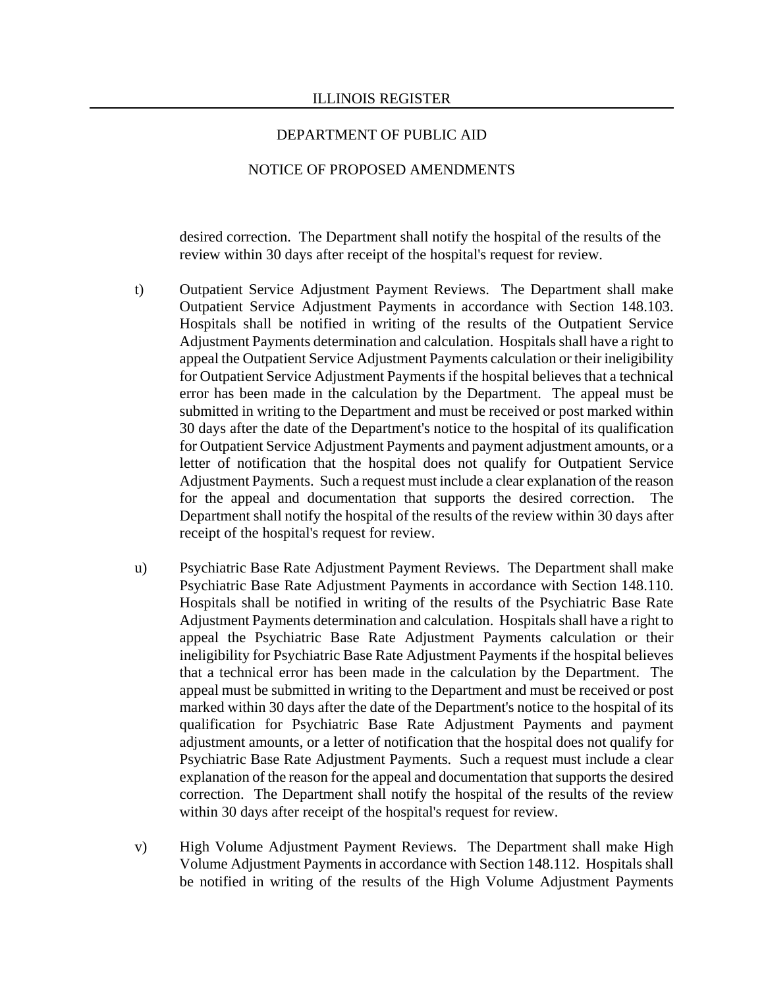### NOTICE OF PROPOSED AMENDMENTS

desired correction. The Department shall notify the hospital of the results of the review within 30 days after receipt of the hospital's request for review.

- t) Outpatient Service Adjustment Payment Reviews. The Department shall make Outpatient Service Adjustment Payments in accordance with Section 148.103. Hospitals shall be notified in writing of the results of the Outpatient Service Adjustment Payments determination and calculation. Hospitals shall have a right to appeal the Outpatient Service Adjustment Payments calculation or their ineligibility for Outpatient Service Adjustment Payments if the hospital believes that a technical error has been made in the calculation by the Department. The appeal must be submitted in writing to the Department and must be received or post marked within 30 days after the date of the Department's notice to the hospital of its qualification for Outpatient Service Adjustment Payments and payment adjustment amounts, or a letter of notification that the hospital does not qualify for Outpatient Service Adjustment Payments. Such a request must include a clear explanation of the reason for the appeal and documentation that supports the desired correction. The Department shall notify the hospital of the results of the review within 30 days after receipt of the hospital's request for review.
- u) Psychiatric Base Rate Adjustment Payment Reviews. The Department shall make Psychiatric Base Rate Adjustment Payments in accordance with Section 148.110. Hospitals shall be notified in writing of the results of the Psychiatric Base Rate Adjustment Payments determination and calculation. Hospitals shall have a right to appeal the Psychiatric Base Rate Adjustment Payments calculation or their ineligibility for Psychiatric Base Rate Adjustment Payments if the hospital believes that a technical error has been made in the calculation by the Department. The appeal must be submitted in writing to the Department and must be received or post marked within 30 days after the date of the Department's notice to the hospital of its qualification for Psychiatric Base Rate Adjustment Payments and payment adjustment amounts, or a letter of notification that the hospital does not qualify for Psychiatric Base Rate Adjustment Payments. Such a request must include a clear explanation of the reason for the appeal and documentation that supports the desired correction. The Department shall notify the hospital of the results of the review within 30 days after receipt of the hospital's request for review.
- v) High Volume Adjustment Payment Reviews. The Department shall make High Volume Adjustment Payments in accordance with Section 148.112. Hospitals shall be notified in writing of the results of the High Volume Adjustment Payments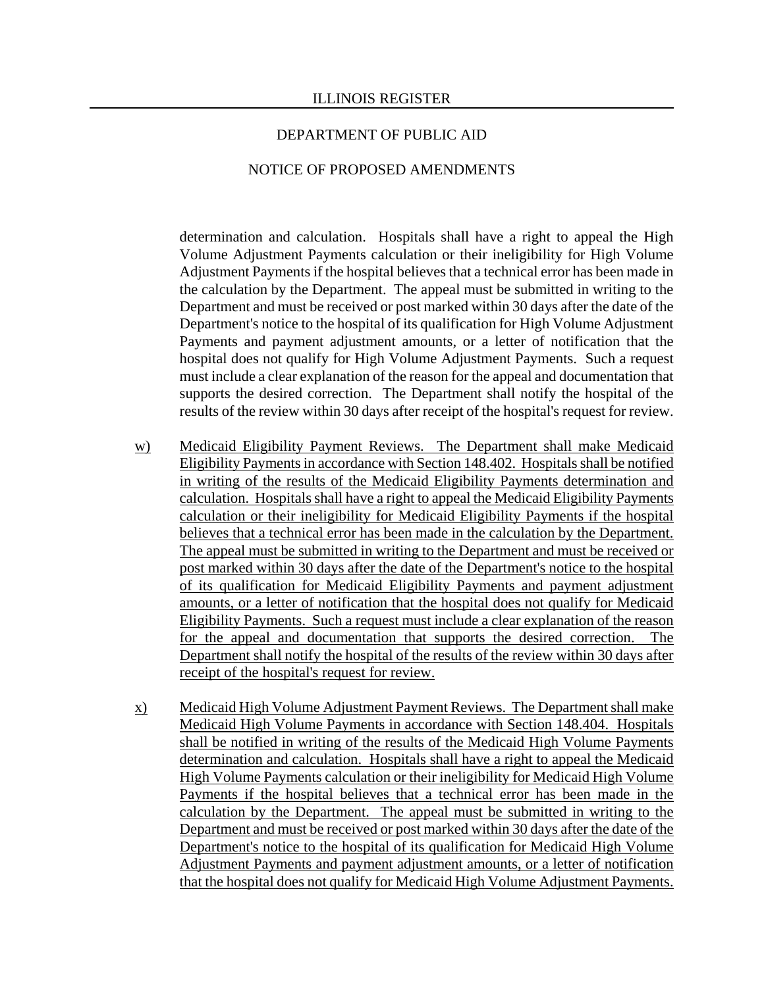#### NOTICE OF PROPOSED AMENDMENTS

determination and calculation. Hospitals shall have a right to appeal the High Volume Adjustment Payments calculation or their ineligibility for High Volume Adjustment Payments if the hospital believes that a technical error has been made in the calculation by the Department. The appeal must be submitted in writing to the Department and must be received or post marked within 30 days after the date of the Department's notice to the hospital of its qualification for High Volume Adjustment Payments and payment adjustment amounts, or a letter of notification that the hospital does not qualify for High Volume Adjustment Payments. Such a request must include a clear explanation of the reason for the appeal and documentation that supports the desired correction. The Department shall notify the hospital of the results of the review within 30 days after receipt of the hospital's request for review.

- w) Medicaid Eligibility Payment Reviews. The Department shall make Medicaid Eligibility Payments in accordance with Section 148.402. Hospitals shall be notified in writing of the results of the Medicaid Eligibility Payments determination and calculation. Hospitals shall have a right to appeal the Medicaid Eligibility Payments calculation or their ineligibility for Medicaid Eligibility Payments if the hospital believes that a technical error has been made in the calculation by the Department. The appeal must be submitted in writing to the Department and must be received or post marked within 30 days after the date of the Department's notice to the hospital of its qualification for Medicaid Eligibility Payments and payment adjustment amounts, or a letter of notification that the hospital does not qualify for Medicaid Eligibility Payments. Such a request must include a clear explanation of the reason for the appeal and documentation that supports the desired correction. The Department shall notify the hospital of the results of the review within 30 days after receipt of the hospital's request for review.
- x) Medicaid High Volume Adjustment Payment Reviews. The Department shall make Medicaid High Volume Payments in accordance with Section 148.404. Hospitals shall be notified in writing of the results of the Medicaid High Volume Payments determination and calculation. Hospitals shall have a right to appeal the Medicaid High Volume Payments calculation or their ineligibility for Medicaid High Volume Payments if the hospital believes that a technical error has been made in the calculation by the Department. The appeal must be submitted in writing to the Department and must be received or post marked within 30 days after the date of the Department's notice to the hospital of its qualification for Medicaid High Volume Adjustment Payments and payment adjustment amounts, or a letter of notification that the hospital does not qualify for Medicaid High Volume Adjustment Payments.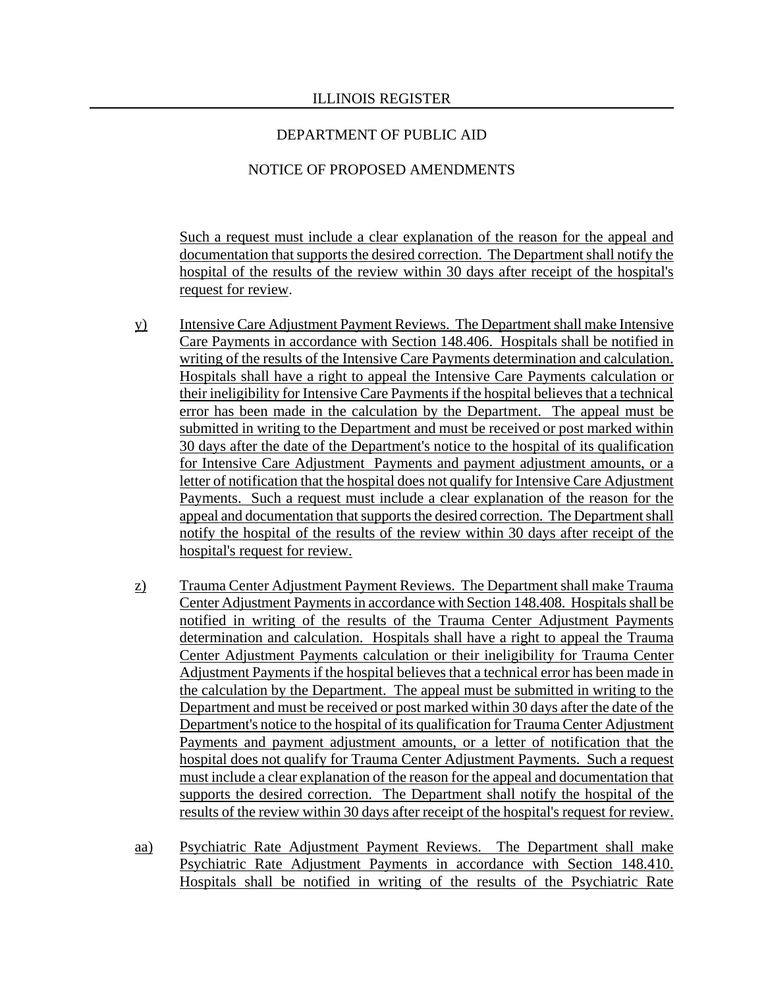## NOTICE OF PROPOSED AMENDMENTS

Such a request must include a clear explanation of the reason for the appeal and documentation that supports the desired correction. The Department shall notify the hospital of the results of the review within 30 days after receipt of the hospital's request for review.

- y) Intensive Care Adjustment Payment Reviews. The Department shall make Intensive Care Payments in accordance with Section 148.406. Hospitals shall be notified in writing of the results of the Intensive Care Payments determination and calculation. Hospitals shall have a right to appeal the Intensive Care Payments calculation or their ineligibility for Intensive Care Payments if the hospital believes that a technical error has been made in the calculation by the Department. The appeal must be submitted in writing to the Department and must be received or post marked within 30 days after the date of the Department's notice to the hospital of its qualification for Intensive Care Adjustment Payments and payment adjustment amounts, or a letter of notification that the hospital does not qualify for Intensive Care Adjustment Payments. Such a request must include a clear explanation of the reason for the appeal and documentation that supports the desired correction. The Department shall notify the hospital of the results of the review within 30 days after receipt of the hospital's request for review.
- z) Trauma Center Adjustment Payment Reviews. The Department shall make Trauma Center Adjustment Payments in accordance with Section 148.408. Hospitals shall be notified in writing of the results of the Trauma Center Adjustment Payments determination and calculation. Hospitals shall have a right to appeal the Trauma Center Adjustment Payments calculation or their ineligibility for Trauma Center Adjustment Payments if the hospital believes that a technical error has been made in the calculation by the Department. The appeal must be submitted in writing to the Department and must be received or post marked within 30 days after the date of the Department's notice to the hospital of its qualification for Trauma Center Adjustment Payments and payment adjustment amounts, or a letter of notification that the hospital does not qualify for Trauma Center Adjustment Payments. Such a request must include a clear explanation of the reason for the appeal and documentation that supports the desired correction. The Department shall notify the hospital of the results of the review within 30 days after receipt of the hospital's request for review.
- aa) Psychiatric Rate Adjustment Payment Reviews. The Department shall make Psychiatric Rate Adjustment Payments in accordance with Section 148.410. Hospitals shall be notified in writing of the results of the Psychiatric Rate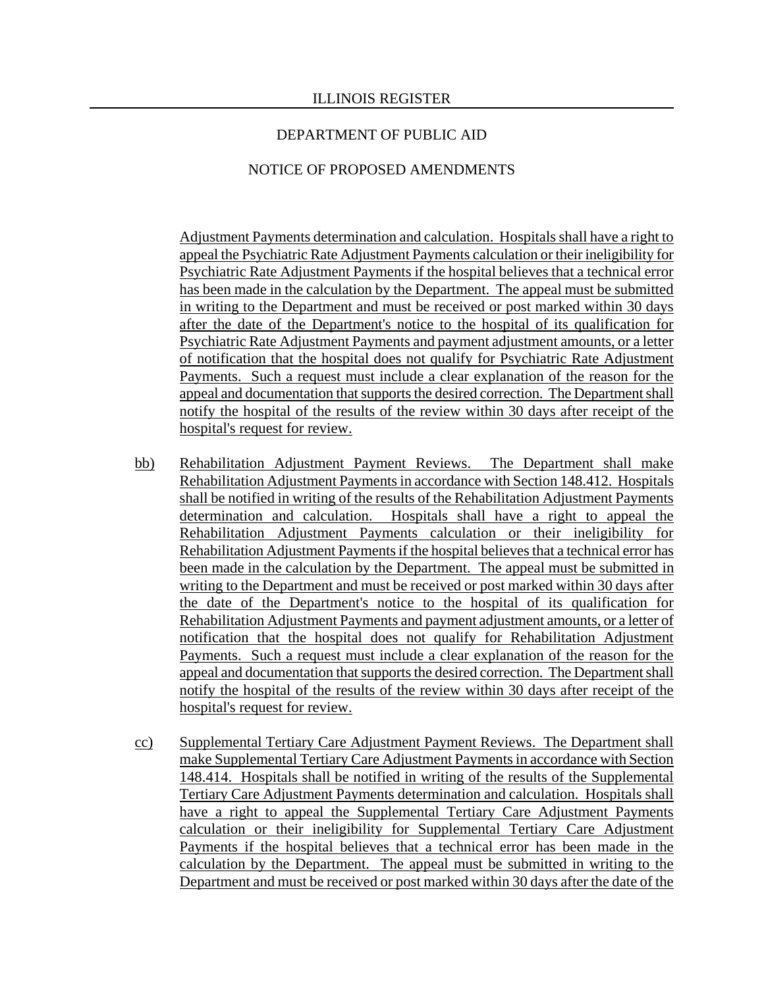### NOTICE OF PROPOSED AMENDMENTS

Adjustment Payments determination and calculation. Hospitals shall have a right to appeal the Psychiatric Rate Adjustment Payments calculation or their ineligibility for Psychiatric Rate Adjustment Payments if the hospital believes that a technical error has been made in the calculation by the Department. The appeal must be submitted in writing to the Department and must be received or post marked within 30 days after the date of the Department's notice to the hospital of its qualification for Psychiatric Rate Adjustment Payments and payment adjustment amounts, or a letter of notification that the hospital does not qualify for Psychiatric Rate Adjustment Payments. Such a request must include a clear explanation of the reason for the appeal and documentation that supports the desired correction. The Department shall notify the hospital of the results of the review within 30 days after receipt of the hospital's request for review.

- bb) Rehabilitation Adjustment Payment Reviews. The Department shall make Rehabilitation Adjustment Payments in accordance with Section 148.412. Hospitals shall be notified in writing of the results of the Rehabilitation Adjustment Payments determination and calculation. Hospitals shall have a right to appeal the Rehabilitation Adjustment Payments calculation or their ineligibility for Rehabilitation Adjustment Payments if the hospital believes that a technical error has been made in the calculation by the Department. The appeal must be submitted in writing to the Department and must be received or post marked within 30 days after the date of the Department's notice to the hospital of its qualification for Rehabilitation Adjustment Payments and payment adjustment amounts, or a letter of notification that the hospital does not qualify for Rehabilitation Adjustment Payments. Such a request must include a clear explanation of the reason for the appeal and documentation that supports the desired correction. The Department shall notify the hospital of the results of the review within 30 days after receipt of the hospital's request for review.
- cc) Supplemental Tertiary Care Adjustment Payment Reviews. The Department shall make Supplemental Tertiary Care Adjustment Payments in accordance with Section 148.414. Hospitals shall be notified in writing of the results of the Supplemental Tertiary Care Adjustment Payments determination and calculation. Hospitals shall have a right to appeal the Supplemental Tertiary Care Adjustment Payments calculation or their ineligibility for Supplemental Tertiary Care Adjustment Payments if the hospital believes that a technical error has been made in the calculation by the Department. The appeal must be submitted in writing to the Department and must be received or post marked within 30 days after the date of the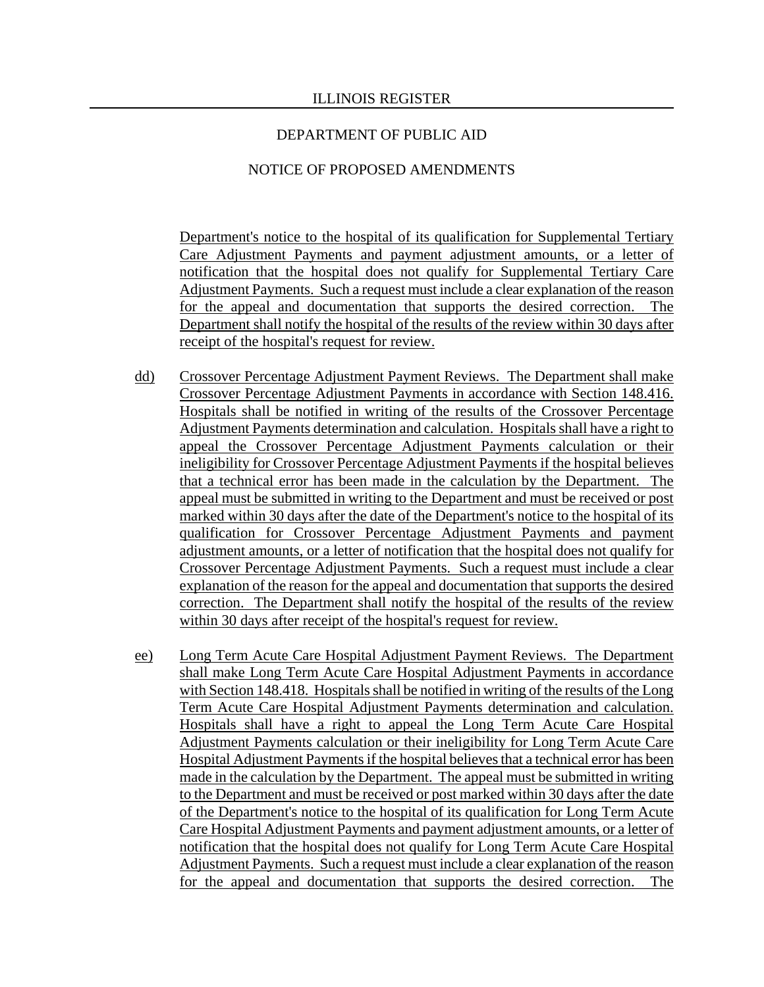### NOTICE OF PROPOSED AMENDMENTS

Department's notice to the hospital of its qualification for Supplemental Tertiary Care Adjustment Payments and payment adjustment amounts, or a letter of notification that the hospital does not qualify for Supplemental Tertiary Care Adjustment Payments. Such a request must include a clear explanation of the reason for the appeal and documentation that supports the desired correction. Department shall notify the hospital of the results of the review within 30 days after receipt of the hospital's request for review.

- dd) Crossover Percentage Adjustment Payment Reviews. The Department shall make Crossover Percentage Adjustment Payments in accordance with Section 148.416. Hospitals shall be notified in writing of the results of the Crossover Percentage Adjustment Payments determination and calculation. Hospitals shall have a right to appeal the Crossover Percentage Adjustment Payments calculation or their ineligibility for Crossover Percentage Adjustment Payments if the hospital believes that a technical error has been made in the calculation by the Department. The appeal must be submitted in writing to the Department and must be received or post marked within 30 days after the date of the Department's notice to the hospital of its qualification for Crossover Percentage Adjustment Payments and payment adjustment amounts, or a letter of notification that the hospital does not qualify for Crossover Percentage Adjustment Payments. Such a request must include a clear explanation of the reason for the appeal and documentation that supports the desired correction. The Department shall notify the hospital of the results of the review within 30 days after receipt of the hospital's request for review.
- ee) Long Term Acute Care Hospital Adjustment Payment Reviews. The Department shall make Long Term Acute Care Hospital Adjustment Payments in accordance with Section 148.418. Hospitals shall be notified in writing of the results of the Long Term Acute Care Hospital Adjustment Payments determination and calculation. Hospitals shall have a right to appeal the Long Term Acute Care Hospital Adjustment Payments calculation or their ineligibility for Long Term Acute Care Hospital Adjustment Payments if the hospital believes that a technical error has been made in the calculation by the Department. The appeal must be submitted in writing to the Department and must be received or post marked within 30 days after the date of the Department's notice to the hospital of its qualification for Long Term Acute Care Hospital Adjustment Payments and payment adjustment amounts, or a letter of notification that the hospital does not qualify for Long Term Acute Care Hospital Adjustment Payments. Such a request must include a clear explanation of the reason for the appeal and documentation that supports the desired correction. The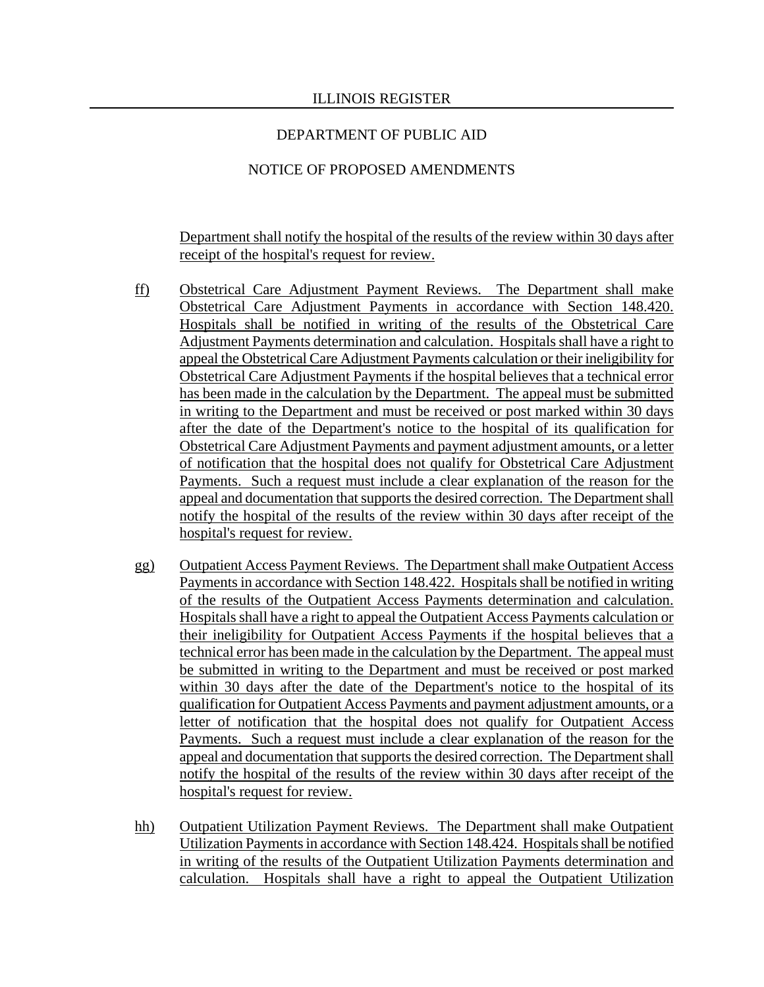# NOTICE OF PROPOSED AMENDMENTS

Department shall notify the hospital of the results of the review within 30 days after receipt of the hospital's request for review.

- ff) Obstetrical Care Adjustment Payment Reviews. The Department shall make Obstetrical Care Adjustment Payments in accordance with Section 148.420. Hospitals shall be notified in writing of the results of the Obstetrical Care Adjustment Payments determination and calculation. Hospitals shall have a right to appeal the Obstetrical Care Adjustment Payments calculation or their ineligibility for Obstetrical Care Adjustment Payments if the hospital believes that a technical error has been made in the calculation by the Department. The appeal must be submitted in writing to the Department and must be received or post marked within 30 days after the date of the Department's notice to the hospital of its qualification for Obstetrical Care Adjustment Payments and payment adjustment amounts, or a letter of notification that the hospital does not qualify for Obstetrical Care Adjustment Payments. Such a request must include a clear explanation of the reason for the appeal and documentation that supports the desired correction. The Department shall notify the hospital of the results of the review within 30 days after receipt of the hospital's request for review.
- gg) Outpatient Access Payment Reviews. The Department shall make Outpatient Access Payments in accordance with Section 148.422. Hospitals shall be notified in writing of the results of the Outpatient Access Payments determination and calculation. Hospitals shall have a right to appeal the Outpatient Access Payments calculation or their ineligibility for Outpatient Access Payments if the hospital believes that a technical error has been made in the calculation by the Department. The appeal must be submitted in writing to the Department and must be received or post marked within 30 days after the date of the Department's notice to the hospital of its qualification for Outpatient Access Payments and payment adjustment amounts, or a letter of notification that the hospital does not qualify for Outpatient Access Payments. Such a request must include a clear explanation of the reason for the appeal and documentation that supports the desired correction. The Department shall notify the hospital of the results of the review within 30 days after receipt of the hospital's request for review.
- hh) Outpatient Utilization Payment Reviews. The Department shall make Outpatient Utilization Payments in accordance with Section 148.424. Hospitals shall be notified in writing of the results of the Outpatient Utilization Payments determination and calculation. Hospitals shall have a right to appeal the Outpatient Utilization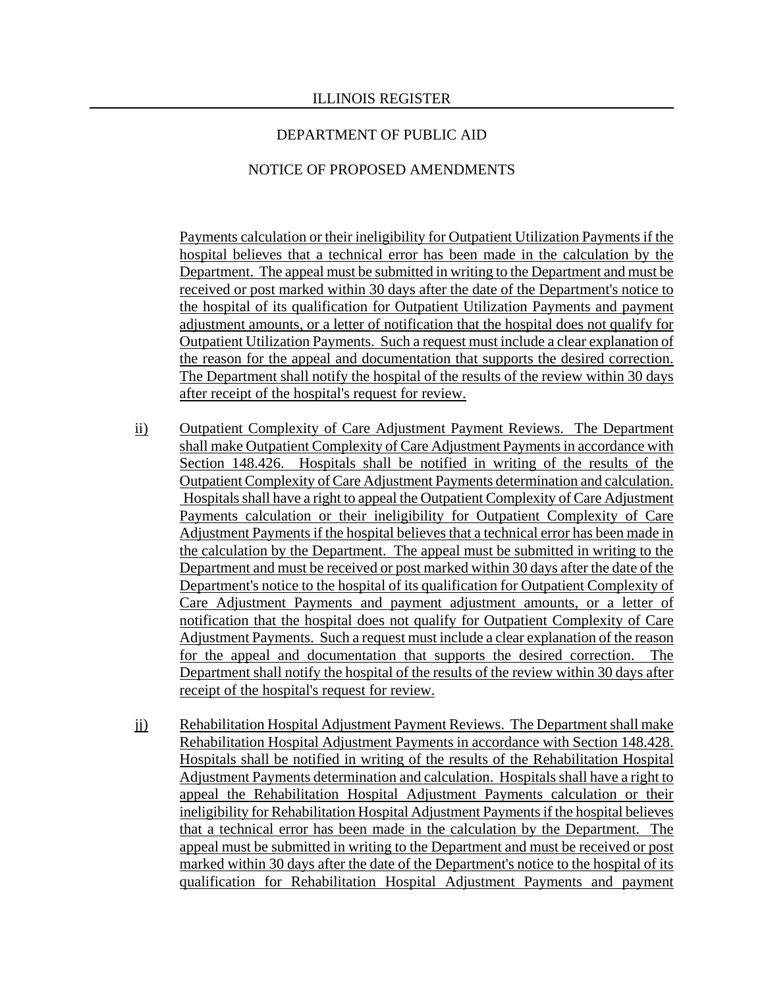### NOTICE OF PROPOSED AMENDMENTS

Payments calculation or their ineligibility for Outpatient Utilization Payments if the hospital believes that a technical error has been made in the calculation by the Department. The appeal must be submitted in writing to the Department and must be received or post marked within 30 days after the date of the Department's notice to the hospital of its qualification for Outpatient Utilization Payments and payment adjustment amounts, or a letter of notification that the hospital does not qualify for Outpatient Utilization Payments. Such a request must include a clear explanation of the reason for the appeal and documentation that supports the desired correction. The Department shall notify the hospital of the results of the review within 30 days after receipt of the hospital's request for review.

- ii) Outpatient Complexity of Care Adjustment Payment Reviews. The Department shall make Outpatient Complexity of Care Adjustment Payments in accordance with Section 148.426. Hospitals shall be notified in writing of the results of the Outpatient Complexity of Care Adjustment Payments determination and calculation. Hospitals shall have a right to appeal the Outpatient Complexity of Care Adjustment Payments calculation or their ineligibility for Outpatient Complexity of Care Adjustment Payments if the hospital believes that a technical error has been made in the calculation by the Department. The appeal must be submitted in writing to the Department and must be received or post marked within 30 days after the date of the Department's notice to the hospital of its qualification for Outpatient Complexity of Care Adjustment Payments and payment adjustment amounts, or a letter of notification that the hospital does not qualify for Outpatient Complexity of Care Adjustment Payments. Such a request must include a clear explanation of the reason for the appeal and documentation that supports the desired correction. The Department shall notify the hospital of the results of the review within 30 days after receipt of the hospital's request for review.
- jj) Rehabilitation Hospital Adjustment Payment Reviews. The Department shall make Rehabilitation Hospital Adjustment Payments in accordance with Section 148.428. Hospitals shall be notified in writing of the results of the Rehabilitation Hospital Adjustment Payments determination and calculation. Hospitals shall have a right to appeal the Rehabilitation Hospital Adjustment Payments calculation or their ineligibility for Rehabilitation Hospital Adjustment Payments if the hospital believes that a technical error has been made in the calculation by the Department. The appeal must be submitted in writing to the Department and must be received or post marked within 30 days after the date of the Department's notice to the hospital of its qualification for Rehabilitation Hospital Adjustment Payments and payment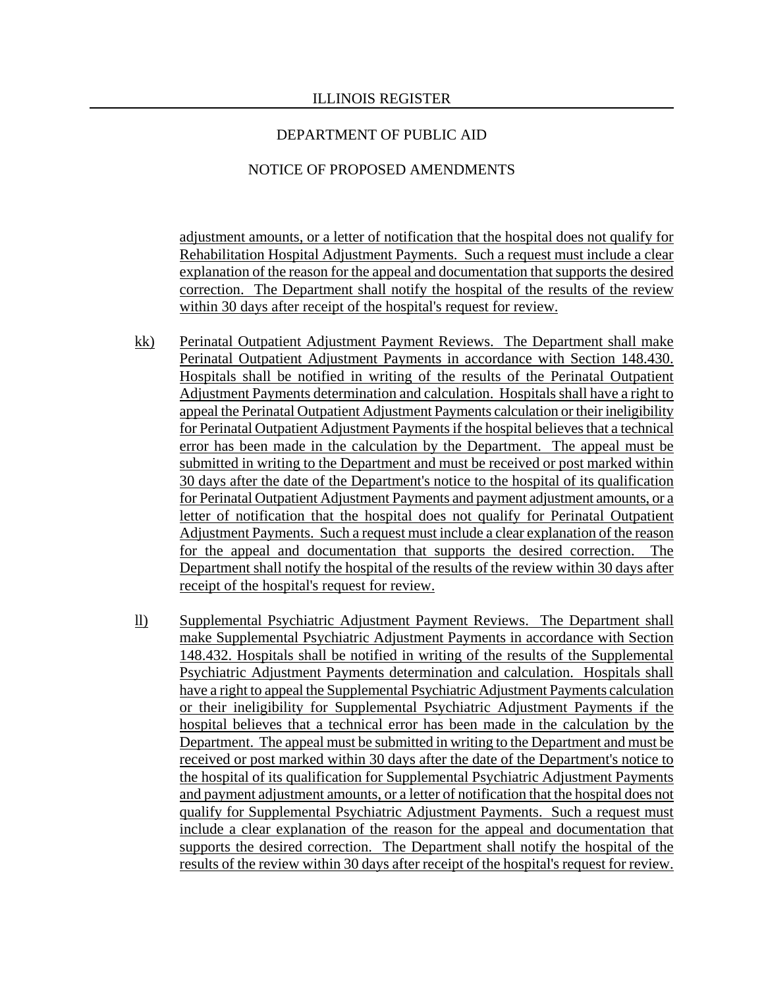### NOTICE OF PROPOSED AMENDMENTS

adjustment amounts, or a letter of notification that the hospital does not qualify for Rehabilitation Hospital Adjustment Payments. Such a request must include a clear explanation of the reason for the appeal and documentation that supports the desired correction. The Department shall notify the hospital of the results of the review within 30 days after receipt of the hospital's request for review.

- kk) Perinatal Outpatient Adjustment Payment Reviews. The Department shall make Perinatal Outpatient Adjustment Payments in accordance with Section 148.430. Hospitals shall be notified in writing of the results of the Perinatal Outpatient Adjustment Payments determination and calculation. Hospitals shall have a right to appeal the Perinatal Outpatient Adjustment Payments calculation or their ineligibility for Perinatal Outpatient Adjustment Payments if the hospital believes that a technical error has been made in the calculation by the Department. The appeal must be submitted in writing to the Department and must be received or post marked within 30 days after the date of the Department's notice to the hospital of its qualification for Perinatal Outpatient Adjustment Payments and payment adjustment amounts, or a letter of notification that the hospital does not qualify for Perinatal Outpatient Adjustment Payments. Such a request must include a clear explanation of the reason for the appeal and documentation that supports the desired correction. The Department shall notify the hospital of the results of the review within 30 days after receipt of the hospital's request for review.
- ll) Supplemental Psychiatric Adjustment Payment Reviews. The Department shall make Supplemental Psychiatric Adjustment Payments in accordance with Section 148.432. Hospitals shall be notified in writing of the results of the Supplemental Psychiatric Adjustment Payments determination and calculation. Hospitals shall have a right to appeal the Supplemental Psychiatric Adjustment Payments calculation or their ineligibility for Supplemental Psychiatric Adjustment Payments if the hospital believes that a technical error has been made in the calculation by the Department. The appeal must be submitted in writing to the Department and must be received or post marked within 30 days after the date of the Department's notice to the hospital of its qualification for Supplemental Psychiatric Adjustment Payments and payment adjustment amounts, or a letter of notification that the hospital does not qualify for Supplemental Psychiatric Adjustment Payments. Such a request must include a clear explanation of the reason for the appeal and documentation that supports the desired correction. The Department shall notify the hospital of the results of the review within 30 days after receipt of the hospital's request for review.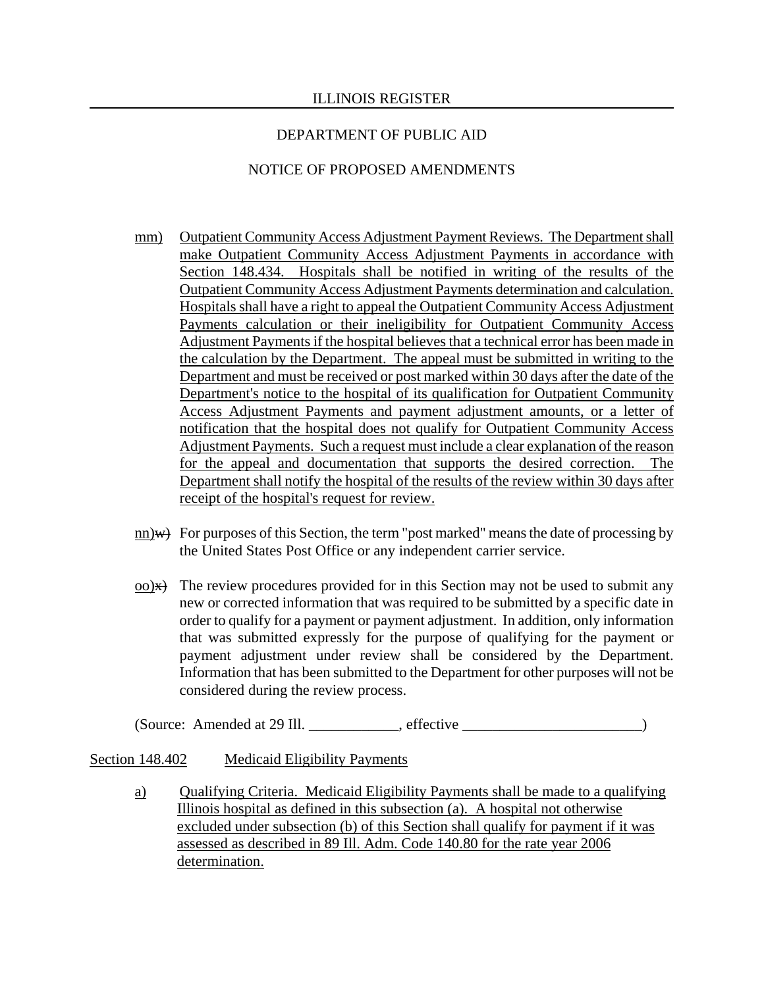## NOTICE OF PROPOSED AMENDMENTS

- mm) Outpatient Community Access Adjustment Payment Reviews. The Department shall make Outpatient Community Access Adjustment Payments in accordance with Section 148.434. Hospitals shall be notified in writing of the results of the Outpatient Community Access Adjustment Payments determination and calculation. Hospitals shall have a right to appeal the Outpatient Community Access Adjustment Payments calculation or their ineligibility for Outpatient Community Access Adjustment Payments if the hospital believes that a technical error has been made in the calculation by the Department. The appeal must be submitted in writing to the Department and must be received or post marked within 30 days after the date of the Department's notice to the hospital of its qualification for Outpatient Community Access Adjustment Payments and payment adjustment amounts, or a letter of notification that the hospital does not qualify for Outpatient Community Access Adjustment Payments. Such a request must include a clear explanation of the reason for the appeal and documentation that supports the desired correction. The Department shall notify the hospital of the results of the review within 30 days after receipt of the hospital's request for review.
- $\underline{\text{nn}}$  For purposes of this Section, the term "post marked" means the date of processing by the United States Post Office or any independent carrier service.
- $\alpha$ ) $\rightarrow$  The review procedures provided for in this Section may not be used to submit any new or corrected information that was required to be submitted by a specific date in order to qualify for a payment or payment adjustment. In addition, only information that was submitted expressly for the purpose of qualifying for the payment or payment adjustment under review shall be considered by the Department. Information that has been submitted to the Department for other purposes will not be considered during the review process.

(Source: Amended at 29 Ill. \_\_\_\_\_\_\_\_\_\_\_\_, effective \_\_\_\_\_\_\_\_\_\_\_\_\_\_\_\_\_\_\_\_\_\_\_\_)

### Section 148.402 Medicaid Eligibility Payments

a) Qualifying Criteria. Medicaid Eligibility Payments shall be made to a qualifying Illinois hospital as defined in this subsection (a). A hospital not otherwise excluded under subsection (b) of this Section shall qualify for payment if it was assessed as described in 89 Ill. Adm. Code 140.80 for the rate year 2006 determination.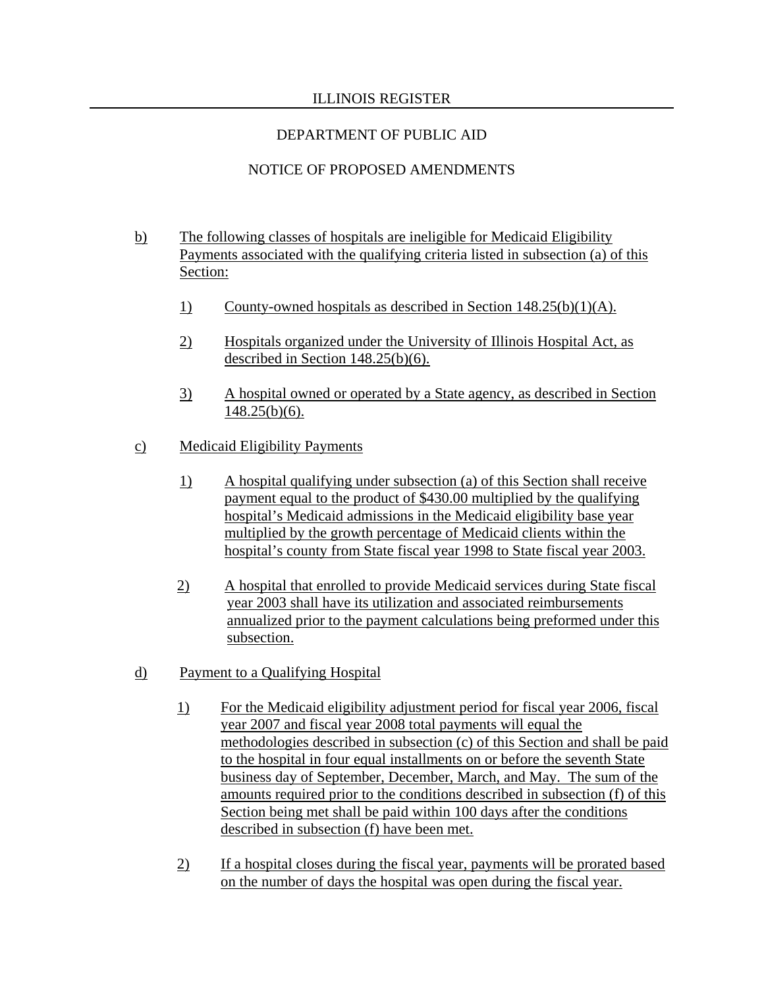# DEPARTMENT OF PUBLIC AID

# NOTICE OF PROPOSED AMENDMENTS

- b) The following classes of hospitals are ineligible for Medicaid Eligibility Payments associated with the qualifying criteria listed in subsection (a) of this Section:
	- 1) County-owned hospitals as described in Section 148.25(b)(1)(A).
	- 2) Hospitals organized under the University of Illinois Hospital Act, as described in Section 148.25(b)(6).
	- 3) A hospital owned or operated by a State agency, as described in Section 148.25(b)(6).
- c) Medicaid Eligibility Payments
	- 1) A hospital qualifying under subsection (a) of this Section shall receive payment equal to the product of \$430.00 multiplied by the qualifying hospital's Medicaid admissions in the Medicaid eligibility base year multiplied by the growth percentage of Medicaid clients within the hospital's county from State fiscal year 1998 to State fiscal year 2003.
	- 2) A hospital that enrolled to provide Medicaid services during State fiscal year 2003 shall have its utilization and associated reimbursements annualized prior to the payment calculations being preformed under this subsection.
- d) Payment to a Qualifying Hospital
	- 1) For the Medicaid eligibility adjustment period for fiscal year 2006, fiscal year 2007 and fiscal year 2008 total payments will equal the methodologies described in subsection (c) of this Section and shall be paid to the hospital in four equal installments on or before the seventh State business day of September, December, March, and May. The sum of the amounts required prior to the conditions described in subsection (f) of this Section being met shall be paid within 100 days after the conditions described in subsection (f) have been met.
	- 2) If a hospital closes during the fiscal year, payments will be prorated based on the number of days the hospital was open during the fiscal year.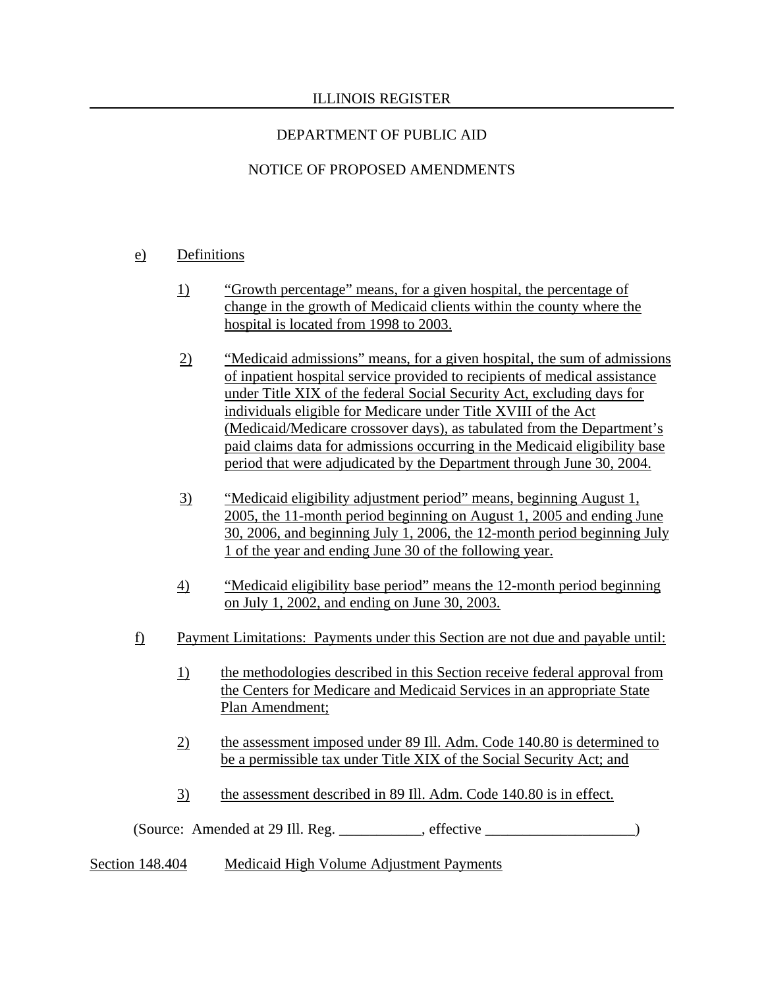# NOTICE OF PROPOSED AMENDMENTS

# e) Definitions

- 1) "Growth percentage" means, for a given hospital, the percentage of change in the growth of Medicaid clients within the county where the hospital is located from 1998 to 2003.
- 2) "Medicaid admissions" means, for a given hospital, the sum of admissions of inpatient hospital service provided to recipients of medical assistance under Title XIX of the federal Social Security Act, excluding days for individuals eligible for Medicare under Title XVIII of the Act (Medicaid/Medicare crossover days), as tabulated from the Department's paid claims data for admissions occurring in the Medicaid eligibility base period that were adjudicated by the Department through June 30, 2004.
- 3) "Medicaid eligibility adjustment period" means, beginning August 1, 2005, the 11-month period beginning on August 1, 2005 and ending June 30, 2006, and beginning July 1, 2006, the 12-month period beginning July 1 of the year and ending June 30 of the following year.
- 4) "Medicaid eligibility base period" means the 12-month period beginning on July 1, 2002, and ending on June 30, 2003.
- f) Payment Limitations: Payments under this Section are not due and payable until:
	- 1) the methodologies described in this Section receive federal approval from the Centers for Medicare and Medicaid Services in an appropriate State Plan Amendment;
	- 2) the assessment imposed under 89 Ill. Adm. Code 140.80 is determined to be a permissible tax under Title XIX of the Social Security Act; and
	- 3) the assessment described in 89 Ill. Adm. Code 140.80 is in effect.

(Source: Amended at 29 Ill. Reg. \_\_\_\_\_\_\_\_\_\_\_, effective \_\_\_\_\_\_\_\_\_\_\_\_\_\_\_\_\_\_\_\_)

Section 148.404 Medicaid High Volume Adjustment Payments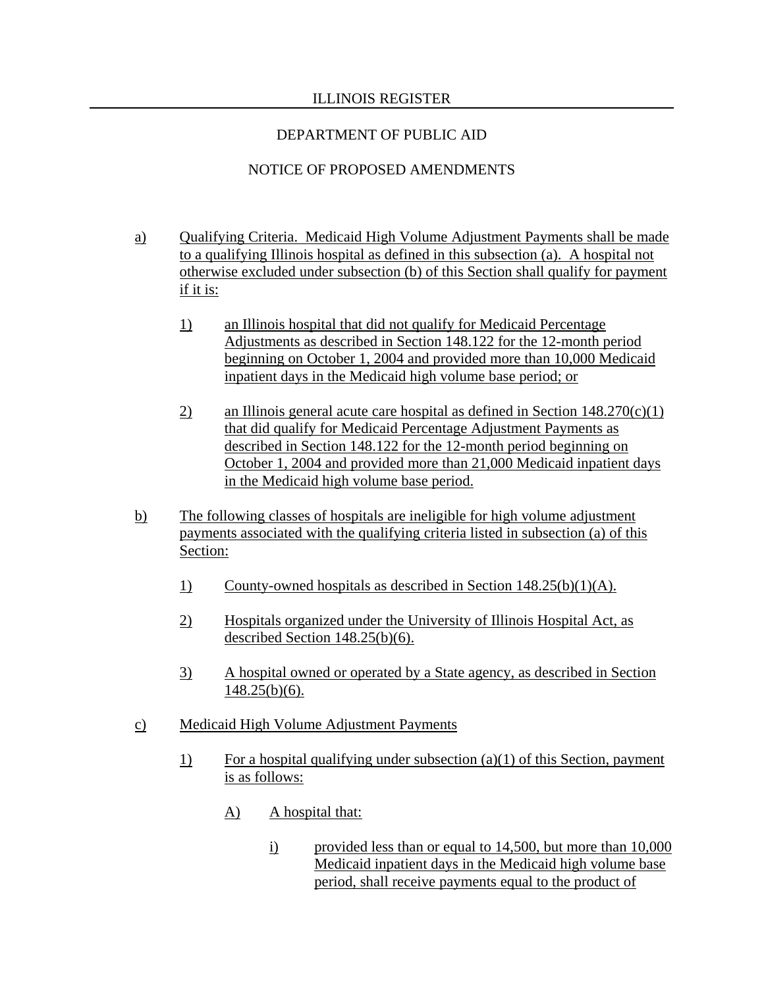## DEPARTMENT OF PUBLIC AID

# NOTICE OF PROPOSED AMENDMENTS

- a) Qualifying Criteria. Medicaid High Volume Adjustment Payments shall be made to a qualifying Illinois hospital as defined in this subsection (a). A hospital not otherwise excluded under subsection (b) of this Section shall qualify for payment if it is:
	- 1) an Illinois hospital that did not qualify for Medicaid Percentage Adjustments as described in Section 148.122 for the 12-month period beginning on October 1, 2004 and provided more than 10,000 Medicaid inpatient days in the Medicaid high volume base period; or
	- 2) an Illinois general acute care hospital as defined in Section  $148.270(c)(1)$ that did qualify for Medicaid Percentage Adjustment Payments as described in Section 148.122 for the 12-month period beginning on October 1, 2004 and provided more than 21,000 Medicaid inpatient days in the Medicaid high volume base period.
- b) The following classes of hospitals are ineligible for high volume adjustment payments associated with the qualifying criteria listed in subsection (a) of this Section:
	- 1) County-owned hospitals as described in Section 148.25(b)(1)(A).
	- 2) Hospitals organized under the University of Illinois Hospital Act, as described Section 148.25(b)(6).
	- 3) A hospital owned or operated by a State agency, as described in Section  $148.25(b)(6)$ .
- c) Medicaid High Volume Adjustment Payments
	- 1) For a hospital qualifying under subsection (a)(1) of this Section, payment is as follows:
		- A) A hospital that:
			- i) provided less than or equal to 14,500, but more than 10,000 Medicaid inpatient days in the Medicaid high volume base period, shall receive payments equal to the product of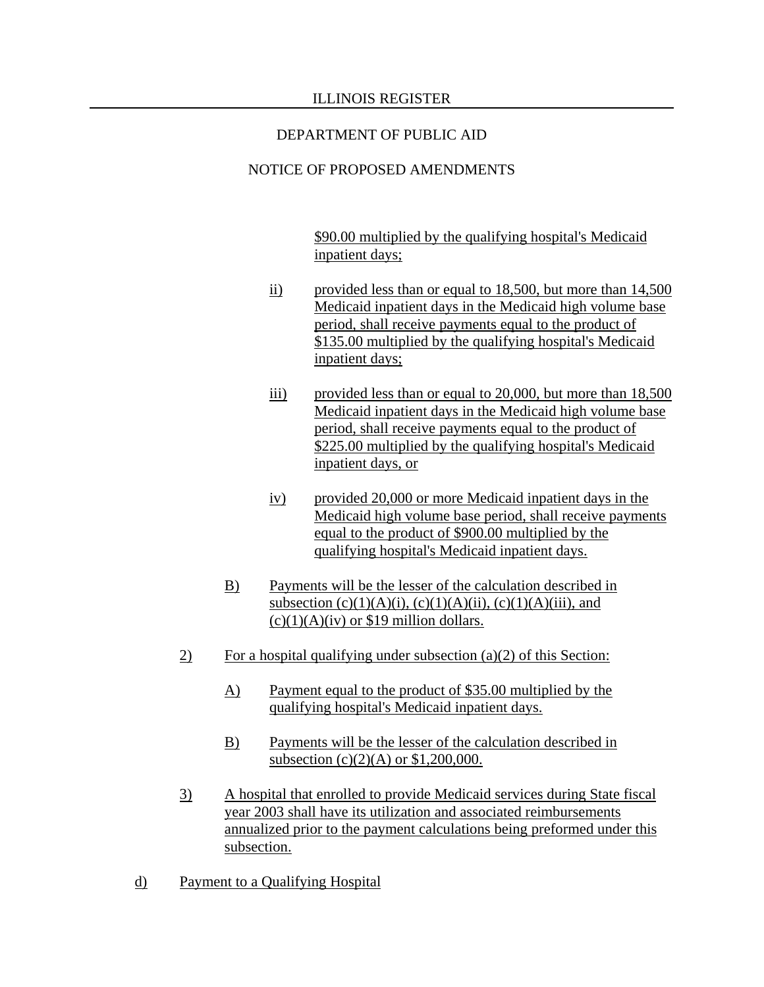# NOTICE OF PROPOSED AMENDMENTS

\$90.00 multiplied by the qualifying hospital's Medicaid inpatient days;

- ii) provided less than or equal to 18,500, but more than 14,500 Medicaid inpatient days in the Medicaid high volume base period, shall receive payments equal to the product of \$135.00 multiplied by the qualifying hospital's Medicaid inpatient days;
- iii) provided less than or equal to 20,000, but more than 18,500 Medicaid inpatient days in the Medicaid high volume base period, shall receive payments equal to the product of \$225.00 multiplied by the qualifying hospital's Medicaid inpatient days, or
- iv) provided 20,000 or more Medicaid inpatient days in the Medicaid high volume base period, shall receive payments equal to the product of \$900.00 multiplied by the qualifying hospital's Medicaid inpatient days.
- B) Payments will be the lesser of the calculation described in subsection (c)(1)(A)(i), (c)(1)(A)(ii), (c)(1)(A)(iii), and  $(c)(1)(A)(iv)$  or \$19 million dollars.
- $\overline{2}$  For a hospital qualifying under subsection (a)(2) of this Section:
	- A) Payment equal to the product of \$35.00 multiplied by the qualifying hospital's Medicaid inpatient days.
	- B) Payments will be the lesser of the calculation described in subsection (c)(2)(A) or \$1,200,000.
- 3) A hospital that enrolled to provide Medicaid services during State fiscal year 2003 shall have its utilization and associated reimbursements annualized prior to the payment calculations being preformed under this subsection.
- d) Payment to a Qualifying Hospital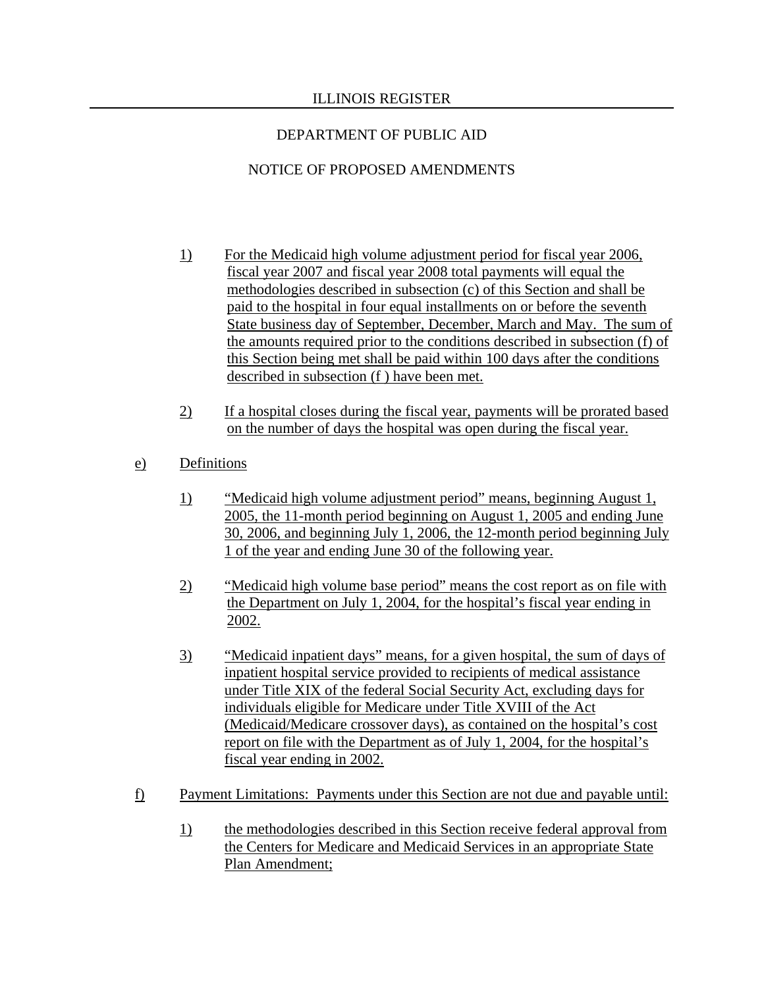# NOTICE OF PROPOSED AMENDMENTS

- 1) For the Medicaid high volume adjustment period for fiscal year 2006, fiscal year 2007 and fiscal year 2008 total payments will equal the methodologies described in subsection (c) of this Section and shall be paid to the hospital in four equal installments on or before the seventh State business day of September, December, March and May. The sum of the amounts required prior to the conditions described in subsection (f) of this Section being met shall be paid within 100 days after the conditions described in subsection (f ) have been met.
- 2) If a hospital closes during the fiscal year, payments will be prorated based on the number of days the hospital was open during the fiscal year.
- e) Definitions
	- 1) "Medicaid high volume adjustment period" means, beginning August 1, 2005, the 11-month period beginning on August 1, 2005 and ending June 30, 2006, and beginning July 1, 2006, the 12-month period beginning July 1 of the year and ending June 30 of the following year.
	- 2) "Medicaid high volume base period" means the cost report as on file with the Department on July 1, 2004, for the hospital's fiscal year ending in 2002.
	- 3) "Medicaid inpatient days" means, for a given hospital, the sum of days of inpatient hospital service provided to recipients of medical assistance under Title XIX of the federal Social Security Act, excluding days for individuals eligible for Medicare under Title XVIII of the Act (Medicaid/Medicare crossover days), as contained on the hospital's cost report on file with the Department as of July 1, 2004, for the hospital's fiscal year ending in 2002.
- f) Payment Limitations: Payments under this Section are not due and payable until:
	- 1) the methodologies described in this Section receive federal approval from the Centers for Medicare and Medicaid Services in an appropriate State Plan Amendment;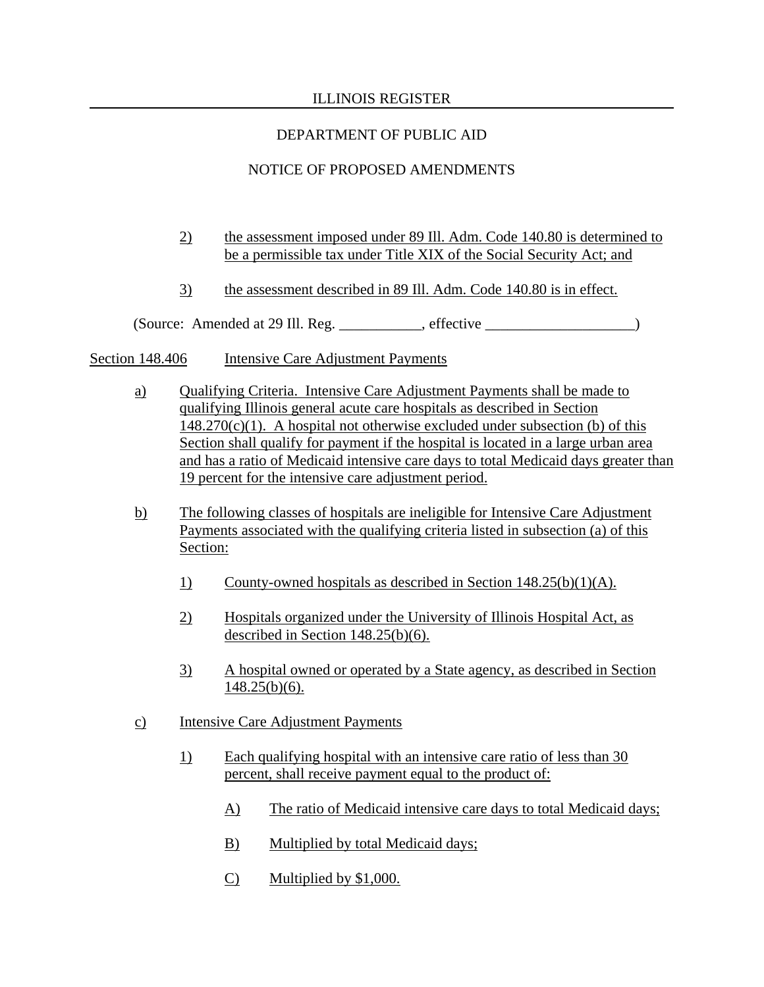# DEPARTMENT OF PUBLIC AID

# NOTICE OF PROPOSED AMENDMENTS

- 2) the assessment imposed under 89 Ill. Adm. Code 140.80 is determined to be a permissible tax under Title XIX of the Social Security Act; and
- 3) the assessment described in 89 Ill. Adm. Code 140.80 is in effect.

(Source: Amended at 29 Ill. Reg. \_\_\_\_\_\_\_\_\_\_\_, effective \_\_\_\_\_\_\_\_\_\_\_\_\_\_\_\_\_\_\_\_)

Section 148.406 Intensive Care Adjustment Payments

- a) Qualifying Criteria. Intensive Care Adjustment Payments shall be made to qualifying Illinois general acute care hospitals as described in Section  $148.270(c)(1)$ . A hospital not otherwise excluded under subsection (b) of this Section shall qualify for payment if the hospital is located in a large urban area and has a ratio of Medicaid intensive care days to total Medicaid days greater than 19 percent for the intensive care adjustment period.
- b) The following classes of hospitals are ineligible for Intensive Care Adjustment Payments associated with the qualifying criteria listed in subsection (a) of this Section:
	- 1) County-owned hospitals as described in Section 148.25(b)(1)(A).
	- 2) Hospitals organized under the University of Illinois Hospital Act, as described in Section 148.25(b)(6).
	- 3) A hospital owned or operated by a State agency, as described in Section  $148.25(b)(6)$ .
- c) Intensive Care Adjustment Payments
	- 1) Each qualifying hospital with an intensive care ratio of less than 30 percent, shall receive payment equal to the product of:
		- A) The ratio of Medicaid intensive care days to total Medicaid days;
		- B) Multiplied by total Medicaid days;
		- C) Multiplied by \$1,000.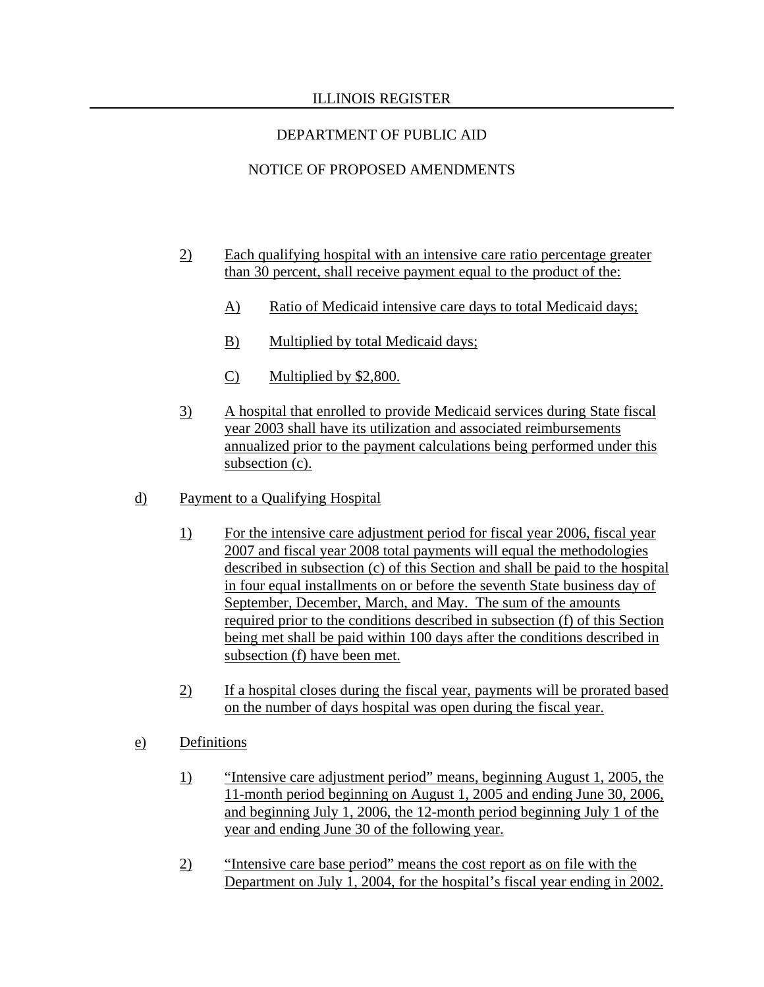# DEPARTMENT OF PUBLIC AID

# NOTICE OF PROPOSED AMENDMENTS

- 2) Each qualifying hospital with an intensive care ratio percentage greater than 30 percent, shall receive payment equal to the product of the:
	- A) Ratio of Medicaid intensive care days to total Medicaid days;
	- B) Multiplied by total Medicaid days;
	- C) Multiplied by \$2,800.
- 3) A hospital that enrolled to provide Medicaid services during State fiscal year 2003 shall have its utilization and associated reimbursements annualized prior to the payment calculations being performed under this subsection (c).
- d) Payment to a Qualifying Hospital
	- 1) For the intensive care adjustment period for fiscal year 2006, fiscal year 2007 and fiscal year 2008 total payments will equal the methodologies described in subsection (c) of this Section and shall be paid to the hospital in four equal installments on or before the seventh State business day of September, December, March, and May. The sum of the amounts required prior to the conditions described in subsection (f) of this Section being met shall be paid within 100 days after the conditions described in subsection (f) have been met.
	- 2) If a hospital closes during the fiscal year, payments will be prorated based on the number of days hospital was open during the fiscal year.
- e) Definitions
	- 1) "Intensive care adjustment period" means, beginning August 1, 2005, the 11-month period beginning on August 1, 2005 and ending June 30, 2006, and beginning July 1, 2006, the 12-month period beginning July 1 of the year and ending June 30 of the following year.
	- 2) "Intensive care base period" means the cost report as on file with the Department on July 1, 2004, for the hospital's fiscal year ending in 2002.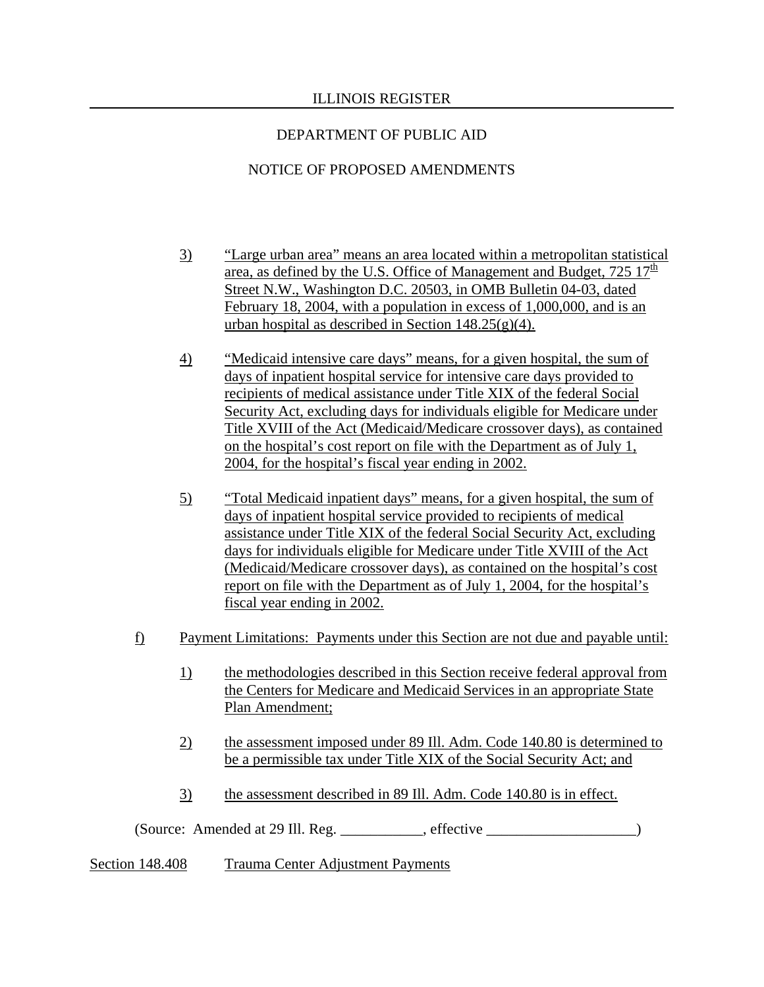# NOTICE OF PROPOSED AMENDMENTS

- 3) "Large urban area" means an area located within a metropolitan statistical area, as defined by the U.S. Office of Management and Budget,  $725 \frac{17}{10}$ Street N.W., Washington D.C. 20503, in OMB Bulletin 04-03, dated February 18, 2004, with a population in excess of 1,000,000, and is an urban hospital as described in Section  $148.25(g)(4)$ .
- 4) "Medicaid intensive care days" means, for a given hospital, the sum of days of inpatient hospital service for intensive care days provided to recipients of medical assistance under Title XIX of the federal Social Security Act, excluding days for individuals eligible for Medicare under Title XVIII of the Act (Medicaid/Medicare crossover days), as contained on the hospital's cost report on file with the Department as of July 1, 2004, for the hospital's fiscal year ending in 2002.
- 5) "Total Medicaid inpatient days" means, for a given hospital, the sum of days of inpatient hospital service provided to recipients of medical assistance under Title XIX of the federal Social Security Act, excluding days for individuals eligible for Medicare under Title XVIII of the Act (Medicaid/Medicare crossover days), as contained on the hospital's cost report on file with the Department as of July 1, 2004, for the hospital's fiscal year ending in 2002.
- f) Payment Limitations: Payments under this Section are not due and payable until:
	- 1) the methodologies described in this Section receive federal approval from the Centers for Medicare and Medicaid Services in an appropriate State Plan Amendment;
	- 2) the assessment imposed under 89 Ill. Adm. Code 140.80 is determined to be a permissible tax under Title XIX of the Social Security Act; and
	- 3) the assessment described in 89 Ill. Adm. Code 140.80 is in effect.

(Source: Amended at 29 Ill. Reg. \_\_\_\_\_\_\_\_\_\_\_, effective \_\_\_\_\_\_\_\_\_\_\_\_\_\_\_\_\_\_\_\_)

Section 148.408 Trauma Center Adjustment Payments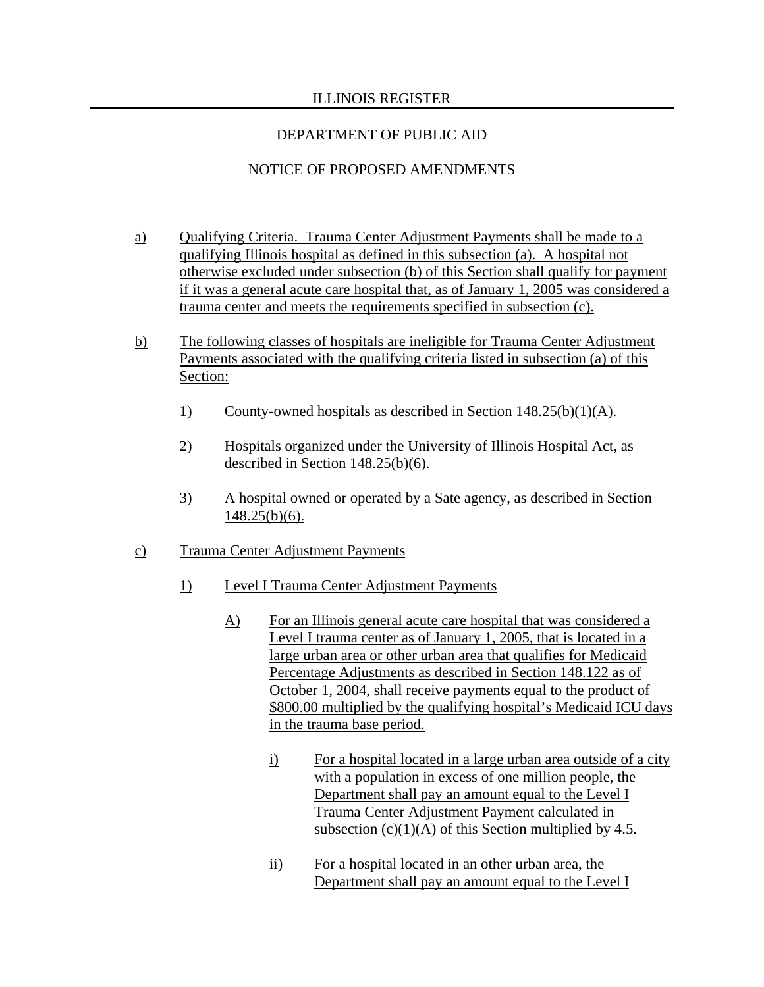# DEPARTMENT OF PUBLIC AID

# NOTICE OF PROPOSED AMENDMENTS

- a) Qualifying Criteria. Trauma Center Adjustment Payments shall be made to a qualifying Illinois hospital as defined in this subsection (a). A hospital not otherwise excluded under subsection (b) of this Section shall qualify for payment if it was a general acute care hospital that, as of January 1, 2005 was considered a trauma center and meets the requirements specified in subsection (c).
- b) The following classes of hospitals are ineligible for Trauma Center Adjustment Payments associated with the qualifying criteria listed in subsection (a) of this Section:
	- 1) County-owned hospitals as described in Section 148.25(b)(1)(A).
	- 2) Hospitals organized under the University of Illinois Hospital Act, as described in Section 148.25(b)(6).
	- 3) A hospital owned or operated by a Sate agency, as described in Section 148.25(b)(6).
- c) Trauma Center Adjustment Payments
	- 1) Level I Trauma Center Adjustment Payments
		- A) For an Illinois general acute care hospital that was considered a Level I trauma center as of January 1, 2005, that is located in a large urban area or other urban area that qualifies for Medicaid Percentage Adjustments as described in Section 148.122 as of October 1, 2004, shall receive payments equal to the product of \$800.00 multiplied by the qualifying hospital's Medicaid ICU days in the trauma base period.
			- i) For a hospital located in a large urban area outside of a city with a population in excess of one million people, the Department shall pay an amount equal to the Level I Trauma Center Adjustment Payment calculated in subsection  $(c)(1)(A)$  of this Section multiplied by 4.5.
			- ii) For a hospital located in an other urban area, the Department shall pay an amount equal to the Level I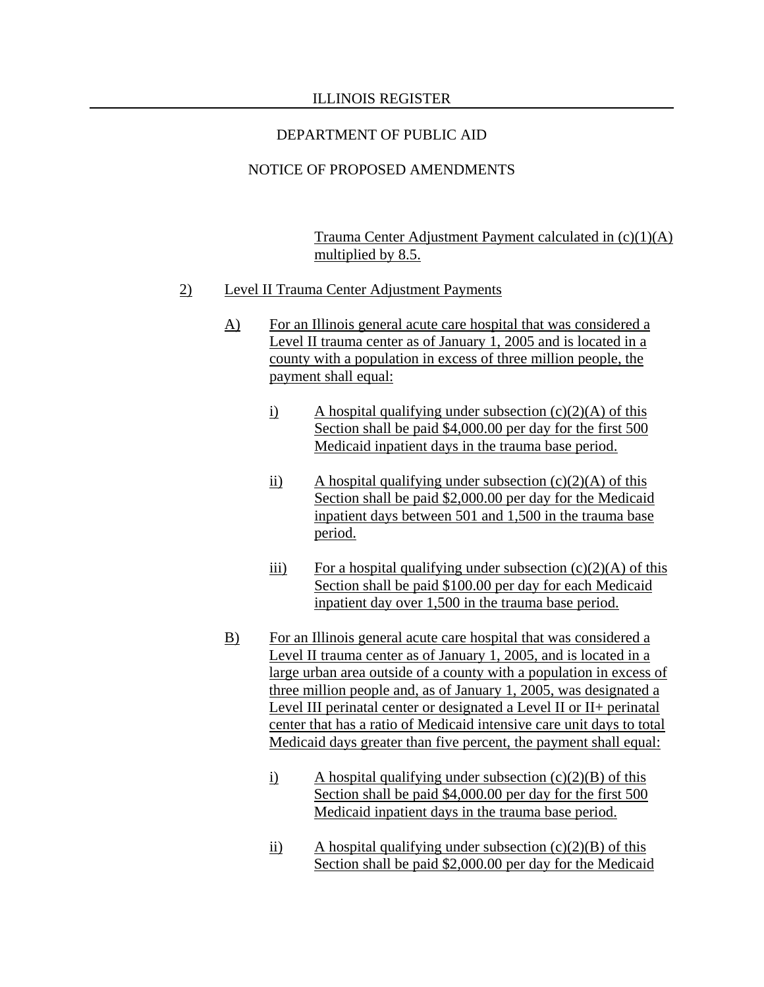# NOTICE OF PROPOSED AMENDMENTS

Trauma Center Adjustment Payment calculated in (c)(1)(A) multiplied by 8.5.

- 2) Level II Trauma Center Adjustment Payments
	- A) For an Illinois general acute care hospital that was considered a Level II trauma center as of January 1, 2005 and is located in a county with a population in excess of three million people, the payment shall equal:
		- i) A hospital qualifying under subsection  $(c)(2)(A)$  of this Section shall be paid \$4,000.00 per day for the first 500 Medicaid inpatient days in the trauma base period.
		- ii) A hospital qualifying under subsection  $(c)(2)(A)$  of this Section shall be paid \$2,000.00 per day for the Medicaid inpatient days between 501 and 1,500 in the trauma base period.
		- iii) For a hospital qualifying under subsection  $(c)(2)(A)$  of this Section shall be paid \$100.00 per day for each Medicaid inpatient day over 1,500 in the trauma base period.
	- B) For an Illinois general acute care hospital that was considered a Level II trauma center as of January 1, 2005, and is located in a large urban area outside of a county with a population in excess of three million people and, as of January 1, 2005, was designated a Level III perinatal center or designated a Level II or II+ perinatal center that has a ratio of Medicaid intensive care unit days to total Medicaid days greater than five percent, the payment shall equal:
		- i) A hospital qualifying under subsection  $(c)(2)(B)$  of this Section shall be paid \$4,000.00 per day for the first 500 Medicaid inpatient days in the trauma base period.
		- ii) A hospital qualifying under subsection  $(c)(2)(B)$  of this Section shall be paid \$2,000.00 per day for the Medicaid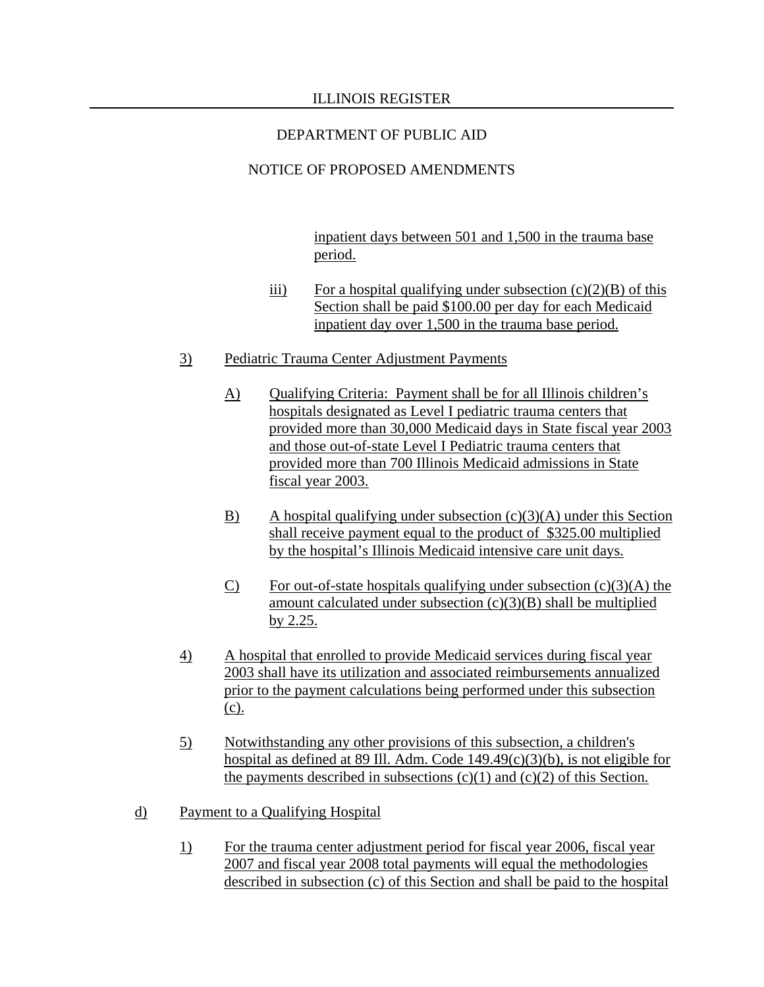# NOTICE OF PROPOSED AMENDMENTS

inpatient days between 501 and 1,500 in the trauma base period.

- iii) For a hospital qualifying under subsection  $(c)(2)(B)$  of this Section shall be paid \$100.00 per day for each Medicaid inpatient day over 1,500 in the trauma base period.
- 3) Pediatric Trauma Center Adjustment Payments
	- A) Qualifying Criteria: Payment shall be for all Illinois children's hospitals designated as Level I pediatric trauma centers that provided more than 30,000 Medicaid days in State fiscal year 2003 and those out-of-state Level I Pediatric trauma centers that provided more than 700 Illinois Medicaid admissions in State fiscal year 2003.
	- B) A hospital qualifying under subsection  $(c)(3)(A)$  under this Section shall receive payment equal to the product of \$325.00 multiplied by the hospital's Illinois Medicaid intensive care unit days.
	- C) For out-of-state hospitals qualifying under subsection  $(c)(3)(A)$  the amount calculated under subsection  $(c)(3)(B)$  shall be multiplied by 2.25.
- 4) A hospital that enrolled to provide Medicaid services during fiscal year 2003 shall have its utilization and associated reimbursements annualized prior to the payment calculations being performed under this subsection (c).
- 5) Notwithstanding any other provisions of this subsection, a children's hospital as defined at 89 Ill. Adm. Code 149.49(c)(3)(b), is not eligible for the payments described in subsections  $(c)(1)$  and  $(c)(2)$  of this Section.
- d) Payment to a Qualifying Hospital
	- 1) For the trauma center adjustment period for fiscal year 2006, fiscal year 2007 and fiscal year 2008 total payments will equal the methodologies described in subsection (c) of this Section and shall be paid to the hospital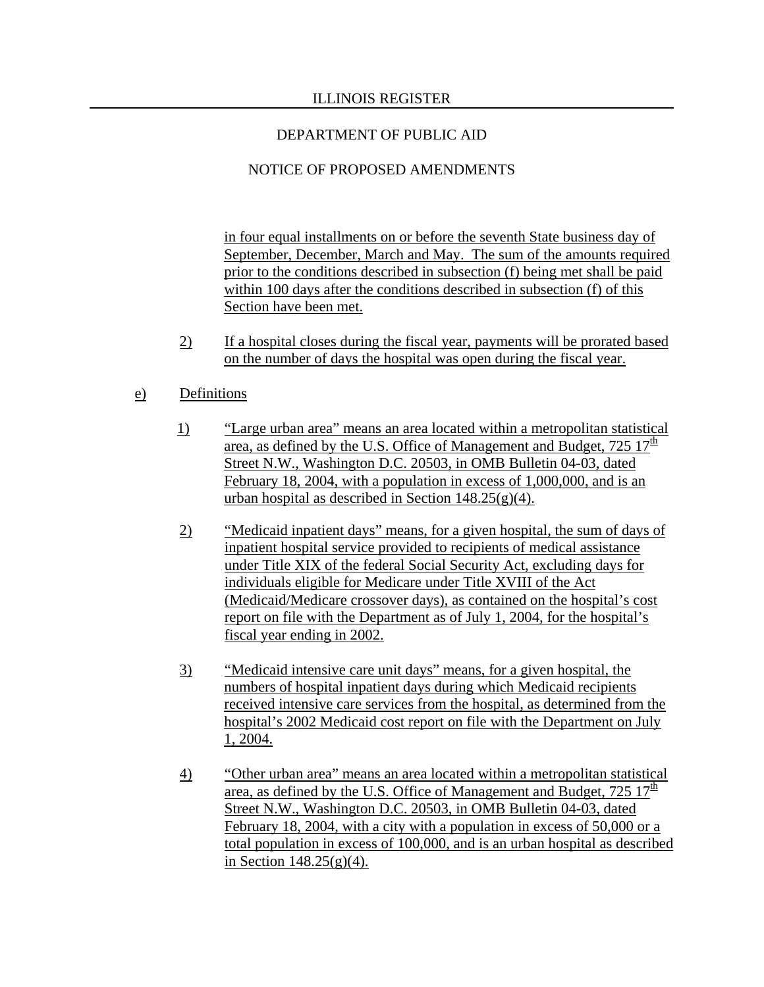# NOTICE OF PROPOSED AMENDMENTS

in four equal installments on or before the seventh State business day of September, December, March and May. The sum of the amounts required prior to the conditions described in subsection (f) being met shall be paid within 100 days after the conditions described in subsection (f) of this Section have been met.

 2) If a hospital closes during the fiscal year, payments will be prorated based on the number of days the hospital was open during the fiscal year.

## e) Definitions

- 1) "Large urban area" means an area located within a metropolitan statistical area, as defined by the U.S. Office of Management and Budget,  $725 \frac{17^{\text{th}}}{17}$ Street N.W., Washington D.C. 20503, in OMB Bulletin 04-03, dated February 18, 2004, with a population in excess of 1,000,000, and is an urban hospital as described in Section  $148.25(g)(4)$ .
- 2) "Medicaid inpatient days" means, for a given hospital, the sum of days of inpatient hospital service provided to recipients of medical assistance under Title XIX of the federal Social Security Act, excluding days for individuals eligible for Medicare under Title XVIII of the Act (Medicaid/Medicare crossover days), as contained on the hospital's cost report on file with the Department as of July 1, 2004, for the hospital's fiscal year ending in 2002.
- 3) "Medicaid intensive care unit days" means, for a given hospital, the numbers of hospital inpatient days during which Medicaid recipients received intensive care services from the hospital, as determined from the hospital's 2002 Medicaid cost report on file with the Department on July 1, 2004.
- 4) "Other urban area" means an area located within a metropolitan statistical area, as defined by the U.S. Office of Management and Budget,  $725 \frac{17}{10}$ Street N.W., Washington D.C. 20503, in OMB Bulletin 04-03, dated February 18, 2004, with a city with a population in excess of 50,000 or a total population in excess of 100,000, and is an urban hospital as described in Section  $148.25(g)(4)$ .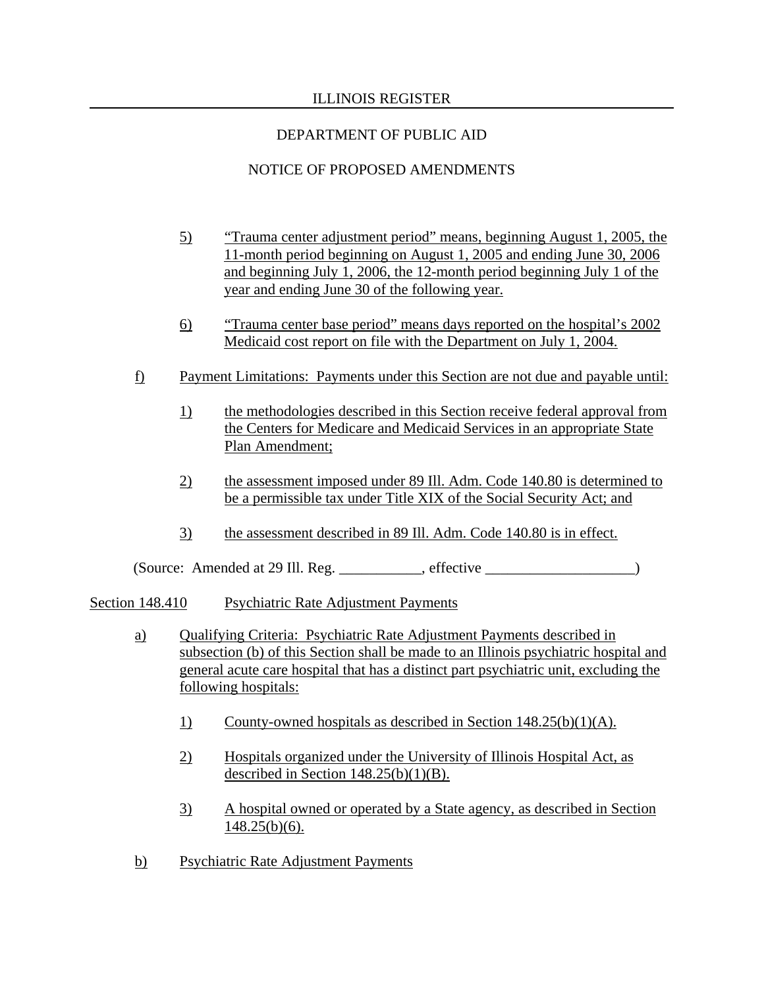# DEPARTMENT OF PUBLIC AID

# NOTICE OF PROPOSED AMENDMENTS

- 5) "Trauma center adjustment period" means, beginning August 1, 2005, the 11-month period beginning on August 1, 2005 and ending June 30, 2006 and beginning July 1, 2006, the 12-month period beginning July 1 of the year and ending June 30 of the following year.
- 6) "Trauma center base period" means days reported on the hospital's 2002 Medicaid cost report on file with the Department on July 1, 2004.
- f) Payment Limitations: Payments under this Section are not due and payable until:
	- 1) the methodologies described in this Section receive federal approval from the Centers for Medicare and Medicaid Services in an appropriate State Plan Amendment;
	- 2) the assessment imposed under 89 Ill. Adm. Code 140.80 is determined to be a permissible tax under Title XIX of the Social Security Act; and
	- 3) the assessment described in 89 Ill. Adm. Code 140.80 is in effect.

(Source: Amended at 29 Ill. Reg. \_\_\_\_\_\_\_\_\_\_\_, effective \_\_\_\_\_\_\_\_\_\_\_\_\_\_\_\_\_\_\_\_)

### Section 148.410 Psychiatric Rate Adjustment Payments

- a) Qualifying Criteria: Psychiatric Rate Adjustment Payments described in subsection (b) of this Section shall be made to an Illinois psychiatric hospital and general acute care hospital that has a distinct part psychiatric unit, excluding the following hospitals:
	- 1) County-owned hospitals as described in Section 148.25(b)(1)(A).
	- 2) Hospitals organized under the University of Illinois Hospital Act, as described in Section  $148.25(b)(1)(B)$ .
	- 3) A hospital owned or operated by a State agency, as described in Section 148.25(b)(6).
- b) Psychiatric Rate Adjustment Payments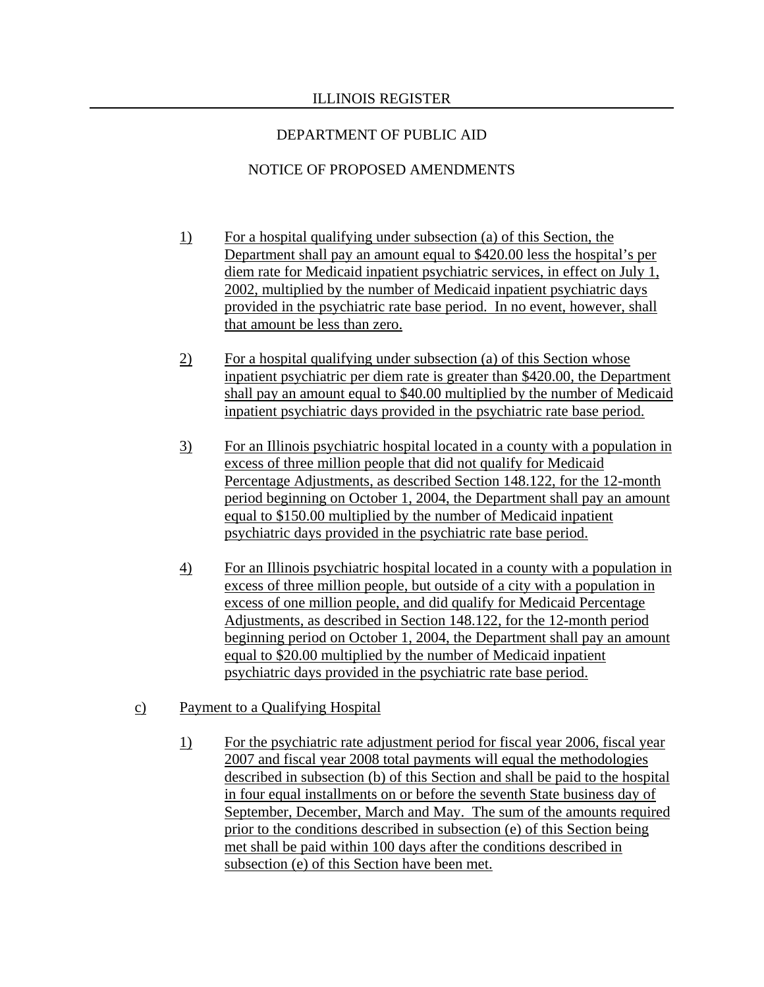# NOTICE OF PROPOSED AMENDMENTS

- 1) For a hospital qualifying under subsection (a) of this Section, the Department shall pay an amount equal to \$420.00 less the hospital's per diem rate for Medicaid inpatient psychiatric services, in effect on July 1, 2002, multiplied by the number of Medicaid inpatient psychiatric days provided in the psychiatric rate base period. In no event, however, shall that amount be less than zero.
- 2) For a hospital qualifying under subsection (a) of this Section whose inpatient psychiatric per diem rate is greater than \$420.00, the Department shall pay an amount equal to \$40.00 multiplied by the number of Medicaid inpatient psychiatric days provided in the psychiatric rate base period.
- 3) For an Illinois psychiatric hospital located in a county with a population in excess of three million people that did not qualify for Medicaid Percentage Adjustments, as described Section 148.122, for the 12-month period beginning on October 1, 2004, the Department shall pay an amount equal to \$150.00 multiplied by the number of Medicaid inpatient psychiatric days provided in the psychiatric rate base period.
- 4) For an Illinois psychiatric hospital located in a county with a population in excess of three million people, but outside of a city with a population in excess of one million people, and did qualify for Medicaid Percentage Adjustments, as described in Section 148.122, for the 12-month period beginning period on October 1, 2004, the Department shall pay an amount equal to \$20.00 multiplied by the number of Medicaid inpatient psychiatric days provided in the psychiatric rate base period.
- c) Payment to a Qualifying Hospital
	- 1) For the psychiatric rate adjustment period for fiscal year 2006, fiscal year 2007 and fiscal year 2008 total payments will equal the methodologies described in subsection (b) of this Section and shall be paid to the hospital in four equal installments on or before the seventh State business day of September, December, March and May. The sum of the amounts required prior to the conditions described in subsection (e) of this Section being met shall be paid within 100 days after the conditions described in subsection (e) of this Section have been met.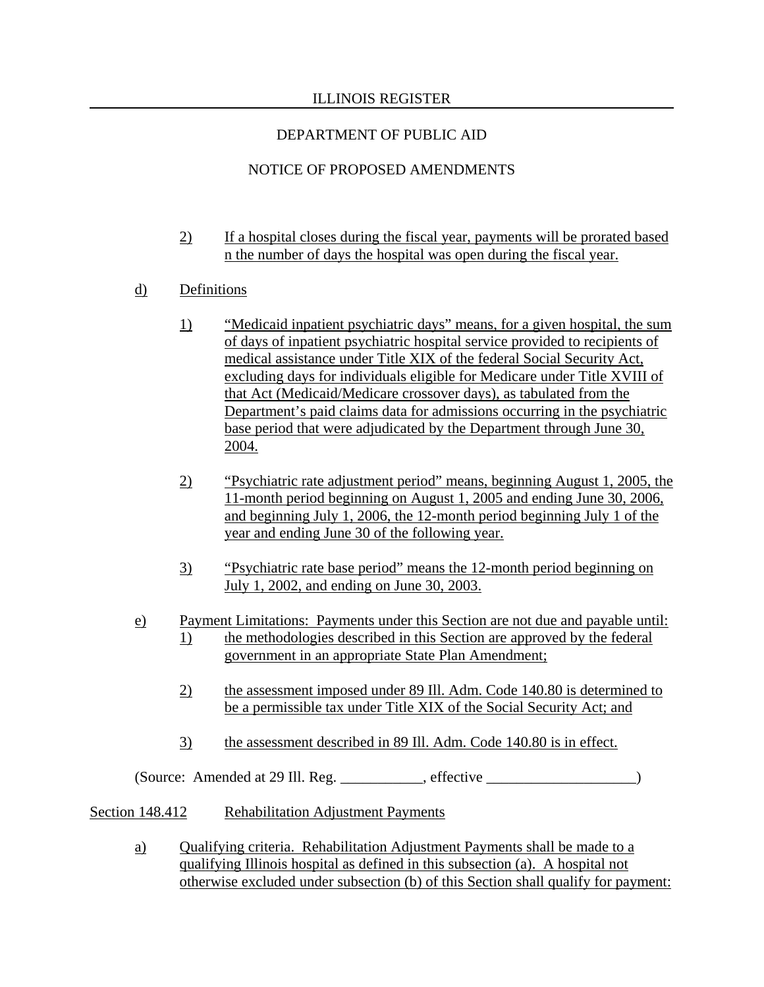# NOTICE OF PROPOSED AMENDMENTS

- 2) If a hospital closes during the fiscal year, payments will be prorated based n the number of days the hospital was open during the fiscal year.
- d) Definitions
	- 1) "Medicaid inpatient psychiatric days" means, for a given hospital, the sum of days of inpatient psychiatric hospital service provided to recipients of medical assistance under Title XIX of the federal Social Security Act, excluding days for individuals eligible for Medicare under Title XVIII of that Act (Medicaid/Medicare crossover days), as tabulated from the Department's paid claims data for admissions occurring in the psychiatric base period that were adjudicated by the Department through June 30, 2004.
	- 2) "Psychiatric rate adjustment period" means, beginning August 1, 2005, the 11-month period beginning on August 1, 2005 and ending June 30, 2006, and beginning July 1, 2006, the 12-month period beginning July 1 of the year and ending June 30 of the following year.
	- 3) "Psychiatric rate base period" means the 12-month period beginning on July 1, 2002, and ending on June 30, 2003.
- e) Payment Limitations: Payments under this Section are not due and payable until: 1) the methodologies described in this Section are approved by the federal government in an appropriate State Plan Amendment;
	- 2) the assessment imposed under 89 Ill. Adm. Code 140.80 is determined to be a permissible tax under Title XIX of the Social Security Act; and
	- 3) the assessment described in 89 Ill. Adm. Code 140.80 is in effect.

(Source: Amended at 29 Ill. Reg. \_\_\_\_\_\_\_\_\_\_\_, effective \_\_\_\_\_\_\_\_\_\_\_\_\_\_\_\_\_\_\_\_)

# Section 148.412 Rehabilitation Adjustment Payments

a) Qualifying criteria. Rehabilitation Adjustment Payments shall be made to a qualifying Illinois hospital as defined in this subsection (a). A hospital not otherwise excluded under subsection (b) of this Section shall qualify for payment: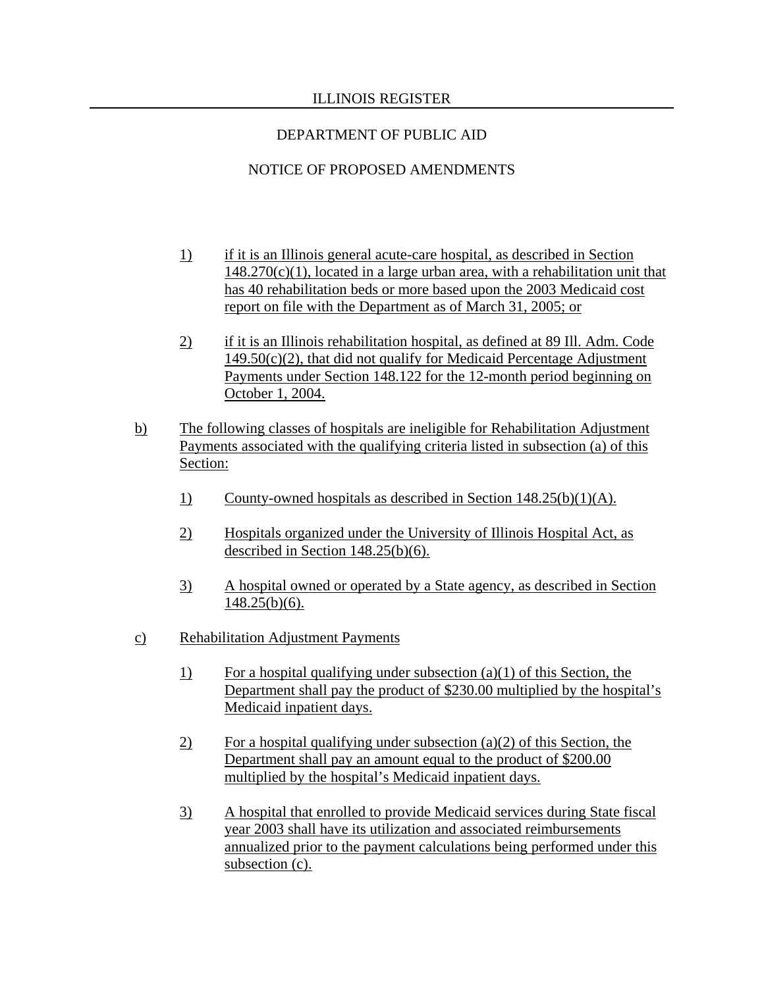# NOTICE OF PROPOSED AMENDMENTS

- 1) if it is an Illinois general acute-care hospital, as described in Section  $148.270(c)(1)$ , located in a large urban area, with a rehabilitation unit that has 40 rehabilitation beds or more based upon the 2003 Medicaid cost report on file with the Department as of March 31, 2005; or
- 2) if it is an Illinois rehabilitation hospital, as defined at 89 Ill. Adm. Code  $149.50(c)(2)$ , that did not qualify for Medicaid Percentage Adjustment Payments under Section 148.122 for the 12-month period beginning on October 1, 2004.
- b) The following classes of hospitals are ineligible for Rehabilitation Adjustment Payments associated with the qualifying criteria listed in subsection (a) of this Section:
	- 1) County-owned hospitals as described in Section 148.25(b)(1)(A).
	- 2) Hospitals organized under the University of Illinois Hospital Act, as described in Section 148.25(b)(6).
	- 3) A hospital owned or operated by a State agency, as described in Section 148.25(b)(6).
- c) Rehabilitation Adjustment Payments
	- 1) For a hospital qualifying under subsection (a)(1) of this Section, the Department shall pay the product of \$230.00 multiplied by the hospital's Medicaid inpatient days.
	- $\overline{2}$  For a hospital qualifying under subsection (a)(2) of this Section, the Department shall pay an amount equal to the product of \$200.00 multiplied by the hospital's Medicaid inpatient days.
	- 3) A hospital that enrolled to provide Medicaid services during State fiscal year 2003 shall have its utilization and associated reimbursements annualized prior to the payment calculations being performed under this subsection (c).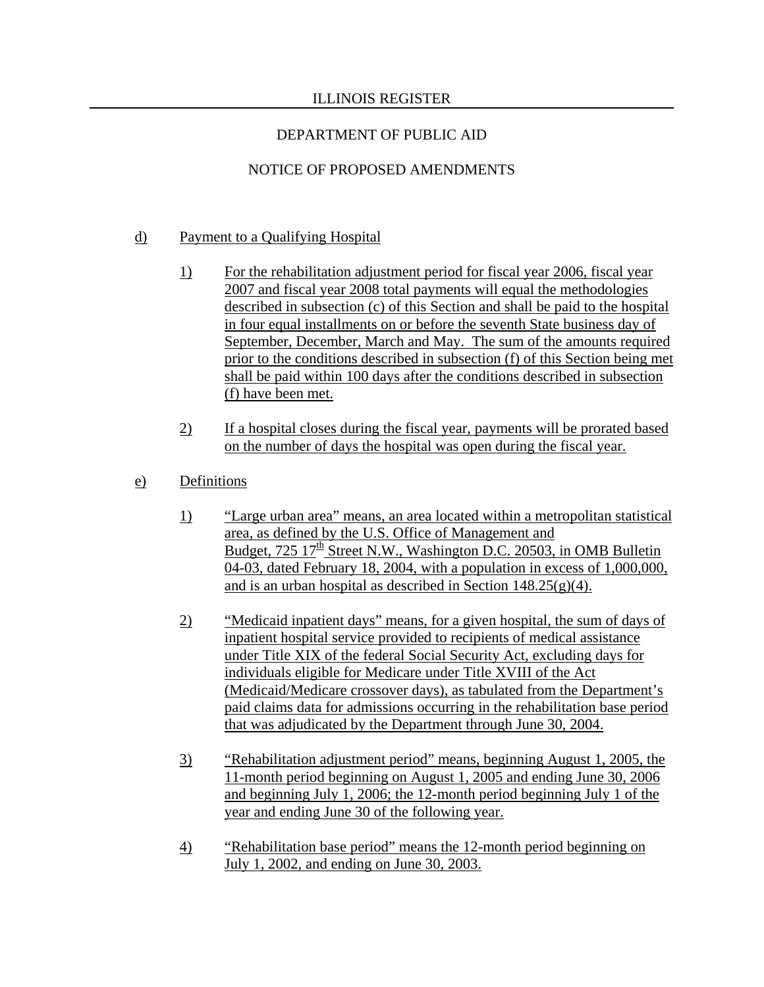# DEPARTMENT OF PUBLIC AID

# NOTICE OF PROPOSED AMENDMENTS

### d) Payment to a Qualifying Hospital

- 1) For the rehabilitation adjustment period for fiscal year 2006, fiscal year 2007 and fiscal year 2008 total payments will equal the methodologies described in subsection (c) of this Section and shall be paid to the hospital in four equal installments on or before the seventh State business day of September, December, March and May. The sum of the amounts required prior to the conditions described in subsection (f) of this Section being met shall be paid within 100 days after the conditions described in subsection (f) have been met.
- 2) If a hospital closes during the fiscal year, payments will be prorated based on the number of days the hospital was open during the fiscal year.
- e) Definitions
	- 1) "Large urban area" means, an area located within a metropolitan statistical area, as defined by the U.S. Office of Management and Budget,  $725 \frac{17}{\text{th}}$  Street N.W., Washington D.C. 20503, in OMB Bulletin 04-03, dated February 18, 2004, with a population in excess of 1,000,000, and is an urban hospital as described in Section  $148.25(g)(4)$ .
	- 2) "Medicaid inpatient days" means, for a given hospital, the sum of days of inpatient hospital service provided to recipients of medical assistance under Title XIX of the federal Social Security Act, excluding days for individuals eligible for Medicare under Title XVIII of the Act (Medicaid/Medicare crossover days), as tabulated from the Department's paid claims data for admissions occurring in the rehabilitation base period that was adjudicated by the Department through June 30, 2004.
	- 3) "Rehabilitation adjustment period" means, beginning August 1, 2005, the 11-month period beginning on August 1, 2005 and ending June 30, 2006 and beginning July 1, 2006; the 12-month period beginning July 1 of the year and ending June 30 of the following year.
	- 4) "Rehabilitation base period" means the 12-month period beginning on July 1, 2002, and ending on June 30, 2003.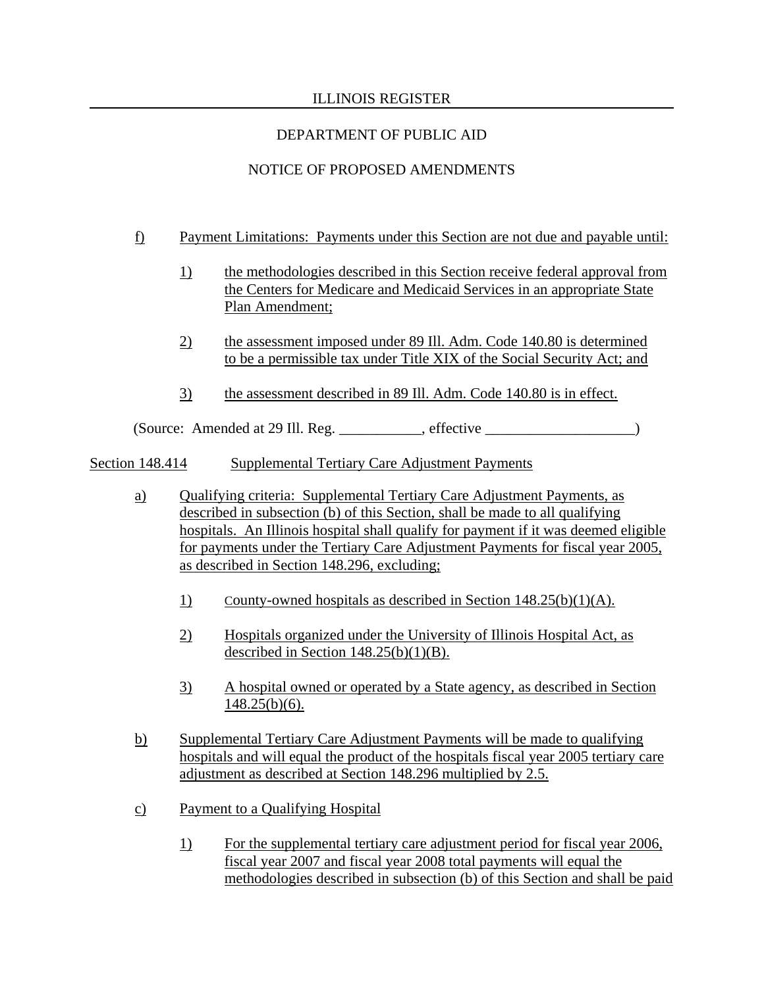# DEPARTMENT OF PUBLIC AID

# NOTICE OF PROPOSED AMENDMENTS

- f) Payment Limitations: Payments under this Section are not due and payable until:
	- 1) the methodologies described in this Section receive federal approval from the Centers for Medicare and Medicaid Services in an appropriate State Plan Amendment;
	- 2) the assessment imposed under 89 Ill. Adm. Code 140.80 is determined to be a permissible tax under Title XIX of the Social Security Act; and
	- 3) the assessment described in 89 Ill. Adm. Code 140.80 is in effect.

 $(Source: Amented at 29 III. Reg. \_ \_ \_ \_ \_ \_ \_ \_ \_ \_ \_ \_ \_ \_ \_$ 

Section 148.414 Supplemental Tertiary Care Adjustment Payments

- a) Qualifying criteria: Supplemental Tertiary Care Adjustment Payments, as described in subsection (b) of this Section, shall be made to all qualifying hospitals. An Illinois hospital shall qualify for payment if it was deemed eligible for payments under the Tertiary Care Adjustment Payments for fiscal year 2005, as described in Section 148.296, excluding;
	- 1) County-owned hospitals as described in Section 148.25(b)(1)(A).
	- 2) Hospitals organized under the University of Illinois Hospital Act, as described in Section  $148.25(b)(1)(B)$ .
	- 3) A hospital owned or operated by a State agency, as described in Section  $148.25(b)(6)$ .
- b) Supplemental Tertiary Care Adjustment Payments will be made to qualifying hospitals and will equal the product of the hospitals fiscal year 2005 tertiary care adjustment as described at Section 148.296 multiplied by 2.5.
- c) Payment to a Qualifying Hospital
	- 1) For the supplemental tertiary care adjustment period for fiscal year 2006, fiscal year 2007 and fiscal year 2008 total payments will equal the methodologies described in subsection (b) of this Section and shall be paid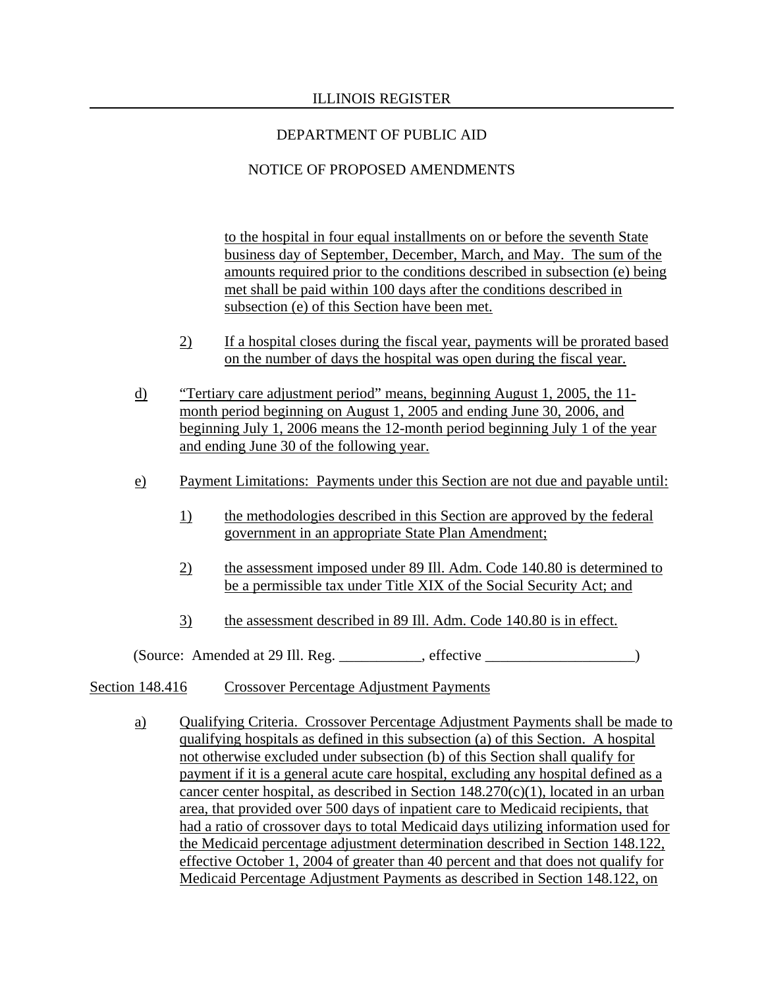# NOTICE OF PROPOSED AMENDMENTS

to the hospital in four equal installments on or before the seventh State business day of September, December, March, and May. The sum of the amounts required prior to the conditions described in subsection (e) being met shall be paid within 100 days after the conditions described in subsection (e) of this Section have been met.

- 2) If a hospital closes during the fiscal year, payments will be prorated based on the number of days the hospital was open during the fiscal year.
- d) "Tertiary care adjustment period" means, beginning August 1, 2005, the 11 month period beginning on August 1, 2005 and ending June 30, 2006, and beginning July 1, 2006 means the 12-month period beginning July 1 of the year and ending June 30 of the following year.
- e) Payment Limitations: Payments under this Section are not due and payable until:
	- 1) the methodologies described in this Section are approved by the federal government in an appropriate State Plan Amendment;
	- 2) the assessment imposed under 89 Ill. Adm. Code 140.80 is determined to be a permissible tax under Title XIX of the Social Security Act; and
	- 3) the assessment described in 89 Ill. Adm. Code 140.80 is in effect.

(Source: Amended at 29 Ill. Reg. \_\_\_\_\_\_\_\_\_\_\_, effective \_\_\_\_\_\_\_\_\_\_\_\_\_\_\_\_\_\_\_\_)

### Section 148.416 Crossover Percentage Adjustment Payments

a) Qualifying Criteria. Crossover Percentage Adjustment Payments shall be made to qualifying hospitals as defined in this subsection (a) of this Section. A hospital not otherwise excluded under subsection (b) of this Section shall qualify for payment if it is a general acute care hospital, excluding any hospital defined as a cancer center hospital, as described in Section 148.270(c)(1), located in an urban area, that provided over 500 days of inpatient care to Medicaid recipients, that had a ratio of crossover days to total Medicaid days utilizing information used for the Medicaid percentage adjustment determination described in Section 148.122, effective October 1, 2004 of greater than 40 percent and that does not qualify for Medicaid Percentage Adjustment Payments as described in Section 148.122, on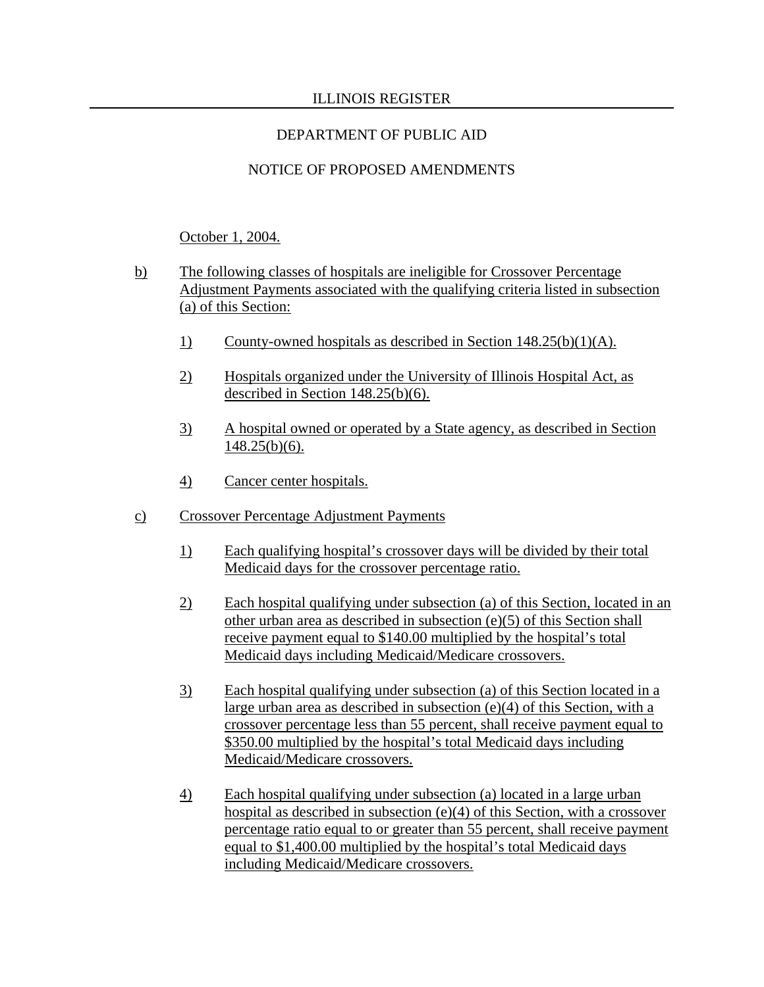# NOTICE OF PROPOSED AMENDMENTS

# October 1, 2004.

- b) The following classes of hospitals are ineligible for Crossover Percentage Adjustment Payments associated with the qualifying criteria listed in subsection (a) of this Section:
	- 1) County-owned hospitals as described in Section 148.25(b)(1)(A).
	- 2) Hospitals organized under the University of Illinois Hospital Act, as described in Section 148.25(b)(6).
	- 3) A hospital owned or operated by a State agency, as described in Section  $148.25(b)(6)$ .
	- 4) Cancer center hospitals.
- c) Crossover Percentage Adjustment Payments
	- 1) Each qualifying hospital's crossover days will be divided by their total Medicaid days for the crossover percentage ratio.
	- 2) Each hospital qualifying under subsection (a) of this Section, located in an other urban area as described in subsection (e)(5) of this Section shall receive payment equal to \$140.00 multiplied by the hospital's total Medicaid days including Medicaid/Medicare crossovers.
	- 3) Each hospital qualifying under subsection (a) of this Section located in a large urban area as described in subsection (e)(4) of this Section, with a crossover percentage less than 55 percent, shall receive payment equal to \$350.00 multiplied by the hospital's total Medicaid days including Medicaid/Medicare crossovers.
	- 4) Each hospital qualifying under subsection (a) located in a large urban hospital as described in subsection (e)(4) of this Section, with a crossover percentage ratio equal to or greater than 55 percent, shall receive payment equal to \$1,400.00 multiplied by the hospital's total Medicaid days including Medicaid/Medicare crossovers.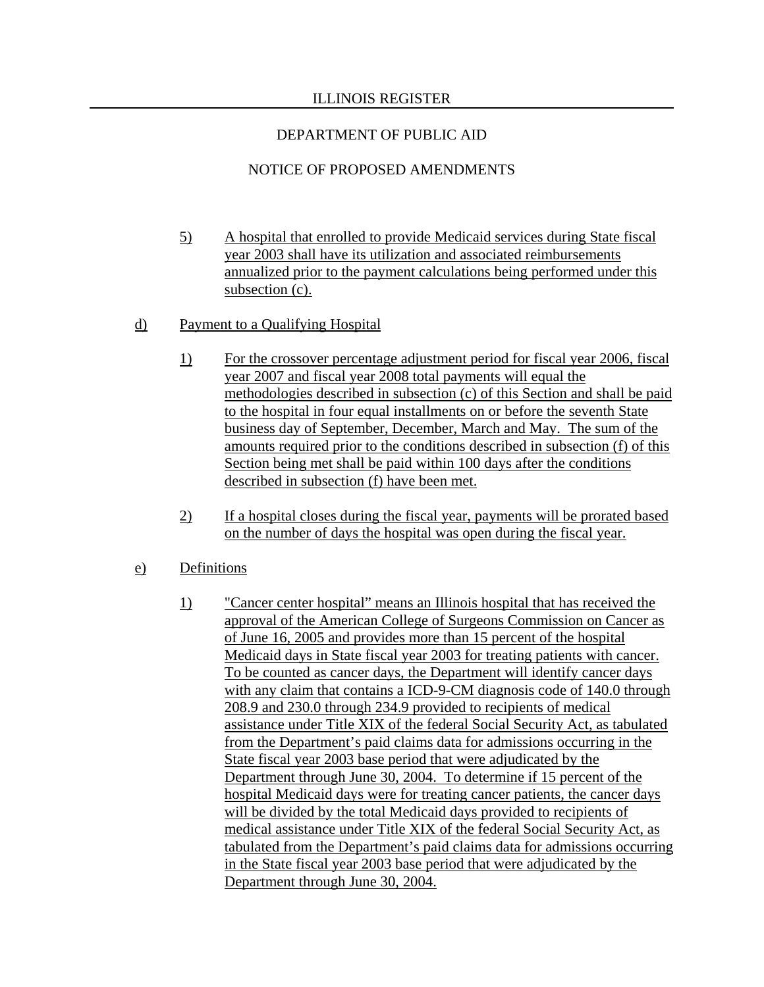## DEPARTMENT OF PUBLIC AID

# NOTICE OF PROPOSED AMENDMENTS

 5) A hospital that enrolled to provide Medicaid services during State fiscal year 2003 shall have its utilization and associated reimbursements annualized prior to the payment calculations being performed under this subsection (c).

### d) Payment to a Qualifying Hospital

- 1) For the crossover percentage adjustment period for fiscal year 2006, fiscal year 2007 and fiscal year 2008 total payments will equal the methodologies described in subsection (c) of this Section and shall be paid to the hospital in four equal installments on or before the seventh State business day of September, December, March and May. The sum of the amounts required prior to the conditions described in subsection (f) of this Section being met shall be paid within 100 days after the conditions described in subsection (f) have been met.
- 2) If a hospital closes during the fiscal year, payments will be prorated based on the number of days the hospital was open during the fiscal year.

### e) Definitions

 1) "Cancer center hospital" means an Illinois hospital that has received the approval of the American College of Surgeons Commission on Cancer as of June 16, 2005 and provides more than 15 percent of the hospital Medicaid days in State fiscal year 2003 for treating patients with cancer. To be counted as cancer days, the Department will identify cancer days with any claim that contains a ICD-9-CM diagnosis code of 140.0 through 208.9 and 230.0 through 234.9 provided to recipients of medical assistance under Title XIX of the federal Social Security Act, as tabulated from the Department's paid claims data for admissions occurring in the State fiscal year 2003 base period that were adjudicated by the Department through June 30, 2004. To determine if 15 percent of the hospital Medicaid days were for treating cancer patients, the cancer days will be divided by the total Medicaid days provided to recipients of medical assistance under Title XIX of the federal Social Security Act, as tabulated from the Department's paid claims data for admissions occurring in the State fiscal year 2003 base period that were adjudicated by the Department through June 30, 2004.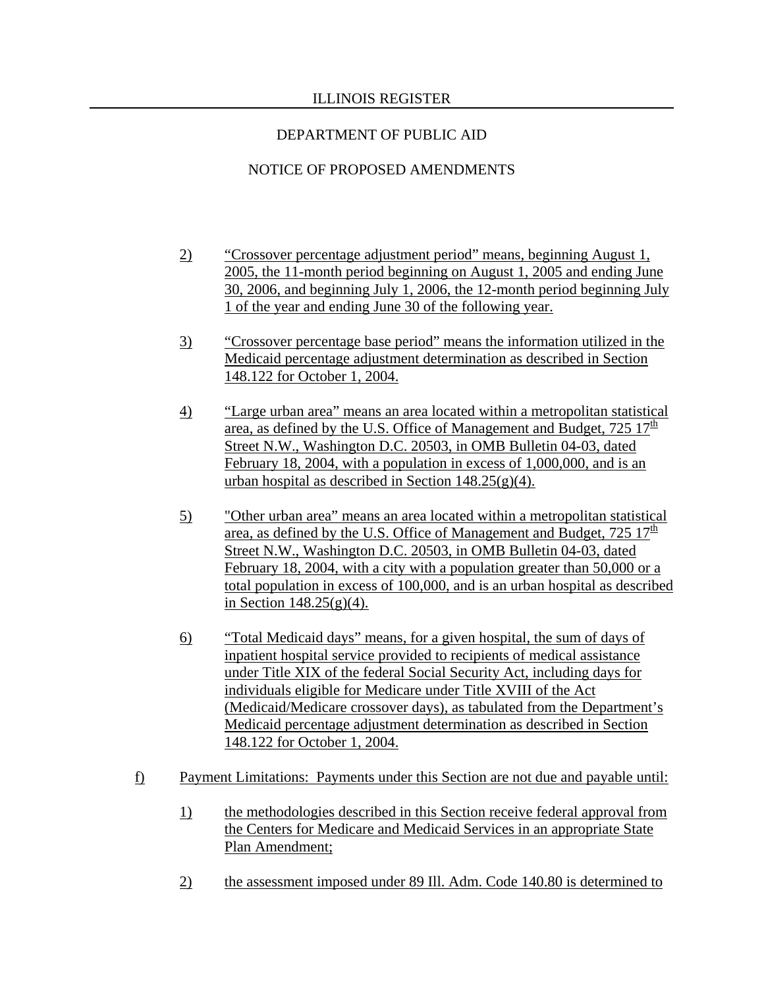# NOTICE OF PROPOSED AMENDMENTS

- 2) "Crossover percentage adjustment period" means, beginning August 1, 2005, the 11-month period beginning on August 1, 2005 and ending June 30, 2006, and beginning July 1, 2006, the 12-month period beginning July 1 of the year and ending June 30 of the following year.
- 3) "Crossover percentage base period" means the information utilized in the Medicaid percentage adjustment determination as described in Section 148.122 for October 1, 2004.
- 4) "Large urban area" means an area located within a metropolitan statistical area, as defined by the U.S. Office of Management and Budget,  $725 \frac{17^{\text{th}}}{}$ Street N.W., Washington D.C. 20503, in OMB Bulletin 04-03, dated February 18, 2004, with a population in excess of 1,000,000, and is an urban hospital as described in Section  $148.25(g)(4)$ .
- 5) "Other urban area" means an area located within a metropolitan statistical area, as defined by the U.S. Office of Management and Budget,  $725 \frac{17}{\text{th}}$ Street N.W., Washington D.C. 20503, in OMB Bulletin 04-03, dated February 18, 2004, with a city with a population greater than 50,000 or a total population in excess of 100,000, and is an urban hospital as described in Section  $148.25(g)(4)$ .
- 6) "Total Medicaid days" means, for a given hospital, the sum of days of inpatient hospital service provided to recipients of medical assistance under Title XIX of the federal Social Security Act, including days for individuals eligible for Medicare under Title XVIII of the Act (Medicaid/Medicare crossover days), as tabulated from the Department's Medicaid percentage adjustment determination as described in Section 148.122 for October 1, 2004.
- f) Payment Limitations: Payments under this Section are not due and payable until:
	- 1) the methodologies described in this Section receive federal approval from the Centers for Medicare and Medicaid Services in an appropriate State Plan Amendment;
	- 2) the assessment imposed under 89 Ill. Adm. Code 140.80 is determined to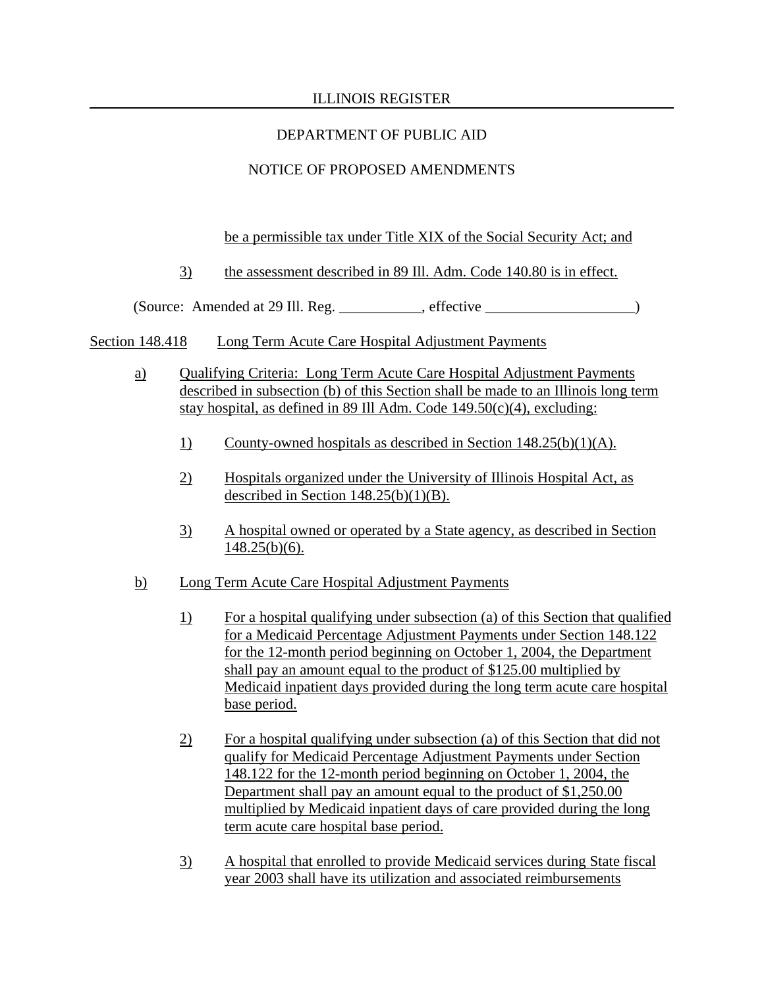# DEPARTMENT OF PUBLIC AID

# NOTICE OF PROPOSED AMENDMENTS

### be a permissible tax under Title XIX of the Social Security Act; and

3) the assessment described in 89 Ill. Adm. Code 140.80 is in effect.

(Source: Amended at 29 Ill. Reg. \_\_\_\_\_\_\_\_\_\_\_, effective \_\_\_\_\_\_\_\_\_\_\_\_\_\_\_\_\_\_\_\_)

- Section 148.418 Long Term Acute Care Hospital Adjustment Payments
	- a) Qualifying Criteria: Long Term Acute Care Hospital Adjustment Payments described in subsection (b) of this Section shall be made to an Illinois long term stay hospital, as defined in 89 Ill Adm. Code 149.50(c)(4), excluding:
		- 1) County-owned hospitals as described in Section 148.25(b)(1)(A).
		- 2) Hospitals organized under the University of Illinois Hospital Act, as described in Section  $148.25(b)(1)(B)$ .
		- 3) A hospital owned or operated by a State agency, as described in Section  $148.25(b)(6)$ .
	- b) Long Term Acute Care Hospital Adjustment Payments
		- 1) For a hospital qualifying under subsection (a) of this Section that qualified for a Medicaid Percentage Adjustment Payments under Section 148.122 for the 12-month period beginning on October 1, 2004, the Department shall pay an amount equal to the product of \$125.00 multiplied by Medicaid inpatient days provided during the long term acute care hospital base period.
		- 2) For a hospital qualifying under subsection (a) of this Section that did not qualify for Medicaid Percentage Adjustment Payments under Section 148.122 for the 12-month period beginning on October 1, 2004, the Department shall pay an amount equal to the product of \$1,250.00 multiplied by Medicaid inpatient days of care provided during the long term acute care hospital base period.
		- 3) A hospital that enrolled to provide Medicaid services during State fiscal year 2003 shall have its utilization and associated reimbursements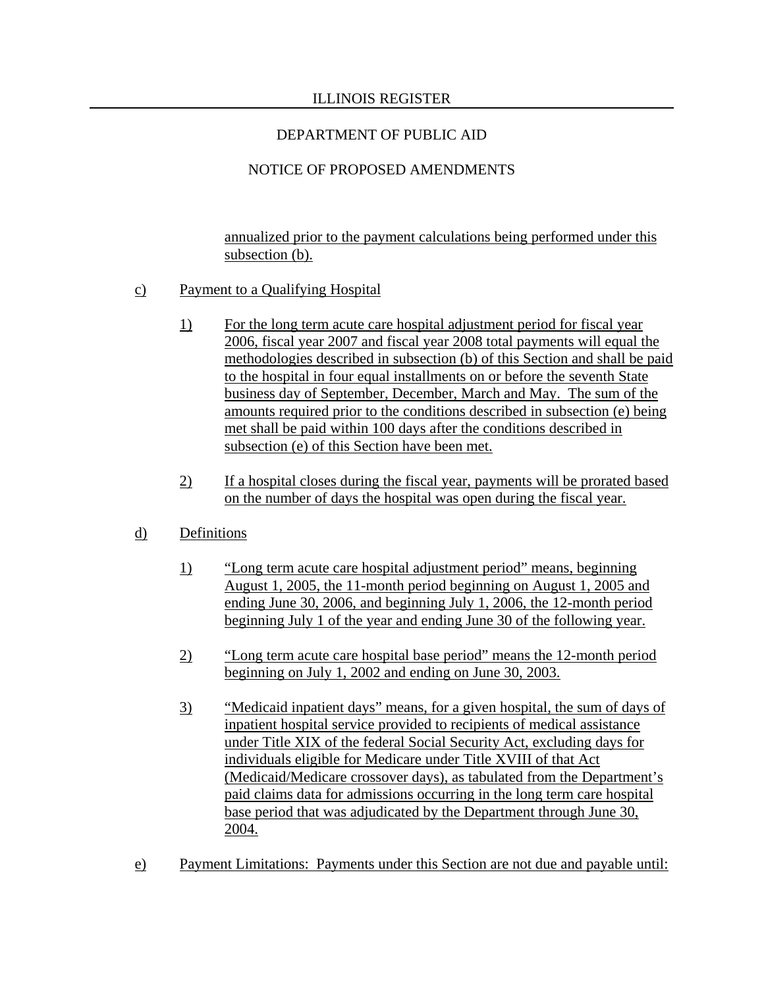# NOTICE OF PROPOSED AMENDMENTS

annualized prior to the payment calculations being performed under this subsection (b).

## c) Payment to a Qualifying Hospital

- 1) For the long term acute care hospital adjustment period for fiscal year 2006, fiscal year 2007 and fiscal year 2008 total payments will equal the methodologies described in subsection (b) of this Section and shall be paid to the hospital in four equal installments on or before the seventh State business day of September, December, March and May. The sum of the amounts required prior to the conditions described in subsection (e) being met shall be paid within 100 days after the conditions described in subsection (e) of this Section have been met.
- 2) If a hospital closes during the fiscal year, payments will be prorated based on the number of days the hospital was open during the fiscal year.

# d) Definitions

- 1) "Long term acute care hospital adjustment period" means, beginning August 1, 2005, the 11-month period beginning on August 1, 2005 and ending June 30, 2006, and beginning July 1, 2006, the 12-month period beginning July 1 of the year and ending June 30 of the following year.
- 2) "Long term acute care hospital base period" means the 12-month period beginning on July 1, 2002 and ending on June 30, 2003.
- 3) "Medicaid inpatient days" means, for a given hospital, the sum of days of inpatient hospital service provided to recipients of medical assistance under Title XIX of the federal Social Security Act, excluding days for individuals eligible for Medicare under Title XVIII of that Act (Medicaid/Medicare crossover days), as tabulated from the Department's paid claims data for admissions occurring in the long term care hospital base period that was adjudicated by the Department through June 30, 2004.
- e) Payment Limitations: Payments under this Section are not due and payable until: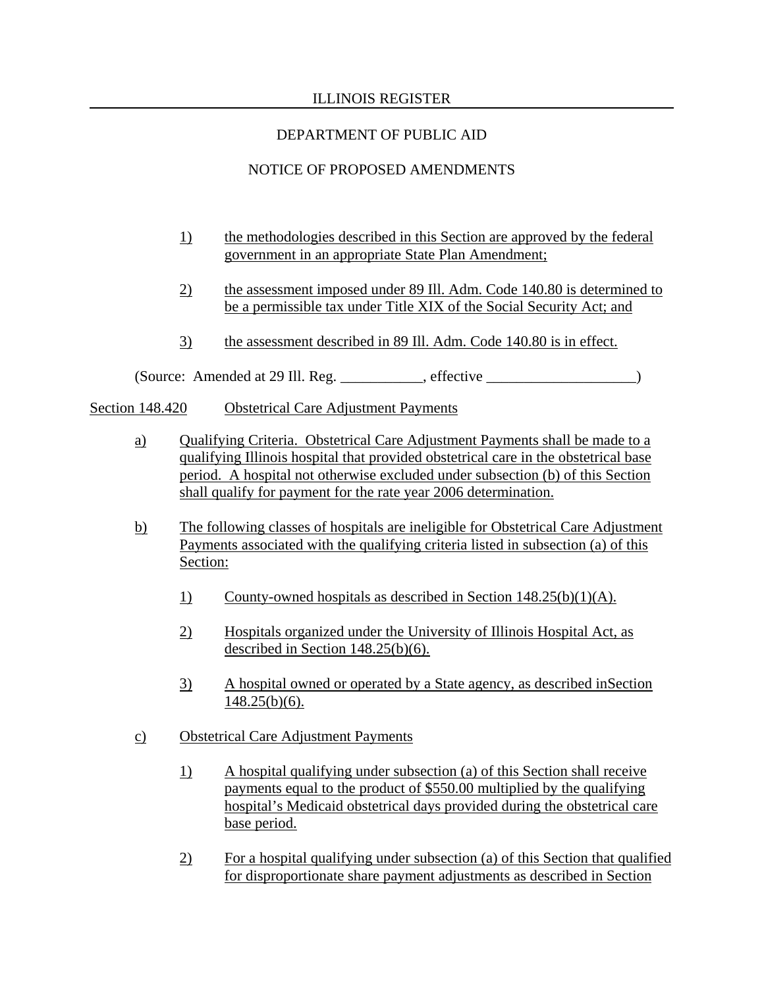# DEPARTMENT OF PUBLIC AID

# NOTICE OF PROPOSED AMENDMENTS

- 1) the methodologies described in this Section are approved by the federal government in an appropriate State Plan Amendment;
- 2) the assessment imposed under 89 Ill. Adm. Code 140.80 is determined to be a permissible tax under Title XIX of the Social Security Act; and
- 3) the assessment described in 89 Ill. Adm. Code 140.80 is in effect.

(Source: Amended at 29 Ill. Reg. \_\_\_\_\_\_\_\_\_\_\_, effective \_\_\_\_\_\_\_\_\_\_\_\_\_\_\_\_\_\_\_\_)

Section 148.420 Obstetrical Care Adjustment Payments

- a) Qualifying Criteria. Obstetrical Care Adjustment Payments shall be made to a qualifying Illinois hospital that provided obstetrical care in the obstetrical base period. A hospital not otherwise excluded under subsection (b) of this Section shall qualify for payment for the rate year 2006 determination.
- b) The following classes of hospitals are ineligible for Obstetrical Care Adjustment Payments associated with the qualifying criteria listed in subsection (a) of this Section:
	- 1) County-owned hospitals as described in Section 148.25(b)(1)(A).
	- 2) Hospitals organized under the University of Illinois Hospital Act, as described in Section 148.25(b)(6).
	- 3) A hospital owned or operated by a State agency, as described inSection  $148.25(b)(6)$ .
- c) Obstetrical Care Adjustment Payments
	- 1) A hospital qualifying under subsection (a) of this Section shall receive payments equal to the product of \$550.00 multiplied by the qualifying hospital's Medicaid obstetrical days provided during the obstetrical care base period.
	- 2) For a hospital qualifying under subsection (a) of this Section that qualified for disproportionate share payment adjustments as described in Section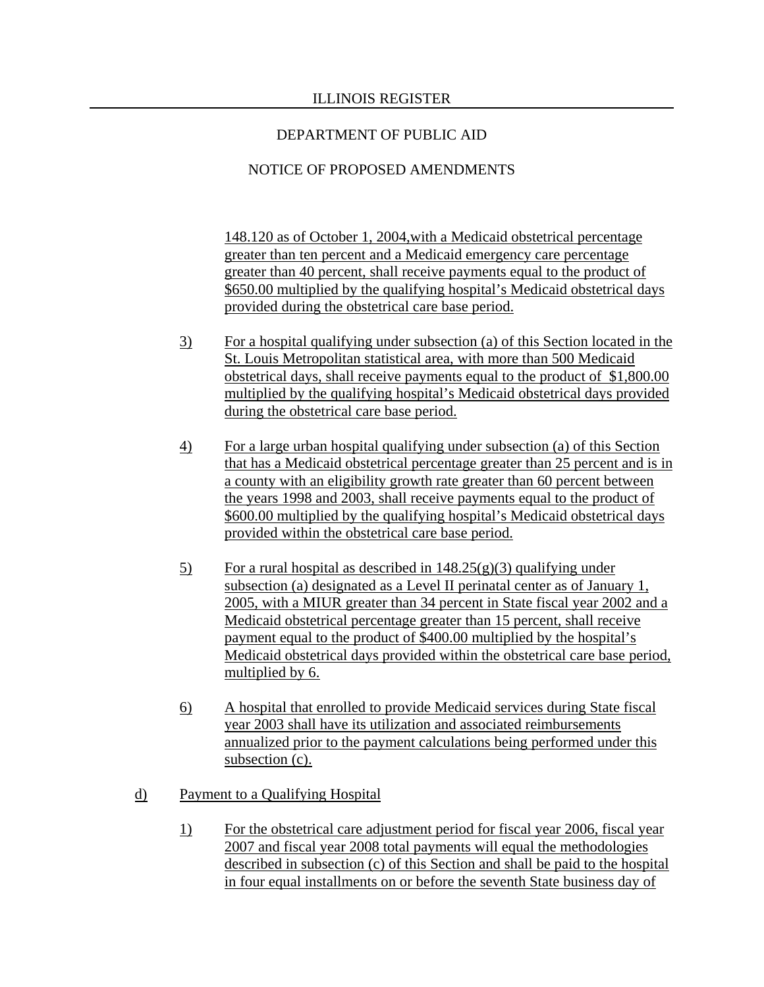# NOTICE OF PROPOSED AMENDMENTS

148.120 as of October 1, 2004,with a Medicaid obstetrical percentage greater than ten percent and a Medicaid emergency care percentage greater than 40 percent, shall receive payments equal to the product of \$650.00 multiplied by the qualifying hospital's Medicaid obstetrical days provided during the obstetrical care base period.

- 3) For a hospital qualifying under subsection (a) of this Section located in the St. Louis Metropolitan statistical area, with more than 500 Medicaid obstetrical days, shall receive payments equal to the product of \$1,800.00 multiplied by the qualifying hospital's Medicaid obstetrical days provided during the obstetrical care base period.
- 4) For a large urban hospital qualifying under subsection (a) of this Section that has a Medicaid obstetrical percentage greater than 25 percent and is in a county with an eligibility growth rate greater than 60 percent between the years 1998 and 2003, shall receive payments equal to the product of \$600.00 multiplied by the qualifying hospital's Medicaid obstetrical days provided within the obstetrical care base period.
- 5) For a rural hospital as described in  $148.25(g)(3)$  qualifying under subsection (a) designated as a Level II perinatal center as of January 1, 2005, with a MIUR greater than 34 percent in State fiscal year 2002 and a Medicaid obstetrical percentage greater than 15 percent, shall receive payment equal to the product of \$400.00 multiplied by the hospital's Medicaid obstetrical days provided within the obstetrical care base period, multiplied by 6.
- 6) A hospital that enrolled to provide Medicaid services during State fiscal year 2003 shall have its utilization and associated reimbursements annualized prior to the payment calculations being performed under this subsection (c).
- d) Payment to a Qualifying Hospital
	- 1) For the obstetrical care adjustment period for fiscal year 2006, fiscal year 2007 and fiscal year 2008 total payments will equal the methodologies described in subsection (c) of this Section and shall be paid to the hospital in four equal installments on or before the seventh State business day of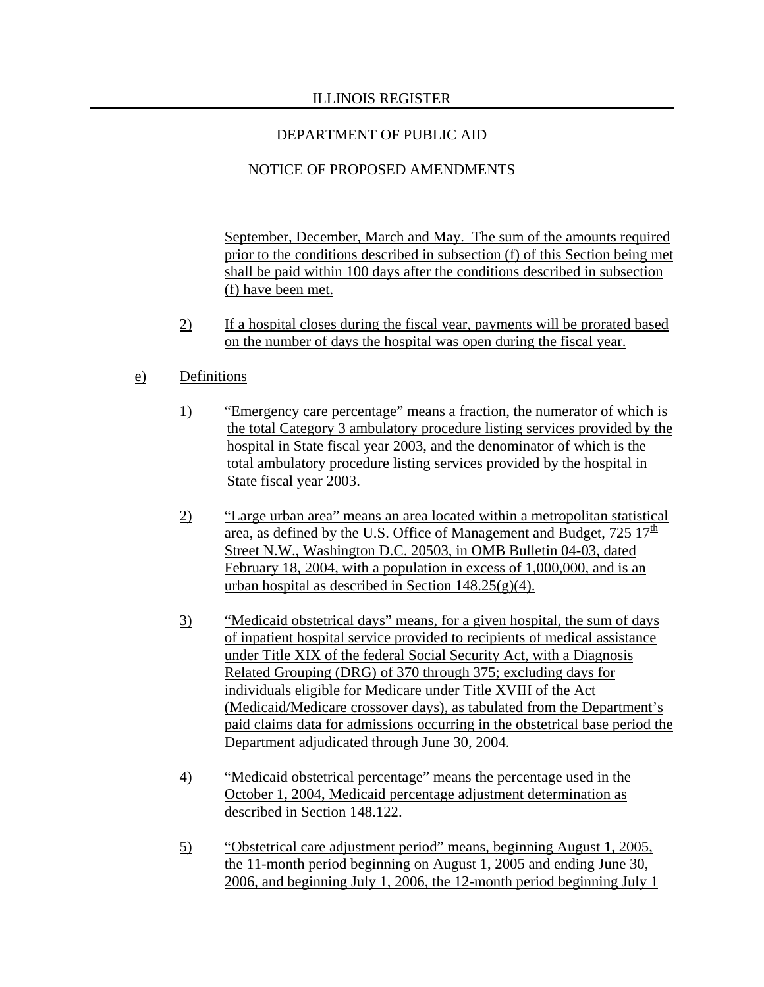# DEPARTMENT OF PUBLIC AID

# NOTICE OF PROPOSED AMENDMENTS

September, December, March and May. The sum of the amounts required prior to the conditions described in subsection (f) of this Section being met shall be paid within 100 days after the conditions described in subsection (f) have been met.

2) If a hospital closes during the fiscal year, payments will be prorated based on the number of days the hospital was open during the fiscal year.

## e) Definitions

- 1) "Emergency care percentage" means a fraction, the numerator of which is the total Category 3 ambulatory procedure listing services provided by the hospital in State fiscal year 2003, and the denominator of which is the total ambulatory procedure listing services provided by the hospital in State fiscal year 2003.
- 2) "Large urban area" means an area located within a metropolitan statistical area, as defined by the U.S. Office of Management and Budget,  $725 \frac{17}{\text{th}}$ Street N.W., Washington D.C. 20503, in OMB Bulletin 04-03, dated February 18, 2004, with a population in excess of 1,000,000, and is an urban hospital as described in Section  $148.25(g)(4)$ .
- 3) "Medicaid obstetrical days" means, for a given hospital, the sum of days of inpatient hospital service provided to recipients of medical assistance under Title XIX of the federal Social Security Act, with a Diagnosis Related Grouping (DRG) of 370 through 375; excluding days for individuals eligible for Medicare under Title XVIII of the Act (Medicaid/Medicare crossover days), as tabulated from the Department's paid claims data for admissions occurring in the obstetrical base period the Department adjudicated through June 30, 2004.
- 4) "Medicaid obstetrical percentage" means the percentage used in the October 1, 2004, Medicaid percentage adjustment determination as described in Section 148.122.
- 5) "Obstetrical care adjustment period" means, beginning August 1, 2005, the 11-month period beginning on August 1, 2005 and ending June 30, 2006, and beginning July 1, 2006, the 12-month period beginning July 1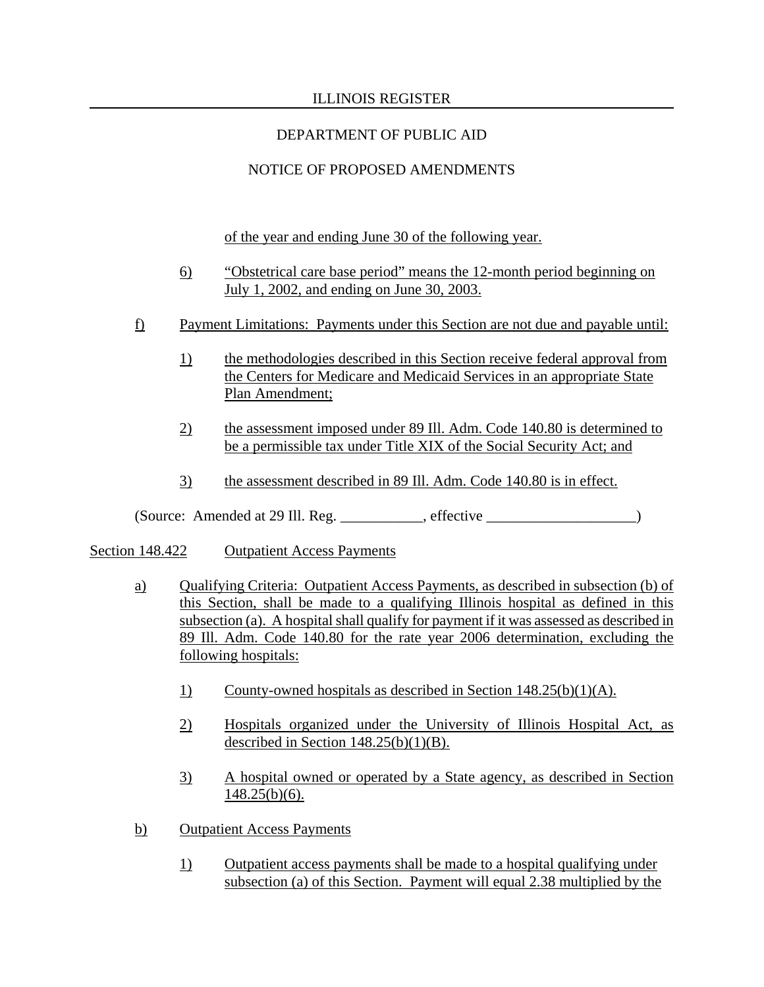# DEPARTMENT OF PUBLIC AID

# NOTICE OF PROPOSED AMENDMENTS

of the year and ending June 30 of the following year.

- 6) "Obstetrical care base period" means the 12-month period beginning on July 1, 2002, and ending on June 30, 2003.
- f) Payment Limitations: Payments under this Section are not due and payable until:
	- 1) the methodologies described in this Section receive federal approval from the Centers for Medicare and Medicaid Services in an appropriate State Plan Amendment;
	- 2) the assessment imposed under 89 Ill. Adm. Code 140.80 is determined to be a permissible tax under Title XIX of the Social Security Act; and
	- 3) the assessment described in 89 Ill. Adm. Code 140.80 is in effect.

 $(Source: Amented at 29 III. Reg. \_ \_ \_ \_ \_ \_ \_ \_ \_ \_ \_ \_ \_ \_ \_$ 

- Section 148.422 Outpatient Access Payments
	- a) Qualifying Criteria: Outpatient Access Payments, as described in subsection (b) of this Section, shall be made to a qualifying Illinois hospital as defined in this subsection (a). A hospital shall qualify for payment if it was assessed as described in 89 Ill. Adm. Code 140.80 for the rate year 2006 determination, excluding the following hospitals:
		- 1) County-owned hospitals as described in Section 148.25(b)(1)(A).
		- 2) Hospitals organized under the University of Illinois Hospital Act, as described in Section  $148.25(b)(1)(B)$ .
		- 3) A hospital owned or operated by a State agency, as described in Section  $148.25(b)(6)$ .
	- b) Outpatient Access Payments
		- 1) Outpatient access payments shall be made to a hospital qualifying under subsection (a) of this Section. Payment will equal 2.38 multiplied by the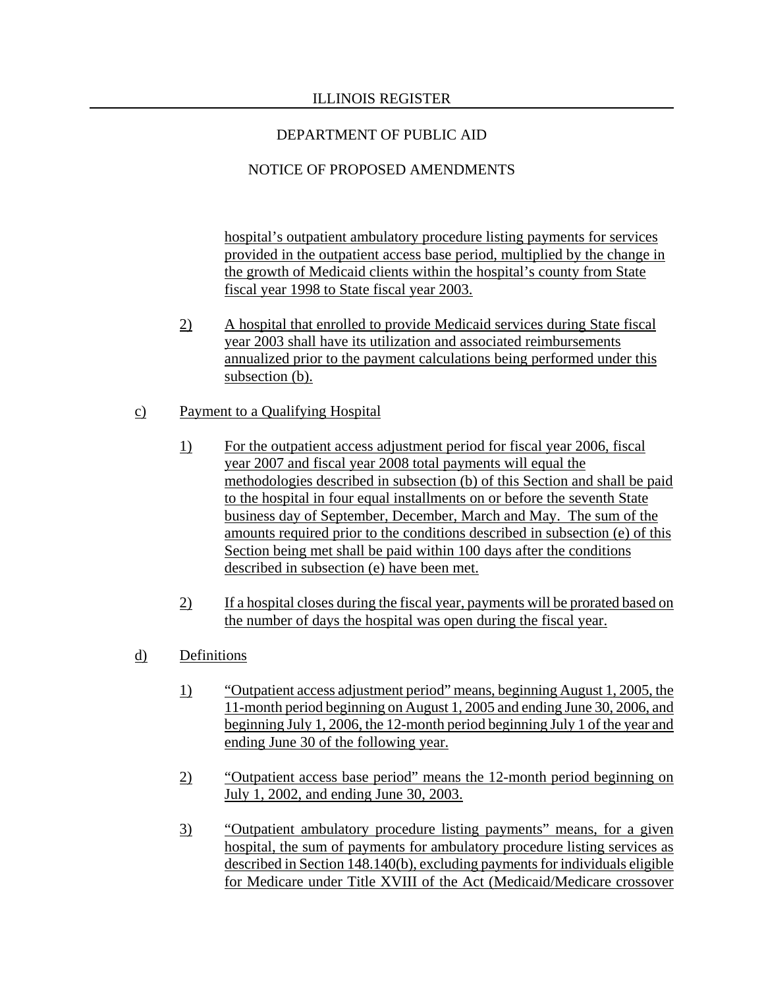# NOTICE OF PROPOSED AMENDMENTS

hospital's outpatient ambulatory procedure listing payments for services provided in the outpatient access base period, multiplied by the change in the growth of Medicaid clients within the hospital's county from State fiscal year 1998 to State fiscal year 2003.

- 2) A hospital that enrolled to provide Medicaid services during State fiscal year 2003 shall have its utilization and associated reimbursements annualized prior to the payment calculations being performed under this subsection (b).
- c) Payment to a Qualifying Hospital
	- 1) For the outpatient access adjustment period for fiscal year 2006, fiscal year 2007 and fiscal year 2008 total payments will equal the methodologies described in subsection (b) of this Section and shall be paid to the hospital in four equal installments on or before the seventh State business day of September, December, March and May. The sum of the amounts required prior to the conditions described in subsection (e) of this Section being met shall be paid within 100 days after the conditions described in subsection (e) have been met.
	- 2) If a hospital closes during the fiscal year, payments will be prorated based on the number of days the hospital was open during the fiscal year.
- d) Definitions
	- 1) "Outpatient access adjustment period" means, beginning August 1, 2005, the 11-month period beginning on August 1, 2005 and ending June 30, 2006, and beginning July 1, 2006, the 12-month period beginning July 1 of the year and ending June 30 of the following year.
	- 2) "Outpatient access base period" means the 12-month period beginning on July 1, 2002, and ending June 30, 2003.
	- 3) "Outpatient ambulatory procedure listing payments" means, for a given hospital, the sum of payments for ambulatory procedure listing services as described in Section 148.140(b), excluding payments for individuals eligible for Medicare under Title XVIII of the Act (Medicaid/Medicare crossover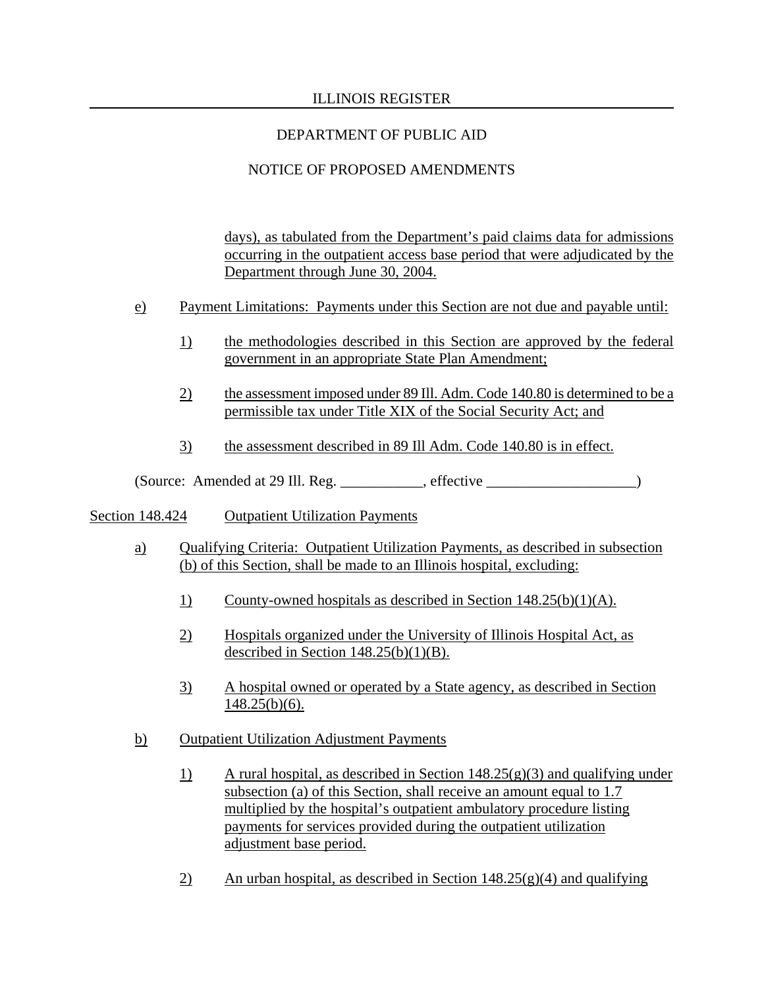# DEPARTMENT OF PUBLIC AID

# NOTICE OF PROPOSED AMENDMENTS

days), as tabulated from the Department's paid claims data for admissions occurring in the outpatient access base period that were adjudicated by the Department through June 30, 2004.

- e) Payment Limitations: Payments under this Section are not due and payable until:
	- 1) the methodologies described in this Section are approved by the federal government in an appropriate State Plan Amendment;
	- 2) the assessment imposed under 89 Ill. Adm. Code 140.80 is determined to be a permissible tax under Title XIX of the Social Security Act; and
	- 3) the assessment described in 89 Ill Adm. Code 140.80 is in effect.

(Source: Amended at 29 Ill. Reg. \_\_\_\_\_\_\_\_\_\_\_, effective \_\_\_\_\_\_\_\_\_\_\_\_\_\_\_\_\_\_\_\_)

### Section 148.424 Outpatient Utilization Payments

- a) Qualifying Criteria: Outpatient Utilization Payments, as described in subsection (b) of this Section, shall be made to an Illinois hospital, excluding:
	- 1) County-owned hospitals as described in Section 148.25(b)(1)(A).
	- 2) Hospitals organized under the University of Illinois Hospital Act, as described in Section  $148.25(b)(1)(B)$ .
	- 3) A hospital owned or operated by a State agency, as described in Section  $148.25(b)(6)$ .
- b) Outpatient Utilization Adjustment Payments
	- 1) A rural hospital, as described in Section 148.25(g)(3) and qualifying under subsection (a) of this Section, shall receive an amount equal to 1.7 multiplied by the hospital's outpatient ambulatory procedure listing payments for services provided during the outpatient utilization adjustment base period.
	- 2) An urban hospital, as described in Section  $148.25(g)(4)$  and qualifying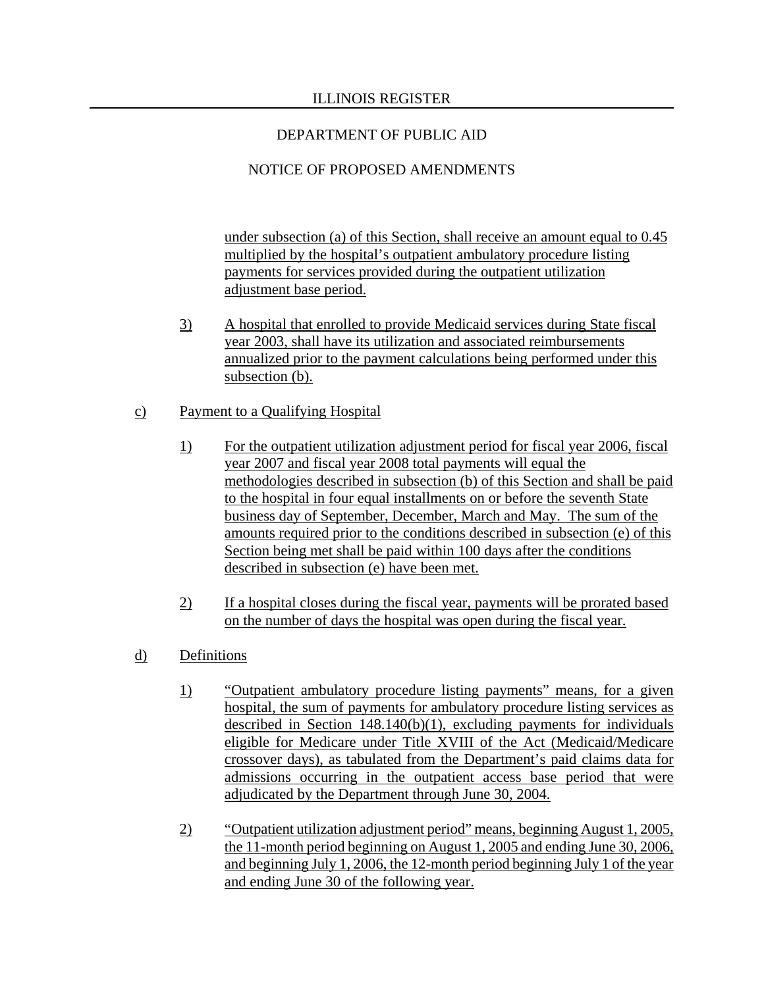# NOTICE OF PROPOSED AMENDMENTS

under subsection (a) of this Section, shall receive an amount equal to 0.45 multiplied by the hospital's outpatient ambulatory procedure listing payments for services provided during the outpatient utilization adjustment base period.

3) A hospital that enrolled to provide Medicaid services during State fiscal year 2003, shall have its utilization and associated reimbursements annualized prior to the payment calculations being performed under this subsection (b).

# c) Payment to a Qualifying Hospital

- 1) For the outpatient utilization adjustment period for fiscal year 2006, fiscal year 2007 and fiscal year 2008 total payments will equal the methodologies described in subsection (b) of this Section and shall be paid to the hospital in four equal installments on or before the seventh State business day of September, December, March and May. The sum of the amounts required prior to the conditions described in subsection (e) of this Section being met shall be paid within 100 days after the conditions described in subsection (e) have been met.
- 2) If a hospital closes during the fiscal year, payments will be prorated based on the number of days the hospital was open during the fiscal year.
- d) Definitions
	- 1) "Outpatient ambulatory procedure listing payments" means, for a given hospital, the sum of payments for ambulatory procedure listing services as described in Section 148.140(b)(1), excluding payments for individuals eligible for Medicare under Title XVIII of the Act (Medicaid/Medicare crossover days), as tabulated from the Department's paid claims data for admissions occurring in the outpatient access base period that were adjudicated by the Department through June 30, 2004.
	- 2) "Outpatient utilization adjustment period" means, beginning August 1, 2005, the 11-month period beginning on August 1, 2005 and ending June 30, 2006, and beginning July 1, 2006, the 12-month period beginning July 1 of the year and ending June 30 of the following year.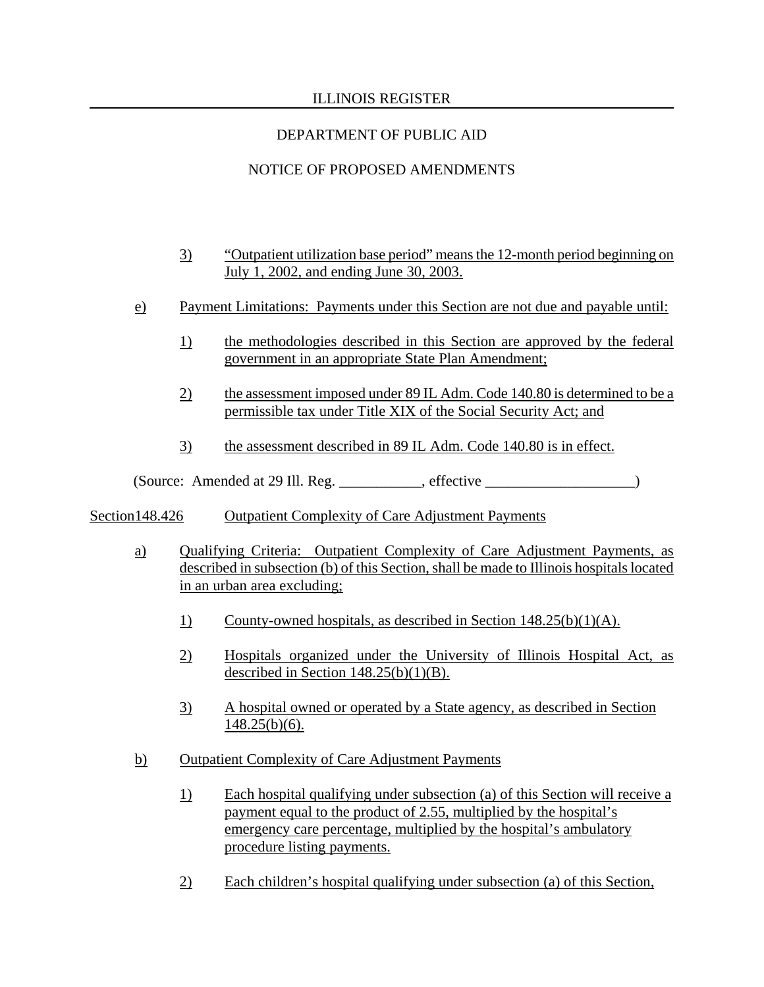# DEPARTMENT OF PUBLIC AID

# NOTICE OF PROPOSED AMENDMENTS

- 3) "Outpatient utilization base period" means the 12-month period beginning on July 1, 2002, and ending June 30, 2003.
- e) Payment Limitations: Payments under this Section are not due and payable until:
	- 1) the methodologies described in this Section are approved by the federal government in an appropriate State Plan Amendment;
	- 2) the assessment imposed under 89 IL Adm. Code 140.80 is determined to be a permissible tax under Title XIX of the Social Security Act; and
	- 3) the assessment described in 89 IL Adm. Code 140.80 is in effect.

(Source: Amended at 29 Ill. Reg. \_\_\_\_\_\_\_\_\_\_\_, effective \_\_\_\_\_\_\_\_\_\_\_\_\_\_\_\_\_\_\_\_)

# Section148.426 Outpatient Complexity of Care Adjustment Payments

- a) Qualifying Criteria: Outpatient Complexity of Care Adjustment Payments, as described in subsection (b) of this Section, shall be made to Illinois hospitals located in an urban area excluding;
	- 1) County-owned hospitals, as described in Section 148.25(b)(1)(A).
	- 2) Hospitals organized under the University of Illinois Hospital Act, as described in Section  $148.25(b)(1)(B)$ .
	- 3) A hospital owned or operated by a State agency, as described in Section  $148.25(b)(6)$ .
- b) Outpatient Complexity of Care Adjustment Payments
	- 1) Each hospital qualifying under subsection (a) of this Section will receive a payment equal to the product of 2.55, multiplied by the hospital's emergency care percentage, multiplied by the hospital's ambulatory procedure listing payments.
	- 2) Each children's hospital qualifying under subsection (a) of this Section,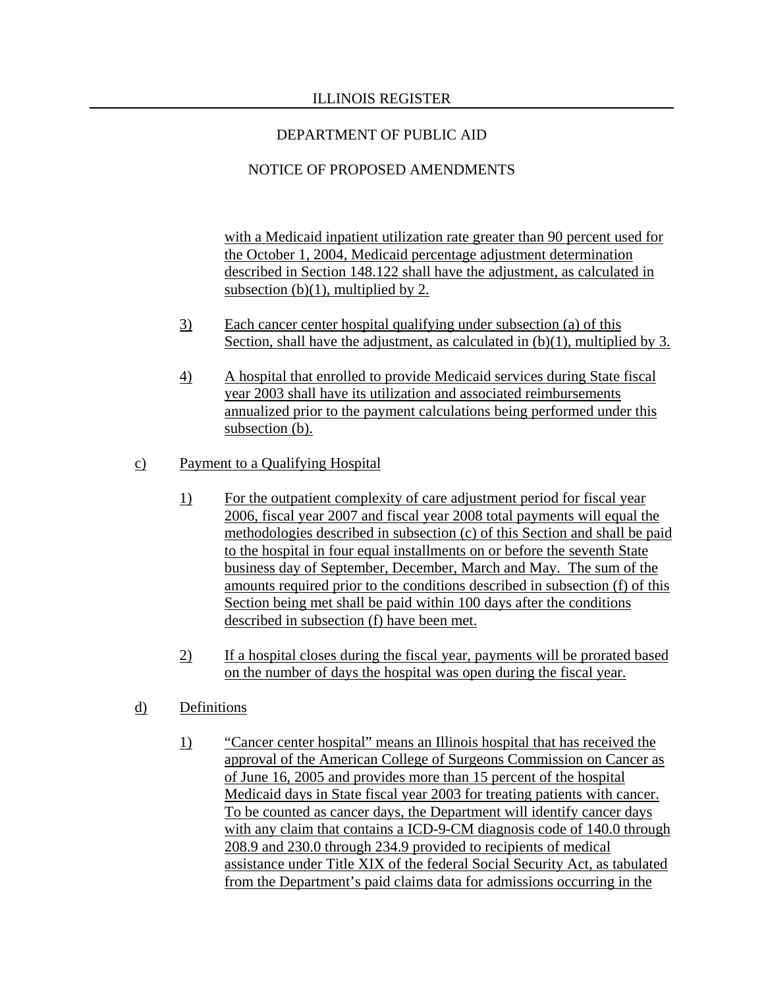# NOTICE OF PROPOSED AMENDMENTS

with a Medicaid inpatient utilization rate greater than 90 percent used for the October 1, 2004, Medicaid percentage adjustment determination described in Section 148.122 shall have the adjustment, as calculated in subsection (b)(1), multiplied by 2.

- 3) Each cancer center hospital qualifying under subsection (a) of this Section, shall have the adjustment, as calculated in (b)(1), multiplied by 3.
- 4) A hospital that enrolled to provide Medicaid services during State fiscal year 2003 shall have its utilization and associated reimbursements annualized prior to the payment calculations being performed under this subsection (b).

# c) Payment to a Qualifying Hospital

- 1) For the outpatient complexity of care adjustment period for fiscal year 2006, fiscal year 2007 and fiscal year 2008 total payments will equal the methodologies described in subsection (c) of this Section and shall be paid to the hospital in four equal installments on or before the seventh State business day of September, December, March and May. The sum of the amounts required prior to the conditions described in subsection (f) of this Section being met shall be paid within 100 days after the conditions described in subsection (f) have been met.
- 2) If a hospital closes during the fiscal year, payments will be prorated based on the number of days the hospital was open during the fiscal year.

# d) Definitions

 1) "Cancer center hospital" means an Illinois hospital that has received the approval of the American College of Surgeons Commission on Cancer as of June 16, 2005 and provides more than 15 percent of the hospital Medicaid days in State fiscal year 2003 for treating patients with cancer. To be counted as cancer days, the Department will identify cancer days with any claim that contains a ICD-9-CM diagnosis code of 140.0 through 208.9 and 230.0 through 234.9 provided to recipients of medical assistance under Title XIX of the federal Social Security Act, as tabulated from the Department's paid claims data for admissions occurring in the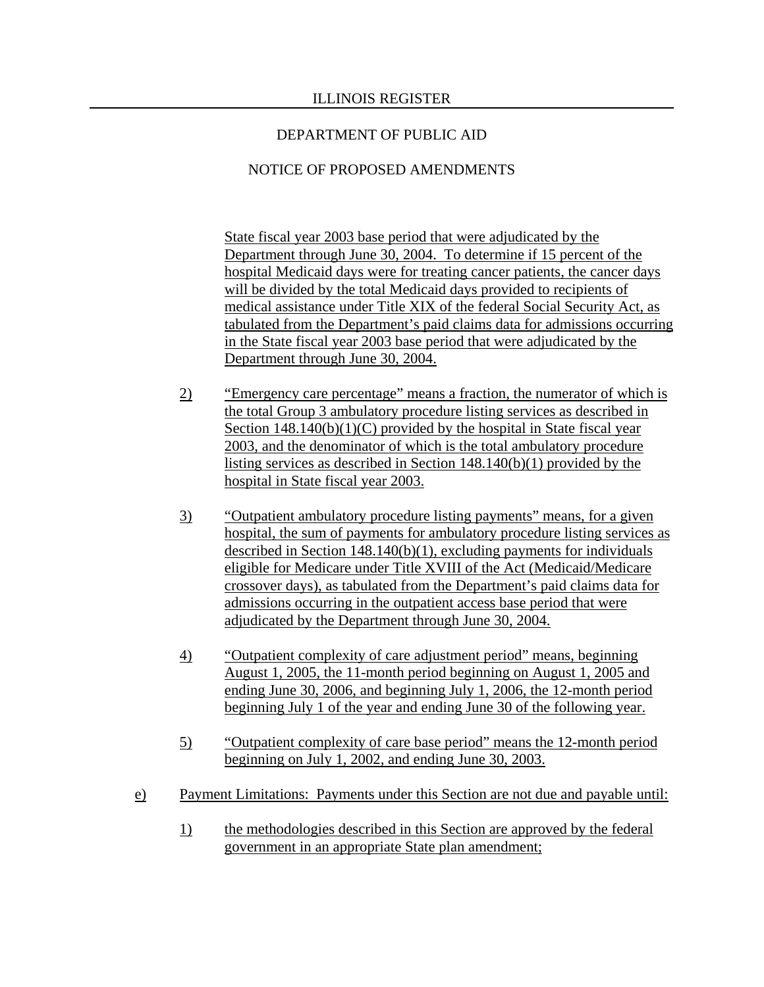# NOTICE OF PROPOSED AMENDMENTS

State fiscal year 2003 base period that were adjudicated by the Department through June 30, 2004. To determine if 15 percent of the hospital Medicaid days were for treating cancer patients, the cancer days will be divided by the total Medicaid days provided to recipients of medical assistance under Title XIX of the federal Social Security Act, as tabulated from the Department's paid claims data for admissions occurring in the State fiscal year 2003 base period that were adjudicated by the Department through June 30, 2004.

- 2) "Emergency care percentage" means a fraction, the numerator of which is the total Group 3 ambulatory procedure listing services as described in Section  $148.140(b)(1)(C)$  provided by the hospital in State fiscal year 2003, and the denominator of which is the total ambulatory procedure listing services as described in Section 148.140(b)(1) provided by the hospital in State fiscal year 2003.
- 3) "Outpatient ambulatory procedure listing payments" means, for a given hospital, the sum of payments for ambulatory procedure listing services as described in Section 148.140(b)(1), excluding payments for individuals eligible for Medicare under Title XVIII of the Act (Medicaid/Medicare crossover days), as tabulated from the Department's paid claims data for admissions occurring in the outpatient access base period that were adjudicated by the Department through June 30, 2004.
- 4) "Outpatient complexity of care adjustment period" means, beginning August 1, 2005, the 11-month period beginning on August 1, 2005 and ending June 30, 2006, and beginning July 1, 2006, the 12-month period beginning July 1 of the year and ending June 30 of the following year.
- 5) "Outpatient complexity of care base period" means the 12-month period beginning on July 1, 2002, and ending June 30, 2003.
- e) Payment Limitations: Payments under this Section are not due and payable until:
	- 1) the methodologies described in this Section are approved by the federal government in an appropriate State plan amendment;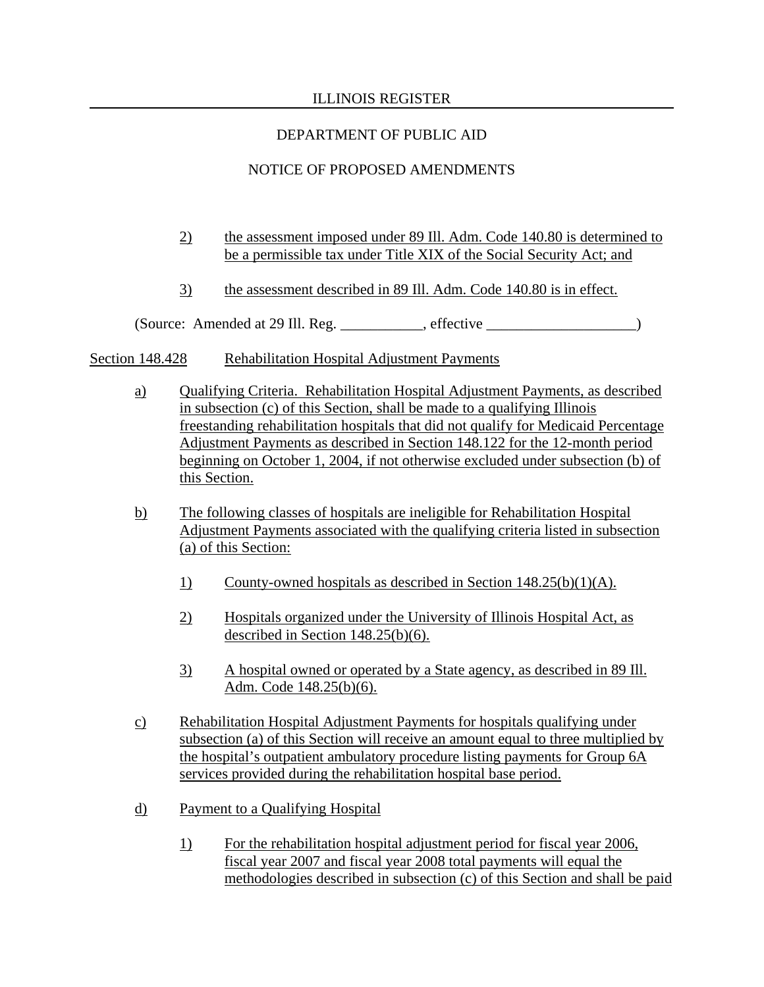# DEPARTMENT OF PUBLIC AID

# NOTICE OF PROPOSED AMENDMENTS

- 2) the assessment imposed under 89 Ill. Adm. Code 140.80 is determined to be a permissible tax under Title XIX of the Social Security Act; and
- 3) the assessment described in 89 Ill. Adm. Code 140.80 is in effect.

(Source: Amended at 29 Ill. Reg. \_\_\_\_\_\_\_\_\_\_\_, effective \_\_\_\_\_\_\_\_\_\_\_\_\_\_\_\_\_\_\_\_)

## Section 148.428 Rehabilitation Hospital Adjustment Payments

- a) Qualifying Criteria. Rehabilitation Hospital Adjustment Payments, as described in subsection (c) of this Section, shall be made to a qualifying Illinois freestanding rehabilitation hospitals that did not qualify for Medicaid Percentage Adjustment Payments as described in Section 148.122 for the 12-month period beginning on October 1, 2004, if not otherwise excluded under subsection (b) of this Section.
- b) The following classes of hospitals are ineligible for Rehabilitation Hospital Adjustment Payments associated with the qualifying criteria listed in subsection (a) of this Section:
	- 1) County-owned hospitals as described in Section 148.25(b)(1)(A).
	- 2) Hospitals organized under the University of Illinois Hospital Act, as described in Section 148.25(b)(6).
	- 3) A hospital owned or operated by a State agency, as described in 89 Ill. Adm. Code 148.25(b)(6).
- c) Rehabilitation Hospital Adjustment Payments for hospitals qualifying under subsection (a) of this Section will receive an amount equal to three multiplied by the hospital's outpatient ambulatory procedure listing payments for Group 6A services provided during the rehabilitation hospital base period.
- d) Payment to a Qualifying Hospital
	- 1) For the rehabilitation hospital adjustment period for fiscal year 2006, fiscal year 2007 and fiscal year 2008 total payments will equal the methodologies described in subsection (c) of this Section and shall be paid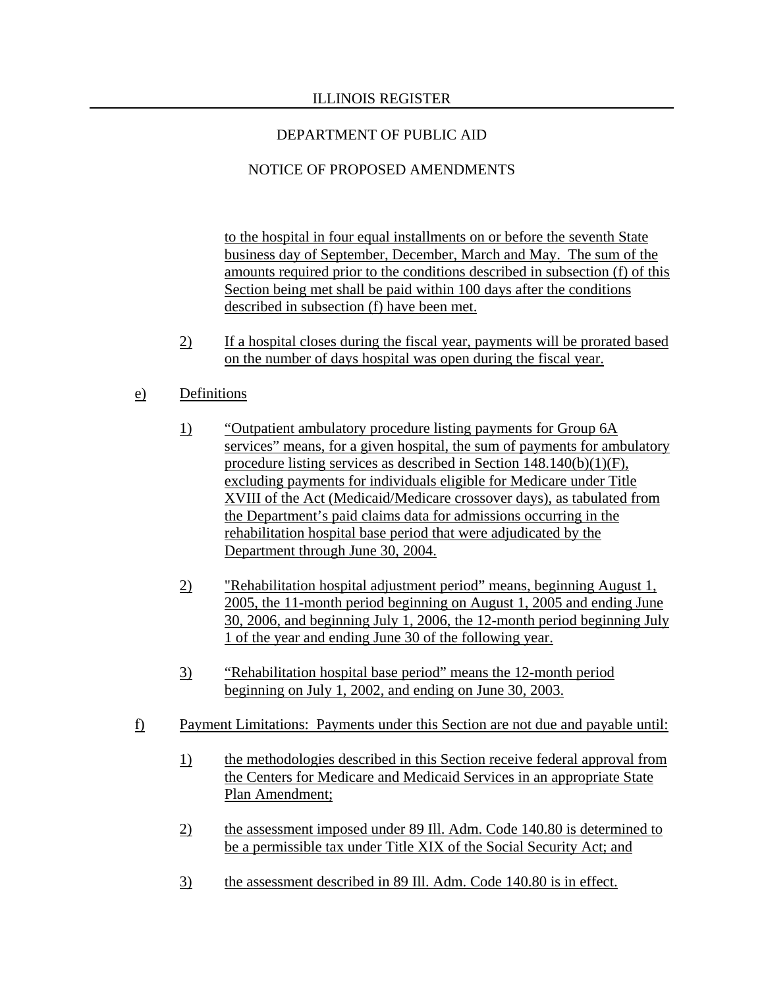# NOTICE OF PROPOSED AMENDMENTS

to the hospital in four equal installments on or before the seventh State business day of September, December, March and May. The sum of the amounts required prior to the conditions described in subsection (f) of this Section being met shall be paid within 100 days after the conditions described in subsection (f) have been met.

2) If a hospital closes during the fiscal year, payments will be prorated based on the number of days hospital was open during the fiscal year.

## e) Definitions

- 1) "Outpatient ambulatory procedure listing payments for Group 6A services" means, for a given hospital, the sum of payments for ambulatory procedure listing services as described in Section 148.140(b)(1)(F), excluding payments for individuals eligible for Medicare under Title XVIII of the Act (Medicaid/Medicare crossover days), as tabulated from the Department's paid claims data for admissions occurring in the rehabilitation hospital base period that were adjudicated by the Department through June 30, 2004.
- 2) "Rehabilitation hospital adjustment period" means, beginning August 1, 2005, the 11-month period beginning on August 1, 2005 and ending June 30, 2006, and beginning July 1, 2006, the 12-month period beginning July 1 of the year and ending June 30 of the following year.
- 3) "Rehabilitation hospital base period" means the 12-month period beginning on July 1, 2002, and ending on June 30, 2003.
- f) Payment Limitations: Payments under this Section are not due and payable until:
	- 1) the methodologies described in this Section receive federal approval from the Centers for Medicare and Medicaid Services in an appropriate State Plan Amendment;
	- 2) the assessment imposed under 89 Ill. Adm. Code 140.80 is determined to be a permissible tax under Title XIX of the Social Security Act; and
	- 3) the assessment described in 89 Ill. Adm. Code 140.80 is in effect.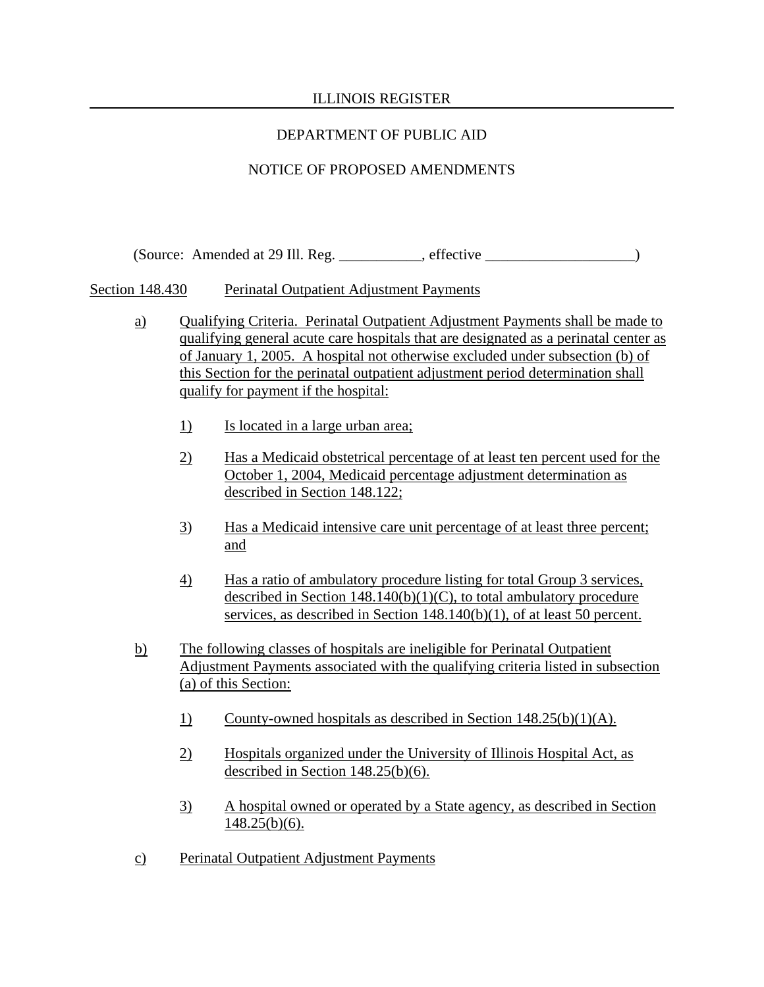# DEPARTMENT OF PUBLIC AID

# NOTICE OF PROPOSED AMENDMENTS

(Source: Amended at 29 Ill. Reg. \_\_\_\_\_\_\_\_\_\_\_, effective \_\_\_\_\_\_\_\_\_\_\_\_\_\_\_\_\_\_\_\_)

Section 148.430 Perinatal Outpatient Adjustment Payments

- a) Qualifying Criteria. Perinatal Outpatient Adjustment Payments shall be made to qualifying general acute care hospitals that are designated as a perinatal center as of January 1, 2005. A hospital not otherwise excluded under subsection (b) of this Section for the perinatal outpatient adjustment period determination shall qualify for payment if the hospital:
	- 1) Is located in a large urban area;
	- 2) Has a Medicaid obstetrical percentage of at least ten percent used for the October 1, 2004, Medicaid percentage adjustment determination as described in Section 148.122;
	- 3) Has a Medicaid intensive care unit percentage of at least three percent; and
	- 4) Has a ratio of ambulatory procedure listing for total Group 3 services, described in Section  $148.140(b)(1)(C)$ , to total ambulatory procedure services, as described in Section 148.140(b)(1), of at least 50 percent.
- b) The following classes of hospitals are ineligible for Perinatal Outpatient Adjustment Payments associated with the qualifying criteria listed in subsection (a) of this Section:
	- 1) County-owned hospitals as described in Section 148.25(b)(1)(A).
	- 2) Hospitals organized under the University of Illinois Hospital Act, as described in Section 148.25(b)(6).
	- 3) A hospital owned or operated by a State agency, as described in Section  $148.25(b)(6)$ .
- c) Perinatal Outpatient Adjustment Payments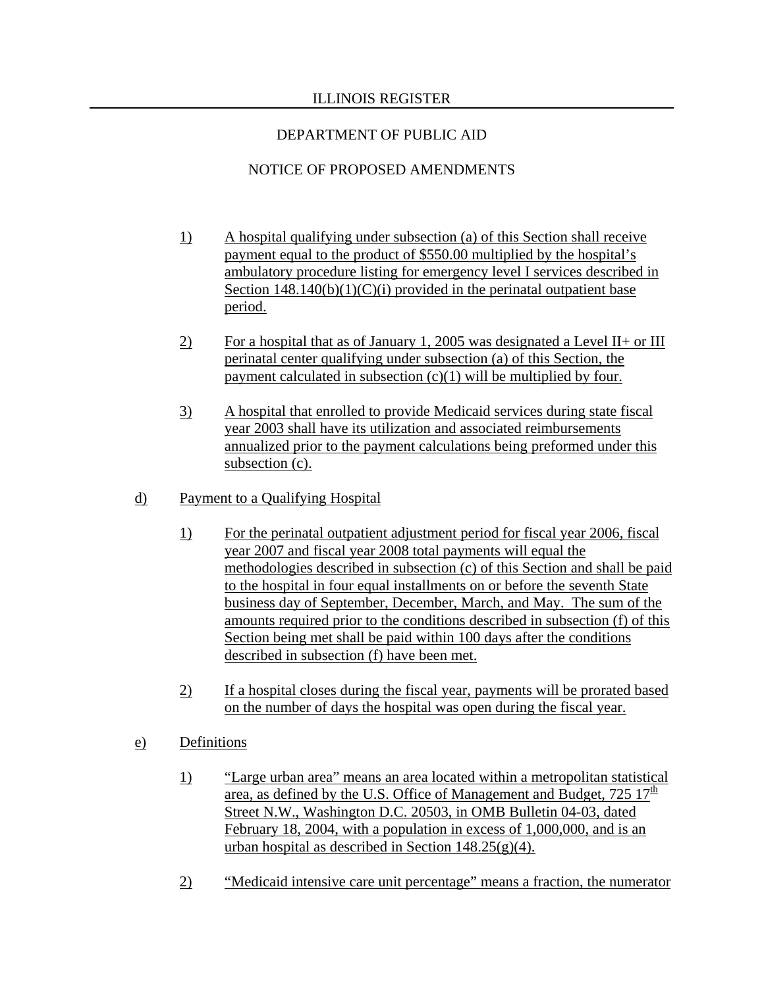# NOTICE OF PROPOSED AMENDMENTS

- 1) A hospital qualifying under subsection (a) of this Section shall receive payment equal to the product of \$550.00 multiplied by the hospital's ambulatory procedure listing for emergency level I services described in Section  $148.140(b)(1)(C)(i)$  provided in the perinatal outpatient base period.
- 2) For a hospital that as of January 1, 2005 was designated a Level II+ or III perinatal center qualifying under subsection (a) of this Section, the payment calculated in subsection  $(c)(1)$  will be multiplied by four.
- 3) A hospital that enrolled to provide Medicaid services during state fiscal year 2003 shall have its utilization and associated reimbursements annualized prior to the payment calculations being preformed under this subsection (c).

# d) Payment to a Qualifying Hospital

- 1) For the perinatal outpatient adjustment period for fiscal year 2006, fiscal year 2007 and fiscal year 2008 total payments will equal the methodologies described in subsection (c) of this Section and shall be paid to the hospital in four equal installments on or before the seventh State business day of September, December, March, and May. The sum of the amounts required prior to the conditions described in subsection (f) of this Section being met shall be paid within 100 days after the conditions described in subsection (f) have been met.
- 2) If a hospital closes during the fiscal year, payments will be prorated based on the number of days the hospital was open during the fiscal year.

# e) Definitions

- 1) "Large urban area" means an area located within a metropolitan statistical area, as defined by the U.S. Office of Management and Budget,  $725 \frac{17}{\mu}$ Street N.W., Washington D.C. 20503, in OMB Bulletin 04-03, dated February 18, 2004, with a population in excess of 1,000,000, and is an urban hospital as described in Section  $148.25(g)(4)$ .
- 2) "Medicaid intensive care unit percentage" means a fraction, the numerator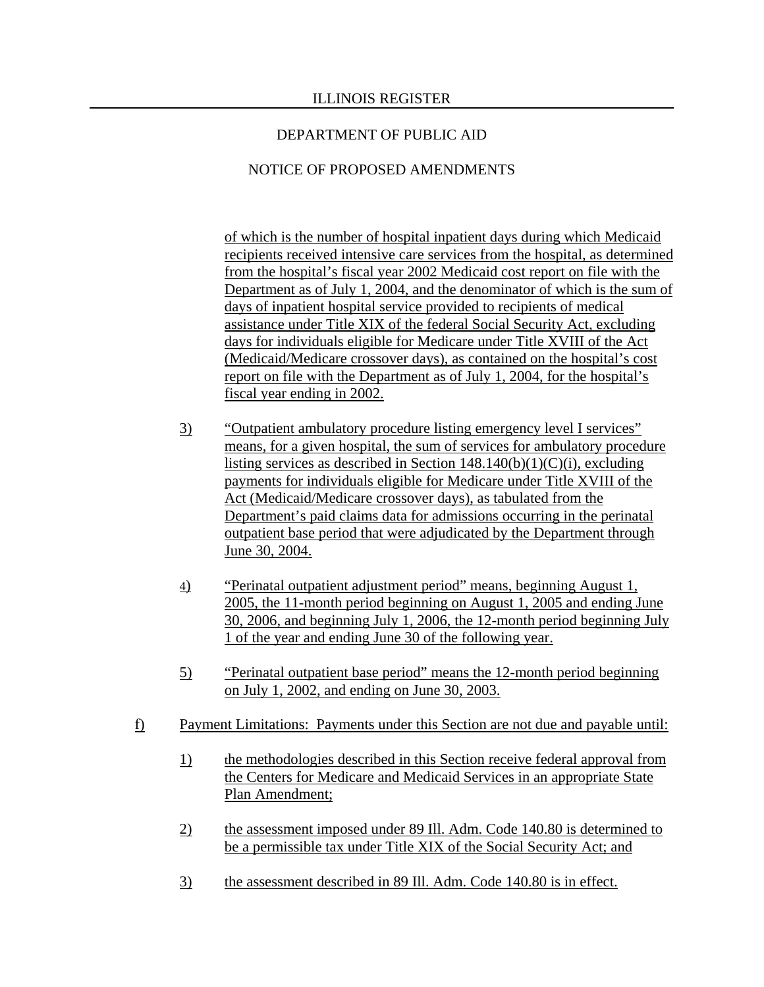## NOTICE OF PROPOSED AMENDMENTS

of which is the number of hospital inpatient days during which Medicaid recipients received intensive care services from the hospital, as determined from the hospital's fiscal year 2002 Medicaid cost report on file with the Department as of July 1, 2004, and the denominator of which is the sum of days of inpatient hospital service provided to recipients of medical assistance under Title XIX of the federal Social Security Act, excluding days for individuals eligible for Medicare under Title XVIII of the Act (Medicaid/Medicare crossover days), as contained on the hospital's cost report on file with the Department as of July 1, 2004, for the hospital's fiscal year ending in 2002.

- 3) "Outpatient ambulatory procedure listing emergency level I services" means, for a given hospital, the sum of services for ambulatory procedure listing services as described in Section  $148.140(b)(1)(C)(i)$ , excluding payments for individuals eligible for Medicare under Title XVIII of the Act (Medicaid/Medicare crossover days), as tabulated from the Department's paid claims data for admissions occurring in the perinatal outpatient base period that were adjudicated by the Department through June 30, 2004.
- 4) "Perinatal outpatient adjustment period" means, beginning August 1, 2005, the 11-month period beginning on August 1, 2005 and ending June 30, 2006, and beginning July 1, 2006, the 12-month period beginning July 1 of the year and ending June 30 of the following year.
- 5) "Perinatal outpatient base period" means the 12-month period beginning on July 1, 2002, and ending on June 30, 2003.
- f) Payment Limitations: Payments under this Section are not due and payable until:
	- 1) the methodologies described in this Section receive federal approval from the Centers for Medicare and Medicaid Services in an appropriate State Plan Amendment;
	- 2) the assessment imposed under 89 Ill. Adm. Code 140.80 is determined to be a permissible tax under Title XIX of the Social Security Act; and
	- 3) the assessment described in 89 Ill. Adm. Code 140.80 is in effect.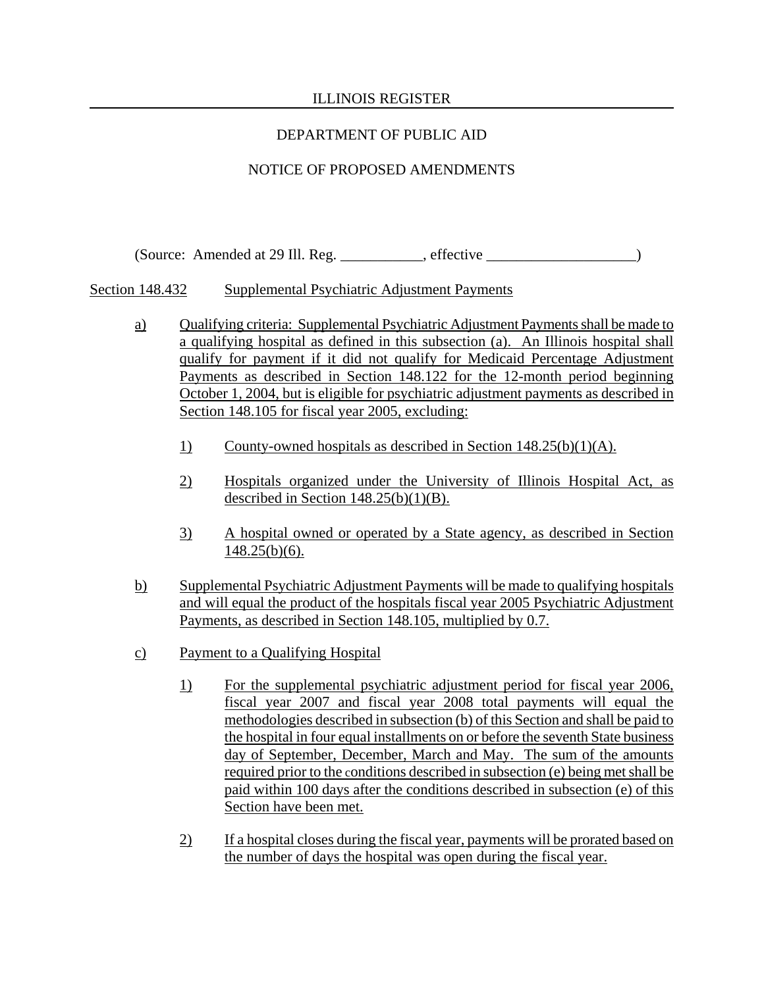# DEPARTMENT OF PUBLIC AID

# NOTICE OF PROPOSED AMENDMENTS

(Source: Amended at 29 Ill. Reg. effective  $\blacksquare$ .

Section 148.432 Supplemental Psychiatric Adjustment Payments

- a) Qualifying criteria: Supplemental Psychiatric Adjustment Payments shall be made to a qualifying hospital as defined in this subsection (a). An Illinois hospital shall qualify for payment if it did not qualify for Medicaid Percentage Adjustment Payments as described in Section 148.122 for the 12-month period beginning October 1, 2004, but is eligible for psychiatric adjustment payments as described in Section 148.105 for fiscal year 2005, excluding:
	- 1) County-owned hospitals as described in Section 148.25(b)(1)(A).
	- 2) Hospitals organized under the University of Illinois Hospital Act, as described in Section 148.25(b)(1)(B).
	- 3) A hospital owned or operated by a State agency, as described in Section 148.25(b)(6).
- b) Supplemental Psychiatric Adjustment Payments will be made to qualifying hospitals and will equal the product of the hospitals fiscal year 2005 Psychiatric Adjustment Payments, as described in Section 148.105, multiplied by 0.7.
- c) Payment to a Qualifying Hospital
	- 1) For the supplemental psychiatric adjustment period for fiscal year 2006, fiscal year 2007 and fiscal year 2008 total payments will equal the methodologies described in subsection (b) of this Section and shall be paid to the hospital in four equal installments on or before the seventh State business day of September, December, March and May. The sum of the amounts required prior to the conditions described in subsection (e) being met shall be paid within 100 days after the conditions described in subsection (e) of this Section have been met.
	- 2) If a hospital closes during the fiscal year, payments will be prorated based on the number of days the hospital was open during the fiscal year.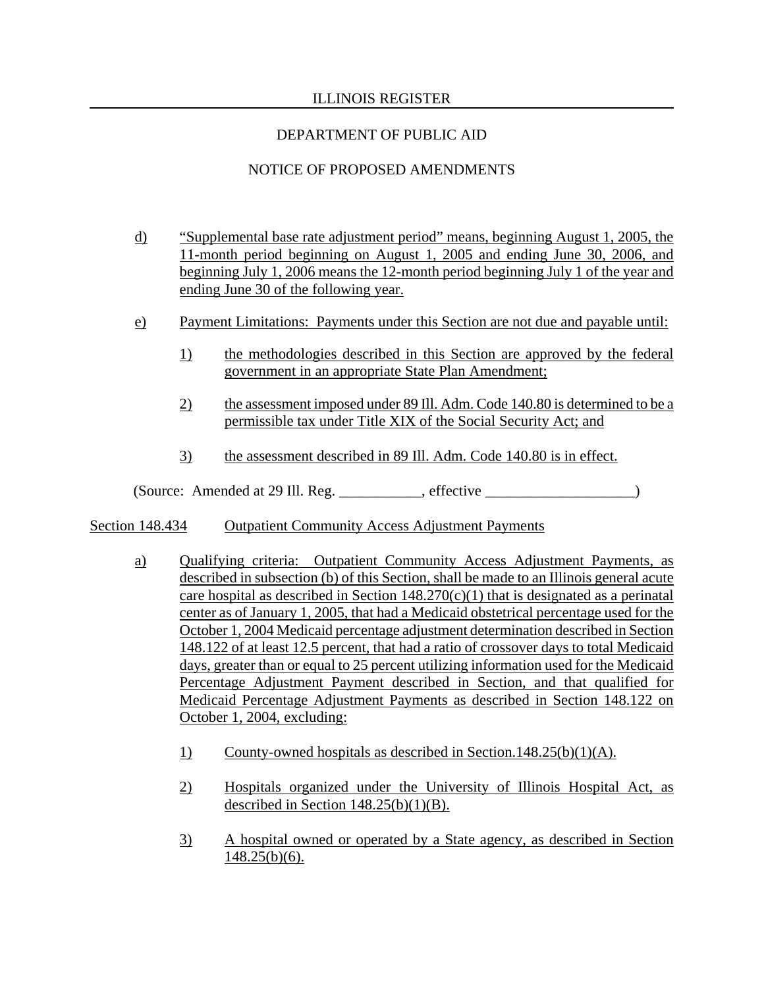# DEPARTMENT OF PUBLIC AID

# NOTICE OF PROPOSED AMENDMENTS

- d) "Supplemental base rate adjustment period" means, beginning August 1, 2005, the 11-month period beginning on August 1, 2005 and ending June 30, 2006, and beginning July 1, 2006 means the 12-month period beginning July 1 of the year and ending June 30 of the following year.
- e) Payment Limitations: Payments under this Section are not due and payable until:
	- 1) the methodologies described in this Section are approved by the federal government in an appropriate State Plan Amendment;
	- 2) the assessment imposed under 89 Ill. Adm. Code 140.80 is determined to be a permissible tax under Title XIX of the Social Security Act; and
	- 3) the assessment described in 89 Ill. Adm. Code 140.80 is in effect.

(Source: Amended at 29 Ill. Reg. \_\_\_\_\_\_\_\_\_\_\_, effective \_\_\_\_\_\_\_\_\_\_\_\_\_\_\_\_\_\_\_\_)

### Section 148.434 Outpatient Community Access Adjustment Payments

- a) Qualifying criteria: Outpatient Community Access Adjustment Payments, as described in subsection (b) of this Section, shall be made to an Illinois general acute care hospital as described in Section  $148.270(c)(1)$  that is designated as a perinatal center as of January 1, 2005, that had a Medicaid obstetrical percentage used for the October 1, 2004 Medicaid percentage adjustment determination described in Section 148.122 of at least 12.5 percent, that had a ratio of crossover days to total Medicaid days, greater than or equal to 25 percent utilizing information used for the Medicaid Percentage Adjustment Payment described in Section, and that qualified for Medicaid Percentage Adjustment Payments as described in Section 148.122 on October 1, 2004, excluding:
	- 1) County-owned hospitals as described in Section.148.25(b)(1)(A).
	- 2) Hospitals organized under the University of Illinois Hospital Act, as described in Section  $148.25(b)(1)(B)$ .
	- 3) A hospital owned or operated by a State agency, as described in Section  $148.25(b)(6)$ .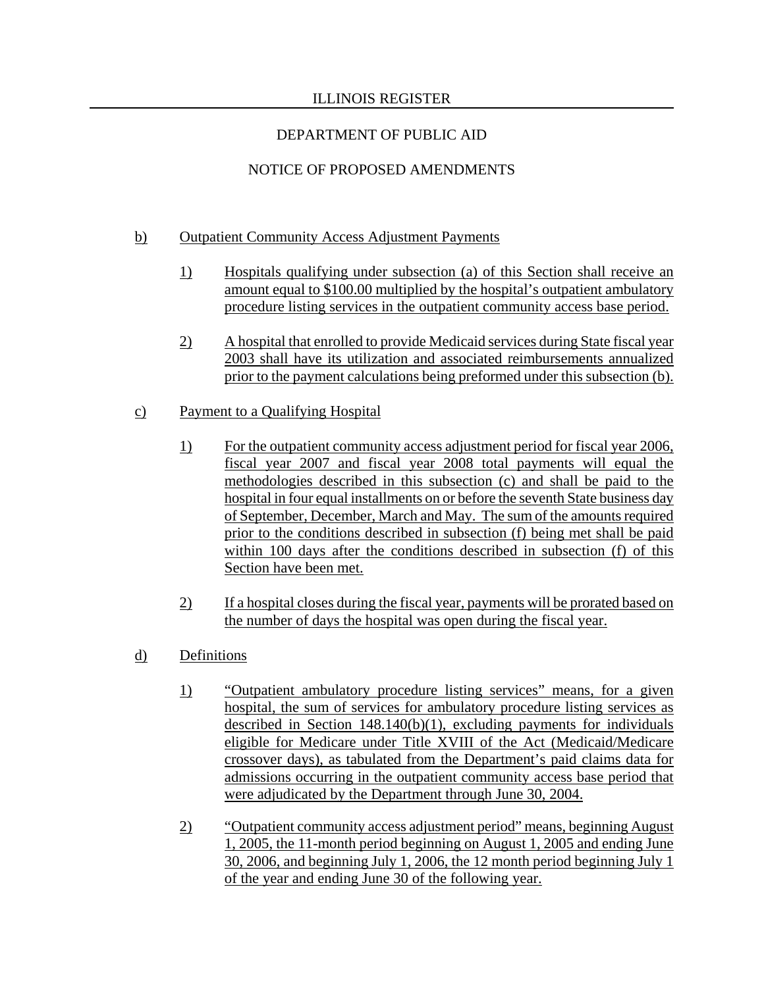# DEPARTMENT OF PUBLIC AID

# NOTICE OF PROPOSED AMENDMENTS

## b) Outpatient Community Access Adjustment Payments

- 1) Hospitals qualifying under subsection (a) of this Section shall receive an amount equal to \$100.00 multiplied by the hospital's outpatient ambulatory procedure listing services in the outpatient community access base period.
- 2) A hospital that enrolled to provide Medicaid services during State fiscal year 2003 shall have its utilization and associated reimbursements annualized prior to the payment calculations being preformed under this subsection (b).

## c) Payment to a Qualifying Hospital

- 1) For the outpatient community access adjustment period for fiscal year 2006, fiscal year 2007 and fiscal year 2008 total payments will equal the methodologies described in this subsection (c) and shall be paid to the hospital in four equal installments on or before the seventh State business day of September, December, March and May. The sum of the amounts required prior to the conditions described in subsection (f) being met shall be paid within 100 days after the conditions described in subsection (f) of this Section have been met.
- 2) If a hospital closes during the fiscal year, payments will be prorated based on the number of days the hospital was open during the fiscal year.
- d) Definitions
	- 1) "Outpatient ambulatory procedure listing services" means, for a given hospital, the sum of services for ambulatory procedure listing services as described in Section 148.140(b)(1), excluding payments for individuals eligible for Medicare under Title XVIII of the Act (Medicaid/Medicare crossover days), as tabulated from the Department's paid claims data for admissions occurring in the outpatient community access base period that were adjudicated by the Department through June 30, 2004.
	- 2) "Outpatient community access adjustment period" means, beginning August 1, 2005, the 11-month period beginning on August 1, 2005 and ending June 30, 2006, and beginning July 1, 2006, the 12 month period beginning July 1 of the year and ending June 30 of the following year.